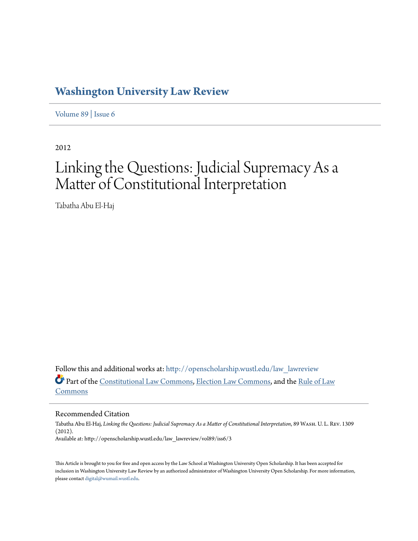## **[Washington University Law Review](http://openscholarship.wustl.edu/law_lawreview?utm_source=openscholarship.wustl.edu%2Flaw_lawreview%2Fvol89%2Fiss6%2F3&utm_medium=PDF&utm_campaign=PDFCoverPages)**

[Volume 89](http://openscholarship.wustl.edu/law_lawreview/vol89?utm_source=openscholarship.wustl.edu%2Flaw_lawreview%2Fvol89%2Fiss6%2F3&utm_medium=PDF&utm_campaign=PDFCoverPages) | [Issue 6](http://openscholarship.wustl.edu/law_lawreview/vol89/iss6?utm_source=openscholarship.wustl.edu%2Flaw_lawreview%2Fvol89%2Fiss6%2F3&utm_medium=PDF&utm_campaign=PDFCoverPages)

2012

# Linking the Questions: Judicial Supremacy As a Matter of Constitutional Interpretation

Tabatha Abu El-Haj

Follow this and additional works at: [http://openscholarship.wustl.edu/law\\_lawreview](http://openscholarship.wustl.edu/law_lawreview?utm_source=openscholarship.wustl.edu%2Flaw_lawreview%2Fvol89%2Fiss6%2F3&utm_medium=PDF&utm_campaign=PDFCoverPages) Part of the [Constitutional Law Commons,](http://network.bepress.com/hgg/discipline/589?utm_source=openscholarship.wustl.edu%2Flaw_lawreview%2Fvol89%2Fiss6%2F3&utm_medium=PDF&utm_campaign=PDFCoverPages) [Election Law Commons](http://network.bepress.com/hgg/discipline/1121?utm_source=openscholarship.wustl.edu%2Flaw_lawreview%2Fvol89%2Fiss6%2F3&utm_medium=PDF&utm_campaign=PDFCoverPages), and the [Rule of Law](http://network.bepress.com/hgg/discipline/1122?utm_source=openscholarship.wustl.edu%2Flaw_lawreview%2Fvol89%2Fiss6%2F3&utm_medium=PDF&utm_campaign=PDFCoverPages) [Commons](http://network.bepress.com/hgg/discipline/1122?utm_source=openscholarship.wustl.edu%2Flaw_lawreview%2Fvol89%2Fiss6%2F3&utm_medium=PDF&utm_campaign=PDFCoverPages)

Recommended Citation

Tabatha Abu El-Haj, *Linking the Questions: Judicial Supremacy As a Matter of Constitutional Interpretation*, 89 Wash. U. L. Rev. 1309 (2012). Available at: http://openscholarship.wustl.edu/law\_lawreview/vol89/iss6/3

This Article is brought to you for free and open access by the Law School at Washington University Open Scholarship. It has been accepted for inclusion in Washington University Law Review by an authorized administrator of Washington University Open Scholarship. For more information, please contact [digital@wumail.wustl.edu.](mailto:digital@wumail.wustl.edu)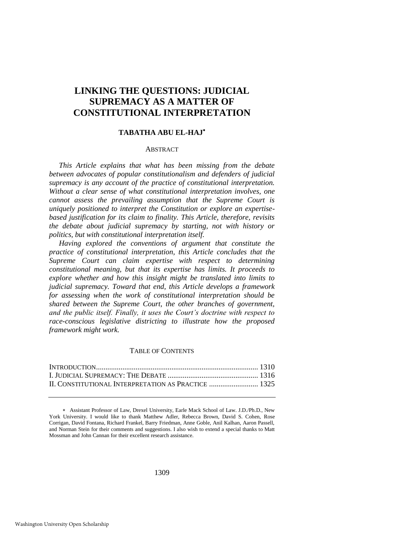### **LINKING THE QUESTIONS: JUDICIAL SUPREMACY AS A MATTER OF CONSTITUTIONAL INTERPRETATION**

#### **TABATHA ABU EL-HAJ**

#### **ABSTRACT**

*This Article explains that what has been missing from the debate between advocates of popular constitutionalism and defenders of judicial supremacy is any account of the practice of constitutional interpretation. Without a clear sense of what constitutional interpretation involves, one cannot assess the prevailing assumption that the Supreme Court is uniquely positioned to interpret the Constitution or explore an expertisebased justification for its claim to finality. This Article, therefore, revisits the debate about judicial supremacy by starting, not with history or politics, but with constitutional interpretation itself.* 

*Having explored the conventions of argument that constitute the practice of constitutional interpretation, this Article concludes that the Supreme Court can claim expertise with respect to determining constitutional meaning, but that its expertise has limits. It proceeds to explore whether and how this insight might be translated into limits to judicial supremacy. Toward that end, this Article develops a framework for assessing when the work of constitutional interpretation should be shared between the Supreme Court, the other branches of government, and the public itself. Finally, it uses the Court"s doctrine with respect to race-conscious legislative districting to illustrate how the proposed framework might work.* 

#### TABLE OF CONTENTS

 Assistant Professor of Law, Drexel University, Earle Mack School of Law. J.D./Ph.D., New York University. I would like to thank Matthew Adler, Rebecca Brown, David S. Cohen, Rose Corrigan, David Fontana, Richard Frankel, Barry Friedman, Anne Goble, Anil Kalhan, Aaron Passell, and Norman Stein for their comments and suggestions. I also wish to extend a special thanks to Matt Mossman and John Cannan for their excellent research assistance.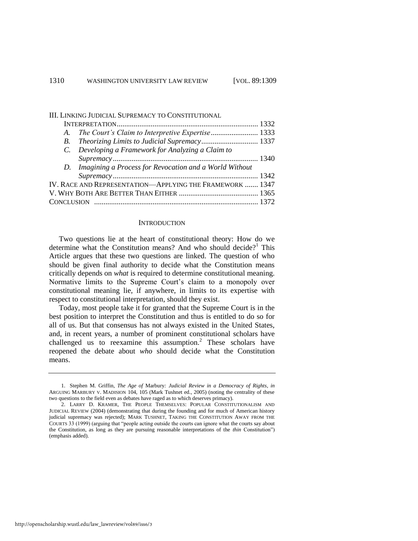#### III. LINKING JUDICIAL SUPREMACY TO CONSTITUTIONAL

| IV. RACE AND REPRESENTATION—APPLYING THE FRAMEWORK  1347 |
|----------------------------------------------------------|
|                                                          |
|                                                          |
|                                                          |

#### <span id="page-2-1"></span><span id="page-2-0"></span>**INTRODUCTION**

Two questions lie at the heart of constitutional theory: How do we determine what the Constitution means? And who should decide?<sup>1</sup> This Article argues that these two questions are linked. The question of who should be given final authority to decide what the Constitution means critically depends on *what* is required to determine constitutional meaning. Normative limits to the Supreme Court's claim to a monopoly over constitutional meaning lie, if anywhere, in limits to its expertise with respect to constitutional interpretation, should they exist.

Today, most people take it for granted that the Supreme Court is in the best position to interpret the Constitution and thus is entitled to do so for all of us. But that consensus has not always existed in the United States, and, in recent years, a number of prominent constitutional scholars have challenged us to reexamine this assumption.<sup>2</sup> These scholars have reopened the debate about *who* should decide what the Constitution means.

<sup>1.</sup> Stephen M. Griffin, *The Age of* Marbury*: Judicial Review in a Democracy of Rights*, *in*  ARGUING MARBURY V. MADISION 104, 105 (Mark Tushnet ed., 2005) (noting the centrality of these two questions to the field even as debates have raged as to which deserves primacy).

<sup>2.</sup> LARRY D. KRAMER, THE PEOPLE THEMSELVES: POPULAR CONSTITUTIONALISM AND JUDICIAL REVIEW (2004) (demonstrating that during the founding and for much of American history judicial supremacy was rejected); MARK TUSHNET, TAKING THE CONSTITUTION AWAY FROM THE COURTS 33 (1999) (arguing that "people acting outside the courts can ignore what the courts say about the Constitution, as long as they are pursuing reasonable interpretations of the *thin* Constitution‖) (emphasis added).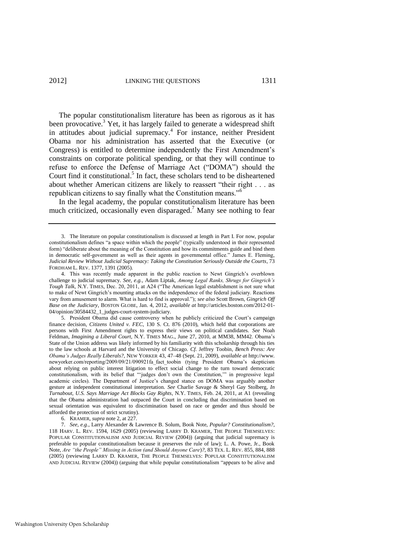The popular constitutionalism literature has been as rigorous as it has been provocative.<sup>3</sup> Yet, it has largely failed to generate a widespread shift in attitudes about judicial supremacy.<sup>4</sup> For instance, neither President Obama nor his administration has asserted that the Executive (or Congress) is entitled to determine independently the First Amendment's constraints on corporate political spending, or that they will continue to refuse to enforce the Defense of Marriage Act ("DOMA") should the Court find it constitutional.<sup>5</sup> In fact, these scholars tend to be disheartened about whether American citizens are likely to reassert "their right . . . as republican citizens to say finally what the Constitution means.<sup>56</sup>

<span id="page-3-0"></span>In the legal academy, the popular constitutionalism literature has been much criticized, occasionally even disparaged.<sup>7</sup> Many see nothing to fear

5. President Obama did cause controversy when he publicly criticized the Court's campaign finance decision, *Citizens United v. FEC*, 130 S. Ct. 876 (2010), which held that corporations are persons with First Amendment rights to express their views on political candidates. *See* Noah Feldman, *Imagining a Liberal Court*, N.Y. TIMES MAG., June 27, 2010, at MM38, MM42. Obama's State of the Union address was likely informed by his familiarity with this scholarship through his ties to the law schools at Harvard and the University of Chicago. *Cf*. Jeffrey Toobin, *Bench Press: Are Obama"s Judges Really Liberals?*, NEW YORKER 43, 47–48 (Sept. 21, 2009), *available at* http://www. newyorker.com/reporting/2009/09/21/090921fa\_fact\_toobin (tying President Obama's skepticism about relying on public interest litigation to effect social change to the turn toward democratic constitutionalism, with its belief that "judges don't own the Constitution," in progressive legal academic circles). The Department of Justice's changed stance on DOMA was arguably another gesture at independent constitutional interpretation. *See* Charlie Savage & Sheryl Gay Stolberg, *In Turnabout, U.S. Says Marriage Act Blocks Gay Rights*, N.Y. TIMES, Feb. 24, 2011, at A1 (revealing that the Obama administration had outpaced the Court in concluding that discrimination based on sexual orientation was equivalent to discrimination based on race or gender and thus should be afforded the protection of strict scrutiny).

6. KRAMER, *supra* not[e 2,](#page-2-0) at 227.

7. *See, e.g.*, Larry Alexander & Lawrence B. Solum, Book Note, *Popular? Constitutionalism?*, 118 HARV. L. REV. 1594, 1629 (2005) (reviewing LARRY D. KRAMER, THE PEOPLE THEMSELVES: POPULAR CONSTITUTIONALISM AND JUDICIAL REVIEW (2004)) (arguing that judicial supremacy is preferable to popular constitutionalism because it preserves the rule of law); L. A. Powe, Jr., Book Note, *Are "the People" Missing in Action (and Should Anyone Care*)*?*, 83 TEX. L. REV. 855, 884, 888 (2005) (reviewing LARRY D. KRAMER, THE PEOPLE THEMSELVES: POPULAR CONSTITUTIONALISM AND JUDICIAL REVIEW (2004)) (arguing that while popular constitutionalism "appears to be alive and

<sup>3.</sup> The literature on popular constitutionalism is discussed at length in Part I. For now, popular constitutionalism defines "a space within which the people" (typically understood in their represented form) "deliberate about the meaning of the Constitution and how its commitments guide and bind them in democratic self-government as well as their agents in governmental office." James E. Fleming, *Judicial Review Without Judicial Supremacy: Taking the Constitution Seriously Outside the Courts*, 73 FORDHAM L. REV. 1377, 1391 (2005).

<sup>4.</sup> This was recently made apparent in the public reaction to Newt Gingrich's overblown challenge to judicial supremacy. *See, e.g.*, Adam Liptak, *Among Legal Ranks, Shrugs for Gingrich"s Tough Talk*, N.Y. TIMES, Dec. 20, 2011, at A24 ("The American legal establishment is not sure what to make of Newt Gingrich's mounting attacks on the independence of the federal judiciary. Reactions vary from amusement to alarm. What is hard to find is approval."); see also Scott Brown, *Gingrich Off Base on the Judiciary*, BOSTON GLOBE, Jan. 4, 2012, *available at* http://articles.boston.com/2012-01- 04/opinion/30584432\_1\_judges-court-system-judiciary.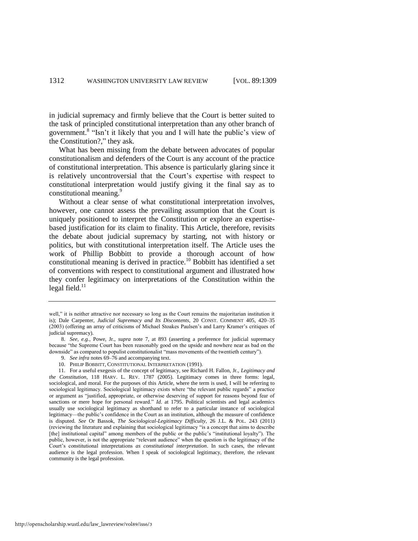in judicial supremacy and firmly believe that the Court is better suited to the task of principled constitutional interpretation than any other branch of government.<sup>8</sup> "Isn't it likely that you and I will hate the public's view of the Constitution?," they ask.

What has been missing from the debate between advocates of popular constitutionalism and defenders of the Court is any account of the practice of constitutional interpretation. This absence is particularly glaring since it is relatively uncontroversial that the Court's expertise with respect to constitutional interpretation would justify giving it the final say as to constitutional meaning.<sup>9</sup>

Without a clear sense of what constitutional interpretation involves, however, one cannot assess the prevailing assumption that the Court is uniquely positioned to interpret the Constitution or explore an expertisebased justification for its claim to finality. This Article, therefore, revisits the debate about judicial supremacy by starting, not with history or politics, but with constitutional interpretation itself. The Article uses the work of Phillip Bobbitt to provide a thorough account of how constitutional meaning is derived in practice.<sup>10</sup> Bobbitt has identified a set of conventions with respect to constitutional argument and illustrated how they confer legitimacy on interpretations of the Constitution within the legal field. $^{11}$ 

- 9. *See infra* notes [69–](#page-17-0)[76 a](#page-19-0)nd accompanying text.
- 10. PHILIP BOBBITT, CONSTITUTIONAL INTERPRETATION (1991).

<span id="page-4-1"></span><span id="page-4-0"></span>well," it is neither attractive nor necessary so long as the Court remains the majoritarian institution it is); Dale Carpenter, *Judicial Supremacy and Its Discontents*, 20 CONST. COMMENT 405, 420–35 (2003) (offering an array of criticisms of Michael Stoakes Paulsen's and Larry Kramer's critiques of judicial supremacy).

<sup>8.</sup> *See, e.g.*, Powe, Jr., *supra* note [7,](#page-3-0) at 893 (asserting a preference for judicial supremacy because "the Supreme Court has been reasonably good on the upside and nowhere near as bad on the downside" as compared to populist constitutionalist "mass movements of the twentieth century").

<sup>11.</sup> For a useful exegesis of the concept of legitimacy, see Richard H. Fallon, Jr., *Legitimacy and the Constitution*, 118 HARV. L. REV. 1787 (2005). Legitimacy comes in three forms: legal, sociological, and moral. For the purposes of this Article, where the term is used, I will be referring to sociological legitimacy. Sociological legitimacy exists where "the relevant public regards" a practice or argument as "justified, appropriate, or otherwise deserving of support for reasons beyond fear of sanctions or mere hope for personal reward." *Id.* at 1795. Political scientists and legal academics usually use sociological legitimacy as shorthand to refer to a particular instance of sociological legitimacy—the public's confidence in the Court as an institution, although the measure of confidence is disputed. *See* Or Bassok, *The Sociological-Legitimacy Difficulty*, 26 J.L. & POL. 243 (2011) (reviewing the literature and explaining that sociological legitimacy "is a concept that aims to describe [the] institutional capital" among members of the public or the public's "institutional loyalty"). The public, however, is not the appropriate "relevant audience" when the question is the legitimacy of the Court's constitutional interpretations *as constitutional interpretation*. In such cases, the relevant audience is the legal profession. When I speak of sociological legitimacy, therefore, the relevant community is the legal profession.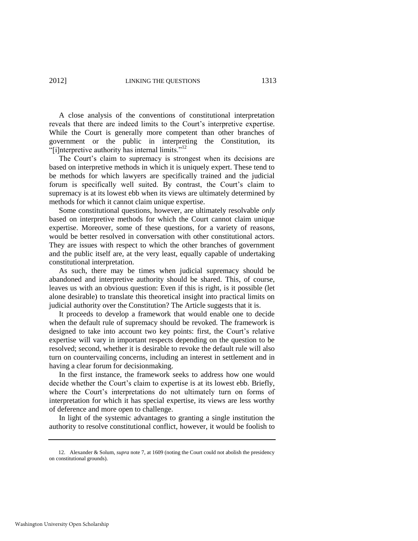A close analysis of the conventions of constitutional interpretation reveals that there are indeed limits to the Court's interpretive expertise. While the Court is generally more competent than other branches of government or the public in interpreting the Constitution, its "[i]nterpretive authority has internal limits."<sup>12</sup>

The Court's claim to supremacy is strongest when its decisions are based on interpretive methods in which it is uniquely expert. These tend to be methods for which lawyers are specifically trained and the judicial forum is specifically well suited. By contrast, the Court's claim to supremacy is at its lowest ebb when its views are ultimately determined by methods for which it cannot claim unique expertise.

Some constitutional questions, however, are ultimately resolvable *only*  based on interpretive methods for which the Court cannot claim unique expertise. Moreover, some of these questions, for a variety of reasons, would be better resolved in conversation with other constitutional actors. They are issues with respect to which the other branches of government and the public itself are, at the very least, equally capable of undertaking constitutional interpretation.

As such, there may be times when judicial supremacy should be abandoned and interpretive authority should be shared. This, of course, leaves us with an obvious question: Even if this is right, is it possible (let alone desirable) to translate this theoretical insight into practical limits on judicial authority over the Constitution? The Article suggests that it is.

It proceeds to develop a framework that would enable one to decide when the default rule of supremacy should be revoked. The framework is designed to take into account two key points: first, the Court's relative expertise will vary in important respects depending on the question to be resolved; second, whether it is desirable to revoke the default rule will also turn on countervailing concerns, including an interest in settlement and in having a clear forum for decisionmaking.

In the first instance, the framework seeks to address how one would decide whether the Court's claim to expertise is at its lowest ebb. Briefly, where the Court's interpretations do not ultimately turn on forms of interpretation for which it has special expertise, its views are less worthy of deference and more open to challenge.

In light of the systemic advantages to granting a single institution the authority to resolve constitutional conflict, however, it would be foolish to

<sup>12.</sup> Alexander & Solum, *supra* not[e 7,](#page-3-0) at 1609 (noting the Court could not abolish the presidency on constitutional grounds).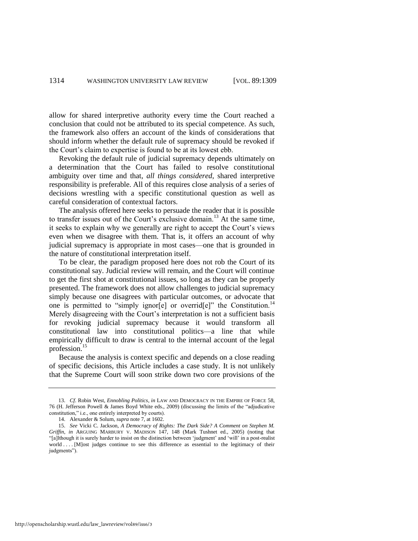allow for shared interpretive authority every time the Court reached a conclusion that could not be attributed to its special competence. As such, the framework also offers an account of the kinds of considerations that should inform whether the default rule of supremacy should be revoked if the Court's claim to expertise is found to be at its lowest ebb.

Revoking the default rule of judicial supremacy depends ultimately on a determination that the Court has failed to resolve constitutional ambiguity over time and that, *all things considered*, shared interpretive responsibility is preferable. All of this requires close analysis of a series of decisions wrestling with a specific constitutional question as well as careful consideration of contextual factors.

<span id="page-6-1"></span>The analysis offered here seeks to persuade the reader that it is possible to transfer issues out of the Court's exclusive domain.<sup>13</sup> At the same time, it seeks to explain why we generally are right to accept the Court's views even when we disagree with them. That is, it offers an account of why judicial supremacy is appropriate in most cases—one that is grounded in the nature of constitutional interpretation itself.

To be clear, the paradigm proposed here does not rob the Court of its constitutional say. Judicial review will remain, and the Court will continue to get the first shot at constitutional issues, so long as they can be properly presented. The framework does not allow challenges to judicial supremacy simply because one disagrees with particular outcomes, or advocate that one is permitted to "simply ignor[e] or overrid[e]" the Constitution.<sup>14</sup> Merely disagreeing with the Court's interpretation is not a sufficient basis for revoking judicial supremacy because it would transform all constitutional law into constitutional politics—a line that while empirically difficult to draw is central to the internal account of the legal profession.<sup>15</sup>

<span id="page-6-0"></span>Because the analysis is context specific and depends on a close reading of specific decisions, this Article includes a case study. It is not unlikely that the Supreme Court will soon strike down two core provisions of the

<sup>13.</sup> *Cf*. Robin West, *Ennobling Politics*, *in* LAW AND DEMOCRACY IN THE EMPIRE OF FORCE 58, 76 (H. Jefferson Powell & James Boyd White eds., 2009) (discussing the limits of the "adjudicative" constitution," i.e., one entirely interpreted by courts).

<sup>14.</sup> Alexander & Solum, *supra* not[e 7,](#page-3-0) at 1602.

<sup>15.</sup> *See* Vicki C. Jackson, *A Democracy of Rights: The Dark Side? A Comment on Stephen M. Griffin*, *in* ARGUING MARBURY V. MADISON 147, 148 (Mark Tushnet ed., 2005) (noting that ―[a]lthough it is surely harder to insist on the distinction between ‗judgment' and ‗will' in a post-realist world . . . [M]ost judges continue to see this difference as essential to the legitimacy of their judgments").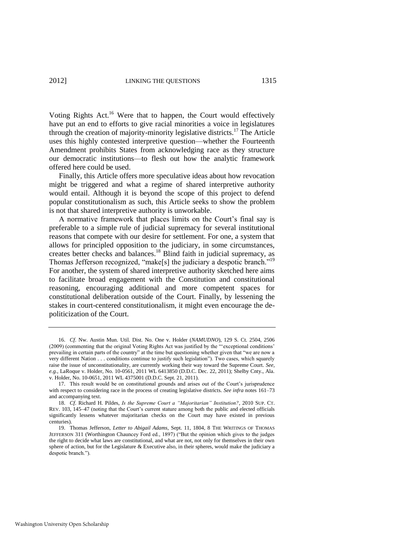Voting Rights Act.<sup>16</sup> Were that to happen, the Court would effectively have put an end to efforts to give racial minorities a voice in legislatures through the creation of majority-minority legislative districts.<sup>17</sup> The Article uses this highly contested interpretive question—whether the Fourteenth Amendment prohibits States from acknowledging race as they structure our democratic institutions—to flesh out how the analytic framework offered here could be used.

Finally, this Article offers more speculative ideas about how revocation might be triggered and what a regime of shared interpretive authority would entail. Although it is beyond the scope of this project to defend popular constitutionalism as such, this Article seeks to show the problem is not that shared interpretive authority is unworkable.

<span id="page-7-1"></span><span id="page-7-0"></span>A normative framework that places limits on the Court's final say is preferable to a simple rule of judicial supremacy for several institutional reasons that compete with our desire for settlement. For one, a system that allows for principled opposition to the judiciary, in some circumstances, creates better checks and balances.<sup>18</sup> Blind faith in judicial supremacy, as Thomas Jefferson recognized, "make[s] the judiciary a despotic branch."<sup>19</sup> For another, the system of shared interpretive authority sketched here aims to facilitate broad engagement with the Constitution and constitutional reasoning, encouraging additional and more competent spaces for constitutional deliberation outside of the Court. Finally, by lessening the stakes in court-centered constitutionalism, it might even encourage the depoliticization of the Court.

<sup>16.</sup> *Cf*. Nw. Austin Mun. Util. Dist. No. One v. Holder (*NAMUDNO*), 129 S. Ct. 2504, 2506 (2009) (commenting that the original Voting Rights Act was justified by the "exceptional conditions' prevailing in certain parts of the country" at the time but questioning whether given that "we are now a very different Nation . . . conditions continue to justify such legislation"). Two cases, which squarely raise the issue of unconstitutionality, are currently working their way toward the Supreme Court. *See, e.g.*, LaRoque v. Holder, No. 10-0561, 2011 WL 6413850 (D.D.C. Dec. 22, 2011); Shelby Cnty., Ala. v. Holder, No. 10-0651, 2011 WL 4375001 (D.D.C. Sept. 21, 2011).

<sup>17.</sup> This result would be on constitutional grounds and arises out of the Court's jurisprudence with respect to considering race in the process of creating legislative districts. *See infra* note[s 161–](#page-40-0)73 and accompanying text.

<sup>18.</sup> *Cf*. Richard H. Pildes, *Is the Supreme Court a "Majoritarian" Institution?*, 2010 SUP. CT. REV. 103, 145–47 (noting that the Court's current stature among both the public and elected officials significantly lessens whatever majoritarian checks on the Court may have existed in previous centuries).

<sup>19.</sup> Thomas Jefferson, *Letter to Abigail Adams*, Sept. 11, 1804, 8 THE WRITINGS OF THOMAS JEFFERSON 311 (Worthington Chauncey Ford ed., 1897) ("But the opinion which gives to the judges the right to decide what laws are constitutional, and what are not, not only for themselves in their own sphere of action, but for the Legislature & Executive also, in their spheres, would make the judiciary a despotic branch.").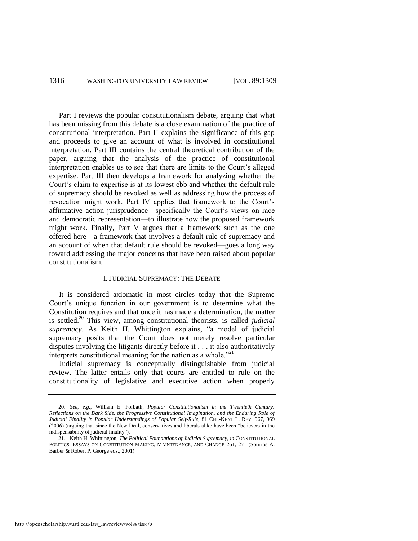Part I reviews the popular constitutionalism debate, arguing that what has been missing from this debate is a close examination of the practice of constitutional interpretation. Part II explains the significance of this gap and proceeds to give an account of what is involved in constitutional interpretation. Part III contains the central theoretical contribution of the paper, arguing that the analysis of the practice of constitutional interpretation enables us to see that there are limits to the Court's alleged expertise. Part III then develops a framework for analyzing whether the Court's claim to expertise is at its lowest ebb and whether the default rule of supremacy should be revoked as well as addressing how the process of revocation might work. Part IV applies that framework to the Court's affirmative action jurisprudence—specifically the Court's views on race and democratic representation—to illustrate how the proposed framework might work. Finally, Part V argues that a framework such as the one offered here—a framework that involves a default rule of supremacy and an account of when that default rule should be revoked—goes a long way toward addressing the major concerns that have been raised about popular constitutionalism.

#### <span id="page-8-0"></span>I. JUDICIAL SUPREMACY: THE DEBATE

<span id="page-8-1"></span>It is considered axiomatic in most circles today that the Supreme Court's unique function in our government is to determine what the Constitution requires and that once it has made a determination, the matter is settled.<sup>20</sup> This view, among constitutional theorists, is called *judicial*  supremacy. As Keith H. Whittington explains, "a model of judicial supremacy posits that the Court does not merely resolve particular disputes involving the litigants directly before it . . . it also authoritatively interprets constitutional meaning for the nation as a whole. $121$ 

Judicial supremacy is conceptually distinguishable from judicial review. The latter entails only that courts are entitled to rule on the constitutionality of legislative and executive action when properly

<sup>20.</sup> *See, e.g.*, William E. Forbath, *Popular Constitutionalism in the Twentieth Century: Reflections on the Dark Side, the Progressive Constitutional Imagination, and the Enduring Role of Judicial Finality in Popular Understandings of Popular Self-Rule*, 81 CHI.-KENT L. REV. 967, 969 (2006) (arguing that since the New Deal, conservatives and liberals alike have been "believers in the indispensability of judicial finality").

<sup>21.</sup> Keith H. Whittington, *The Political Foundations of Judicial Supremacy*, *in* CONSTITUTIONAL POLITICS: ESSAYS ON CONSTITUTION MAKING, MAINTENANCE, AND CHANGE 261, 271 (Sotirios A. Barber & Robert P. George eds., 2001).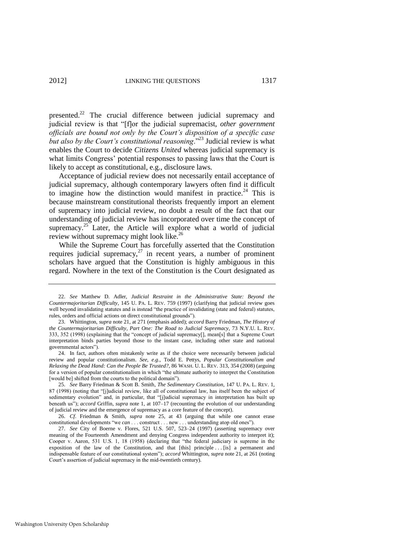<span id="page-9-1"></span>presented.<sup>22</sup> The crucial difference between judicial supremacy and judicial review is that "[f]or the judicial supremacist, *other government officials are bound not only by the Court"s disposition of a specific case*  but also by the Court's constitutional reasoning.<sup>"23</sup> Judicial review is what enables the Court to decide *Citizens United* whereas judicial supremacy is what limits Congress' potential responses to passing laws that the Court is likely to accept as constitutional, e.g., disclosure laws.

<span id="page-9-2"></span>Acceptance of judicial review does not necessarily entail acceptance of judicial supremacy, although contemporary lawyers often find it difficult to imagine how the distinction would manifest in practice.<sup>24</sup> This is because mainstream constitutional theorists frequently import an element of supremacy into judicial review, no doubt a result of the fact that our understanding of judicial review has incorporated over time the concept of supremacy.<sup>25</sup> Later, the Article will explore what a world of judicial review without supremacy might look like.<sup>26</sup>

<span id="page-9-0"></span>While the Supreme Court has forcefully asserted that the Constitution requires judicial supremacy, $27$  in recent years, a number of prominent scholars have argued that the Constitution is highly ambiguous in this regard. Nowhere in the text of the Constitution is the Court designated as

<sup>22.</sup> *See* Matthew D. Adler, *Judicial Restraint in the Administrative State: Beyond the Countermajoritarian Difficulty*, 145 U. PA. L. REV. 759 (1997) (clarifying that judicial review goes well beyond invalidating statutes and is instead "the practice of invalidating (state and federal) statutes, rules, orders and official actions on direct constitutional grounds").

<sup>23.</sup> Whittington, *supra* not[e 21,](#page-8-0) at 271 (emphasis added); *accord* Barry Friedman, *The History of the Countermajoritarian Difficulty, Part One: The Road to Judicial Supremacy*, 73 N.Y.U. L. REV. 333, 352 (1998) (explaining that the "concept of judicial supremacy<sup>[]</sup>, mean<sup>[s]</sup> that a Supreme Court interpretation binds parties beyond those to the instant case, including other state and national governmental actors").

<sup>24.</sup> In fact, authors often mistakenly write as if the choice were necessarily between judicial review and popular constitutionalism. *See, e.g.*, Todd E. Pettys, *Popular Constitutionalism and Relaxing the Dead Hand: Can the People Be Trusted?*, 86 WASH. U. L. REV. 313, 354 (2008) (arguing for a version of popular constitutionalism in which "the ultimate authority to interpret the Constitution [would be] shifted from the courts to the political domain").

<sup>25.</sup> *See* Barry Friedman & Scott B. Smith, *The Sedimentary Constitution*, 147 U. PA. L. REV. 1, 87 (1998) (noting that "[j]udicial review, like all of constitutional law, has itself been the subject of sedimentary evolution" and, in particular, that "[j]udicial supremacy in interpretation has built up beneath us"); *accord* Griffin, *supra* note [1,](#page-2-1) at 107–17 (recounting the evolution of our understanding of judicial review and the emergence of supremacy as a core feature of the concept).

<sup>26.</sup> *Cf*. Friedman & Smith, *supra* note [25,](#page-9-0) at 43 (arguing that while one cannot erase constitutional developments "we *can* . . . construct . . . new . . . understanding atop old ones").

<sup>27.</sup> *See* City of Boerne v. Flores, 521 U.S. 507, 523–24 (1997) (asserting supremacy over meaning of the Fourteenth Amendment and denying Congress independent authority to interpret it); Cooper v. Aaron, 531 U.S. 1, 18 (1958) (declaring that "the federal judiciary is supreme in the exposition of the law of the Constitution, and that [this] principle . . [is] a permanent and indispensable feature of our constitutional system"); *accord* Whittington, *supra* not[e 21,](#page-8-0) at 261 (noting Court's assertion of judicial supremacy in the mid-twentieth century).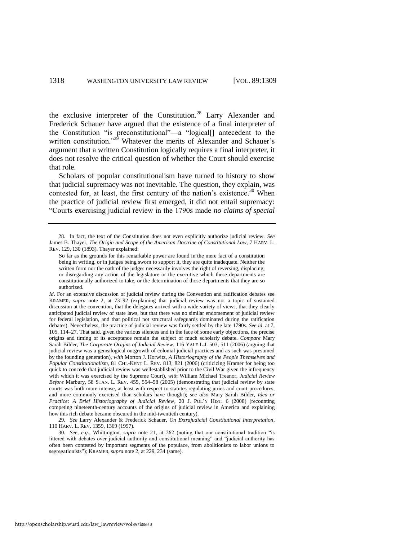<span id="page-10-1"></span><span id="page-10-0"></span>the exclusive interpreter of the Constitution.<sup>28</sup> Larry Alexander and Frederick Schauer have argued that the existence of a final interpreter of the Constitution "is preconstitutional"—a "logical[] antecedent to the written constitution."<sup>29</sup> Whatever the merits of Alexander and Schauer's argument that a written Constitution logically requires a final interpreter, it does not resolve the critical question of whether the Court should exercise that role.

Scholars of popular constitutionalism have turned to history to show that judicial supremacy was not inevitable. The question, they explain, was contested for, at least, the first century of the nation's existence.<sup>30</sup> When the practice of judicial review first emerged, it did not entail supremacy: ―Courts exercising judicial review in the 1790s made *no claims of special* 

<sup>28.</sup> In fact, the text of the Constitution does not even explicitly authorize judicial review. *See* James B. Thayer, *The Origin and Scope of the American Doctrine of Constitutional Law*, 7 HARV. L. REV. 129, 130 (1893). Thayer explained:

So far as the grounds for this remarkable power are found in the mere fact of a constitution being in writing, or in judges being sworn to support it, they are quite inadequate. Neither the written form nor the oath of the judges necessarily involves the right of reversing, displacing, or disregarding any action of the legislature or the executive which these departments are constitutionally authorized to take, or the determination of those departments that they are so authorized.

*Id*. For an extensive discussion of judicial review during the Convention and ratification debates see KRAMER, *supra* note [2,](#page-2-0) at 73–92 (explaining that judicial review was not a topic of sustained discussion at the convention, that the delegates arrived with a wide variety of views, that they clearly anticipated judicial review of state laws, but that there was no similar endorsement of judicial review for federal legislation, and that political not structural safeguards dominated during the ratification debates). Nevertheless, the practice of judicial review was fairly settled by the late 1790s. *See id*. at 7, 105, 114–27. That said, given the various silences and in the face of some early objections, the precise origins and timing of its acceptance remain the subject of much scholarly debate. *Compare* Mary Sarah Bilder, *The Corporate Origins of Judicial Review*, 116 YALE L.J. 503, 511 (2006) (arguing that judicial review was a genealogical outgrowth of colonial judicial practices and as such was presumed by the founding generation), *with* Morton J. Horwitz, *A Historiography of the People Themselves and Popular Constitutionalism*, 81 CHI.-KENT L. REV. 813, 821 (2006) (criticizing Kramer for being too quick to concede that judicial review was wellestablished prior to the Civil War given the infrequency with which it was exercised by the Supreme Court), *with* William Michael Treanor, *Judicial Review Before* Marbury, 58 STAN. L. REV. 455, 554–58 (2005) (demonstrating that judicial review by state courts was both more intense, at least with respect to statutes regulating juries and court procedures, and more commonly exercised than scholars have thought); *see also* Mary Sarah Bilder, *Idea or Practice: A Brief Historiography of Judicial Review*, 20 J. POL'Y HIST. 6 (2008) (recounting competing nineteenth-century accounts of the origins of judicial review in America and explaining how this rich debate became obscured in the mid-twentieth century).

<sup>29.</sup> *See* Larry Alexander & Frederick Schauer, *On Extrajudicial Constitutional Interpretation*, 110 HARV. L. REV. 1359, 1369 (1997).

<sup>30.</sup> *See, e.g.*, Whittington, *supra* note [21,](#page-8-0) at 262 (noting that our constitutional tradition "is littered with debates over judicial authority and constitutional meaning" and "judicial authority has often been contested by important segments of the populace, from abolitionists to labor unions to segregationists"); KRAMER, *supra* not[e 2,](#page-2-0) at 229, 234 (same).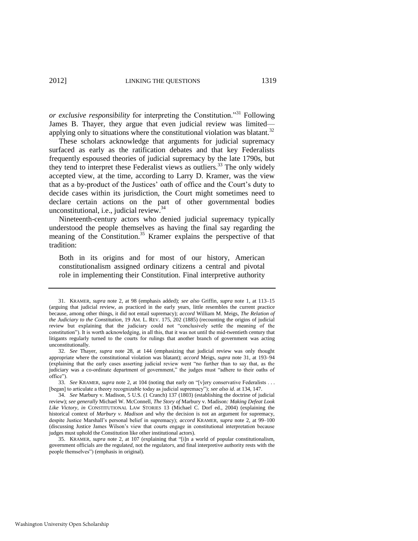<span id="page-11-0"></span>*or exclusive responsibility* for interpreting the Constitution."<sup>31</sup> Following James B. Thayer, they argue that even judicial review was limited applying only to situations where the constitutional violation was blatant.<sup>32</sup>

These scholars acknowledge that arguments for judicial supremacy surfaced as early as the ratification debates and that key Federalists frequently espoused theories of judicial supremacy by the late 1790s, but they tend to interpret these Federalist views as outliers.<sup>33</sup> The only widely accepted view, at the time, according to Larry D. Kramer, was the view that as a by-product of the Justices' oath of office and the Court's duty to decide cases within its jurisdiction, the Court might sometimes need to declare certain actions on the part of other governmental bodies unconstitutional, i.e., judicial review. $34$ 

<span id="page-11-1"></span>Nineteenth-century actors who denied judicial supremacy typically understood the people themselves as having the final say regarding the meaning of the Constitution.<sup>35</sup> Kramer explains the perspective of that tradition:

Both in its origins and for most of our history, American constitutionalism assigned ordinary citizens a central and pivotal role in implementing their Constitution. Final interpretive authority

<sup>31.</sup> KRAMER, *supra* note [2,](#page-2-0) at 98 (emphasis added); *see also* Griffin, *supra* note [1,](#page-2-1) at 113–15 (arguing that judicial review, as practiced in the early years, little resembles the current practice because, among other things, it did not entail supremacy); *accord* William M. Meigs, *The Relation of the Judiciary to the Constitution*, 19 AM. L. REV. 175, 202 (1885) (recounting the origins of judicial review but explaining that the judiciary could not "conclusively settle the meaning of the constitution"). It is worth acknowledging, in all this, that it was not until the mid-twentieth century that litigants regularly turned to the courts for rulings that another branch of government was acting unconstitutionally.

<sup>32.</sup> *See* Thayer, *supra* note [28,](#page-10-0) at 144 (emphasizing that judicial review was only thought appropriate where the constitutional violation was blatant); *accord* Meigs, *supra* note [31,](#page-11-0) at 193–94 (explaining that the early cases asserting judicial review went "no further than to say that, as the judiciary was a co-ordinate department of government," the judges must "adhere to their oaths of office").

<sup>33.</sup> *See* KRAMER, *supra* note [2,](#page-2-0) at 104 (noting that early on "[v]ery conservative Federalists . . . [began] to articulate a theory recognizable today as judicial supremacy"); *see also id.* at 134, 147.

<sup>34.</sup> *See* Marbury v. Madison, 5 U.S. (1 Cranch) 137 (1803) (establishing the doctrine of judicial review); *see generally* Michael W. McConnell, *The Story of* Marbury v. Madison*: Making Defeat Look Like Victory*, *in* CONSTITUTIONAL LAW STORIES 13 (Michael C. Dorf ed., 2004) (explaining the historical context of *Marbury v. Madison* and why the decision is not an argument for supremacy, despite Justice Marshall's personal belief in supremacy); *accord* KRAMER, *supra* note [2,](#page-2-0) at 99–100 (discussing Justice James Wilson's view that courts engage in constitutional interpretation because judges must uphold the Constitution like other institutional actors).

<sup>35.</sup> KRAMER, *supra* note [2,](#page-2-0) at 107 (explaining that "[i]n a world of popular constitutionalism, government officials are the regulat*ed*, not the regulat*ors*, and final interpretive authority rests with the people themselves") (emphasis in original).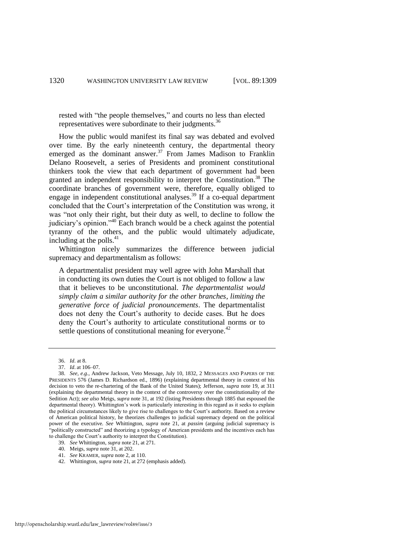<span id="page-12-0"></span>rested with "the people themselves," and courts no less than elected representatives were subordinate to their judgments.<sup>36</sup>

How the public would manifest its final say was debated and evolved over time. By the early nineteenth century, the departmental theory emerged as the dominant answer.<sup>37</sup> From James Madison to Franklin Delano Roosevelt, a series of Presidents and prominent constitutional thinkers took the view that each department of government had been granted an independent responsibility to interpret the Constitution.<sup>38</sup> The coordinate branches of government were, therefore, equally obliged to engage in independent constitutional analyses.<sup>39</sup> If a co-equal department concluded that the Court's interpretation of the Constitution was wrong, it was "not only their right, but their duty as well, to decline to follow the judiciary's opinion."<sup>40</sup> Each branch would be a check against the potential tyranny of the others, and the public would ultimately adjudicate, including at the polls. $41$ 

Whittington nicely summarizes the difference between judicial supremacy and departmentalism as follows:

A departmentalist president may well agree with John Marshall that in conducting its own duties the Court is not obliged to follow a law that it believes to be unconstitutional. *The departmentalist would simply claim a similar authority for the other branches*, *limiting the generative force of judicial pronouncements*. The departmentalist does not deny the Court's authority to decide cases. But he does deny the Court's authority to articulate constitutional norms or to settle questions of constitutional meaning for everyone.<sup>42</sup>

41. *See* KRAMER, *supra* not[e 2,](#page-2-0) at 110.

<sup>36.</sup> *Id*. at 8.

<sup>37.</sup> *Id*. at 106–07.

<sup>38.</sup> *See, e.g.*, Andrew Jackson, Veto Message, July 10, 1832, 2 MESSAGES AND PAPERS OF THE PRESIDENTS 576 (James D. Richardson ed., 1896) (explaining departmental theory in context of his decision to veto the re-chartering of the Bank of the United States); Jefferson, *supra* note [19,](#page-7-0) at 311 (explaining the departmental theory in the context of the controversy over the constitutionality of the Sedition Act); *see also* Meigs, *supra* note [31,](#page-11-0) at 192 (listing Presidents through 1885 that espoused the departmental theory). Whittington's work is particularly interesting in this regard as it seeks to explain the political circumstances likely to give rise to challenges to the Court's authority. Based on a review of American political history, he theorizes challenges to judicial supremacy depend on the political power of the executive. *See* Whittington, *supra* note [21,](#page-8-0) at *passim* (arguing judicial supremacy is ―politically constructed‖ and theorizing a typology of American presidents and the incentives each has to challenge the Court's authority to interpret the Constitution).

<sup>39.</sup> *See* Whittington, *supra* not[e 21,](#page-8-0) at 271.

<sup>40.</sup> Meigs, *supra* not[e 31,](#page-11-0) at 202.

<sup>42.</sup> Whittington, *supra* not[e 21,](#page-8-0) at 272 (emphasis added).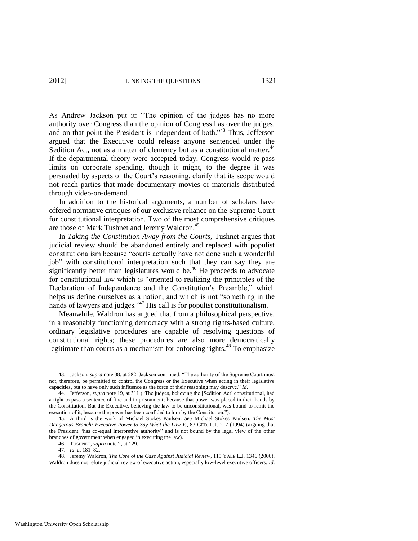As Andrew Jackson put it: "The opinion of the judges has no more authority over Congress than the opinion of Congress has over the judges, and on that point the President is independent of both.<sup> $34$ </sup> Thus, Jefferson argued that the Executive could release anyone sentenced under the Sedition Act, not as a matter of clemency but as a constitutional matter.<sup>44</sup> If the departmental theory were accepted today, Congress would re-pass limits on corporate spending, though it might, to the degree it was persuaded by aspects of the Court's reasoning, clarify that its scope would not reach parties that made documentary movies or materials distributed through video-on-demand.

In addition to the historical arguments, a number of scholars have offered normative critiques of our exclusive reliance on the Supreme Court for constitutional interpretation. Two of the most comprehensive critiques are those of Mark Tushnet and Jeremy Waldron.<sup>45</sup>

<span id="page-13-1"></span>In *Taking the Constitution Away from the Courts*, Tushnet argues that judicial review should be abandoned entirely and replaced with populist constitutionalism because "courts actually have not done such a wonderful job" with constitutional interpretation such that they can say they are significantly better than legislatures would be.<sup>46</sup> He proceeds to advocate for constitutional law which is "oriented to realizing the principles of the Declaration of Independence and the Constitution's Preamble," which helps us define ourselves as a nation, and which is not "something in the hands of lawyers and judges." $47$  His call is for populist constitutionalism.

Meanwhile, Waldron has argued that from a philosophical perspective, in a reasonably functioning democracy with a strong rights-based culture, ordinary legislative procedures are capable of resolving questions of constitutional rights; these procedures are also more democratically legitimate than courts as a mechanism for enforcing rights.<sup>48</sup> To emphasize

<span id="page-13-0"></span><sup>43.</sup> Jackson, *supra* not[e 38,](#page-12-0) at 582. Jackson continued: "The authority of the Supreme Court must not, therefore, be permitted to control the Congress or the Executive when acting in their legislative capacities, but to have only such influence as the force of their reasoning may deserve." Id.

<sup>44.</sup> Jefferson, *supra* note [19,](#page-7-0) at 311 ("The judges, believing the [Sedition Act] constitutional, had a right to pass a sentence of fine and imprisonment; because that power was placed in their hands by the Constitution. But the Executive, believing the law to be unconstitutional, was bound to remit the execution of it; because the power has been confided to him by the Constitution.").

<sup>45.</sup> A third is the work of Michael Stokes Paulsen. *See* Michael Stokes Paulsen, *The Most Dangerous Branch: Executive Power to Say What the Law Is*, 83 GEO. L.J. 217 (1994) (arguing that the President "has co-equal interpretive authority" and is not bound by the legal view of the other branches of government when engaged in executing the law).

<sup>46.</sup> TUSHNET, *supra* note [2,](#page-2-0) at 129.

<sup>47.</sup> *Id*. at 181–82.

<sup>48.</sup> Jeremy Waldron, *The Core of the Case Against Judicial Review*, 115 YALE L.J. 1346 (2006). Waldron does not refute judicial review of executive action, especially low-level executive officers. *Id*.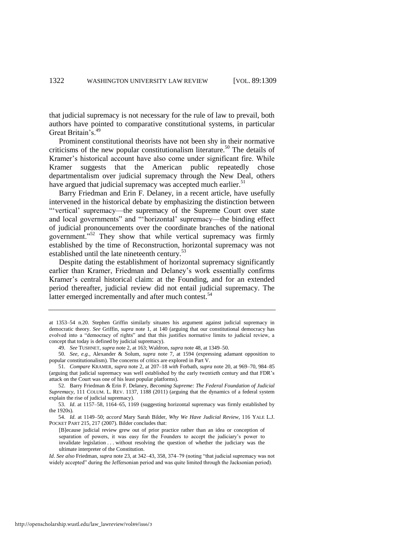that judicial supremacy is not necessary for the rule of law to prevail, both authors have pointed to comparative constitutional systems, in particular Great Britain's.<sup>49</sup>

Prominent constitutional theorists have not been shy in their normative criticisms of the new popular constitutionalism literature.<sup>50</sup> The details of Kramer's historical account have also come under significant fire. While Kramer suggests that the American public repeatedly chose departmentalism over judicial supremacy through the New Deal, others have argued that judicial supremacy was accepted much earlier.<sup>51</sup>

Barry Friedman and Erin F. Delaney, in a recent article, have usefully intervened in the historical debate by emphasizing the distinction between ―‗vertical' supremacy—the supremacy of the Supreme Court over state and local governments" and "'horizontal' supremacy—the binding effect of judicial pronouncements over the coordinate branches of the national government.<sup>552</sup> They show that while vertical supremacy was firmly established by the time of Reconstruction, horizontal supremacy was not established until the late nineteenth century.<sup>53</sup>

Despite dating the establishment of horizontal supremacy significantly earlier than Kramer, Friedman and Delaney's work essentially confirms Kramer's central historical claim: at the Founding, and for an extended period thereafter, judicial review did not entail judicial supremacy. The latter emerged incrementally and after much contest.<sup>54</sup>

at 1353–54 n.20. Stephen Griffin similarly situates his argument against judicial supremacy in democratic theory. *See* Griffin, *supra* note [1,](#page-2-1) at 140 (arguing that our constitutional democracy has evolved into a "democracy of rights" and that this justifies normative limits to judicial review, a concept that today is defined by judicial supremacy).

<sup>49.</sup> *See* TUSHNET, *supra* not[e 2,](#page-2-0) at 163; Waldron, *supra* not[e 48,](#page-13-0) at 1349–50.

<sup>50.</sup> *See, e.g.*, Alexander & Solum, *supra* note [7,](#page-3-0) at 1594 (expressing adamant opposition to popular constitutionalism). The concerns of critics are explored in Part V.

<sup>51.</sup> *Compare* KRAMER, *supra* not[e 2,](#page-2-0) at 207–18 *with* Forbath, *supra* not[e 20,](#page-8-1) at 969–70, 984–85 (arguing that judicial supremacy was well established by the early twentieth century and that FDR's attack on the Court was one of his least popular platforms).

<sup>52.</sup> Barry Friedman & Erin F. Delaney, *Becoming Supreme: The Federal Foundation of Judicial Supremacy*, 111 COLUM. L. REV. 1137, 1188 (2011) (arguing that the dynamics of a federal system explain the rise of judicial supremacy).

<sup>53.</sup> *Id*. at 1157–58, 1164–65, 1169 (suggesting horizontal supremacy was firmly established by the 1920s).

<sup>54.</sup> *Id*. at 1149–50; *accord* Mary Sarah Bilder, *Why We Have Judicial Review*, 116 YALE L.J. POCKET PART 215, 217 (2007). Bilder concludes that:

<sup>[</sup>B]ecause judicial review grew out of prior practice rather than an idea or conception of separation of powers, it was easy for the Founders to accept the judiciary's power to invalidate legislation . . . without resolving the question of whether the judiciary was the ultimate interpreter of the Constitution.

*Id. See also* Friedman, *supra* not[e 23,](#page-9-1) at 342–43, 358, 374–79 (noting "that judicial supremacy was not widely accepted" during the Jeffersonian period and was quite limited through the Jacksonian period).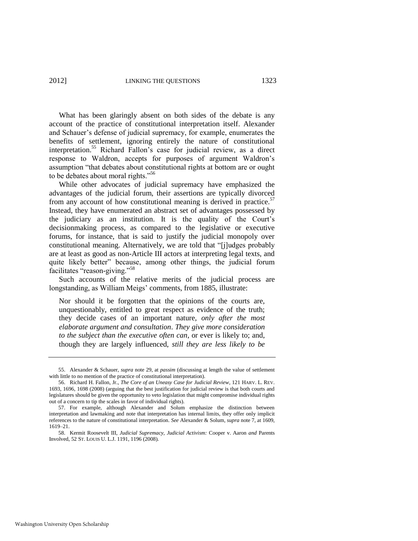What has been glaringly absent on both sides of the debate is any account of the practice of constitutional interpretation itself. Alexander and Schauer's defense of judicial supremacy, for example, enumerates the benefits of settlement, ignoring entirely the nature of constitutional interpretation.<sup>55</sup> Richard Fallon's case for judicial review, as a direct response to Waldron, accepts for purposes of argument Waldron's assumption "that debates about constitutional rights at bottom are or ought to be debates about moral rights."<sup>56</sup>

<span id="page-15-0"></span>While other advocates of judicial supremacy have emphasized the advantages of the judicial forum, their assertions are typically divorced from any account of how constitutional meaning is derived in practice.<sup>57</sup> Instead, they have enumerated an abstract set of advantages possessed by the judiciary as an institution. It is the quality of the Court's decisionmaking process, as compared to the legislative or executive forums, for instance, that is said to justify the judicial monopoly over constitutional meaning. Alternatively, we are told that "[j]udges probably are at least as good as non-Article III actors at interpreting legal texts, and quite likely better" because, among other things, the judicial forum facilitates "reason-giving."<sup>58</sup>

Such accounts of the relative merits of the judicial process are longstanding, as William Meigs' comments, from 1885, illustrate:

<span id="page-15-1"></span>Nor should it be forgotten that the opinions of the courts are, unquestionably, entitled to great respect as evidence of the truth; they decide cases of an important nature, *only after the most elaborate argument and consultation*. *They give more consideration to the subject than the executive often can*, or ever is likely to; and, though they are largely influenced, *still they are less likely to be* 

<sup>55.</sup> Alexander & Schauer, *supra* note [29,](#page-10-1) at *passim* (discussing at length the value of settlement with little to no mention of the practice of constitutional interpretation).

<sup>56.</sup> Richard H. Fallon, Jr., *The Core of an Uneasy Case for Judicial Review*, 121 HARV. L. REV. 1693, 1696, 1698 (2008) (arguing that the best justification for judicial review is that both courts and legislatures should be given the opportunity to veto legislation that might compromise individual rights out of a concern to tip the scales in favor of individual rights).

<sup>57.</sup> For example, although Alexander and Solum emphasize the distinction between interpretation and lawmaking and note that interpretation has internal limits, they offer only implicit references to the nature of constitutional interpretation. *See* Alexander & Solum, *supra* not[e 7,](#page-3-0) at 1609, 1619–21.

<sup>58.</sup> Kermit Roosevelt III, *Judicial Supremacy, Judicial Activism:* Cooper v. Aaron *and* Parents Involved, 52 ST. LOUIS U. L.J. 1191, 1196 (2008).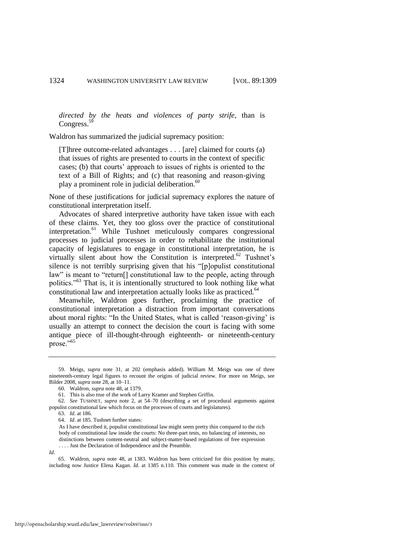*directed by the heats and violences of party strife*, than is Congress.<sup>59</sup>

Waldron has summarized the judicial supremacy position:

[T]hree outcome-related advantages . . . [are] claimed for courts (a) that issues of rights are presented to courts in the context of specific cases; (b) that courts' approach to issues of rights is oriented to the text of a Bill of Rights; and (c) that reasoning and reason-giving play a prominent role in judicial deliberation.<sup>60</sup>

None of these justifications for judicial supremacy explores the nature of constitutional interpretation itself.

Advocates of shared interpretive authority have taken issue with each of these claims. Yet, they too gloss over the practice of constitutional interpretation.<sup>61</sup> While Tushnet meticulously compares congressional processes to judicial processes in order to rehabilitate the institutional capacity of legislatures to engage in constitutional interpretation, he is virtually silent about how the Constitution is interpreted. $62$  Tushnet's silence is not terribly surprising given that his "[p]opulist constitutional law" is meant to "return<sup>[]</sup> constitutional law to the people, acting through politics."<sup>63</sup> That is, it is intentionally structured to look nothing like what constitutional law and interpretation actually looks like as practiced.<sup>64</sup>

Meanwhile, Waldron goes further, proclaiming the practice of constitutional interpretation a distraction from important conversations about moral rights: "In the United States, what is called 'reason-giving' is usually an attempt to connect the decision the court is facing with some antique piece of ill-thought-through eighteenth- or nineteenth-century prose."<sup>65</sup>

<sup>59.</sup> Meigs, *supra* note [31,](#page-11-0) at 202 (emphasis added). William M. Meigs was one of three nineteenth-century legal figures to recount the origins of judicial review. For more on Meigs, see Bilder 2008, *supra* not[e 28,](#page-10-0) at 10–11.

<sup>60.</sup> Waldron, *supra* not[e 48,](#page-13-0) at 1379.

<sup>61.</sup> This is also true of the work of Larry Kramer and Stephen Griffin.

<sup>62.</sup> *See* TUSHNET, *supra* note [2,](#page-2-0) at 54–70 (describing a set of procedural arguments against populist constitutional law which focus on the processes of courts and legislatures).

<sup>63.</sup> *Id*. at 186.

<sup>64.</sup> *Id*. at 185. Tushnet further states:

As I have described it, populist constitutional law might seem pretty thin compared to the rich body of constitutional law inside the courts: No three-part tests, no balancing of interests, no distinctions between content-neutral and subject-matter-based regulations of free expression . . . . Just the Declaration of Independence and the Preamble.

*Id*.

<sup>65.</sup> Waldron, *supra* note [48,](#page-13-0) at 1383. Waldron has been criticized for this position by many, including now Justice Elena Kagan. *Id*. at 1385 n.110. This comment was made in the context of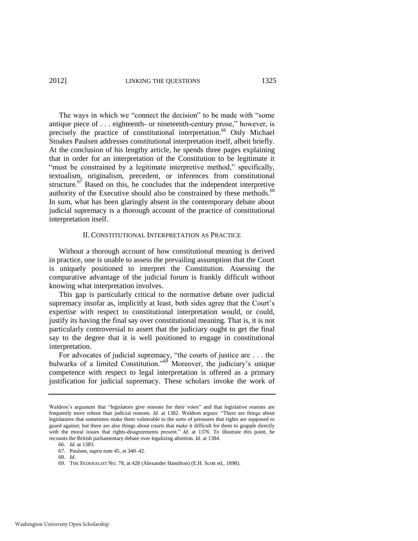#### 2012] LINKING THE QUESTIONS 1325

The ways in which we "connect the decision" to be made with "some" antique piece of . . . eighteenth- or nineteenth-century prose," however, is precisely the practice of constitutional interpretation.<sup>66</sup> Only Michael Stoakes Paulsen addresses constitutional interpretation itself, albeit briefly. At the conclusion of his lengthy article, he spends three pages explaining that in order for an interpretation of the Constitution to be legitimate it "must be constrained by a legitimate interpretive method," specifically, textualism, originalism, precedent, or inferences from constitutional structure. $67$  Based on this, he concludes that the independent interpretive authority of the Executive should also be constrained by these methods.<sup>68</sup> In sum, what has been glaringly absent in the contemporary debate about judicial supremacy is a thorough account of the practice of constitutional interpretation itself.

#### II. CONSTITUTIONAL INTERPRETATION AS PRACTICE

Without a thorough account of how constitutional meaning is derived in practice, one is unable to assess the prevailing assumption that the Court is uniquely positioned to interpret the Constitution. Assessing the comparative advantage of the judicial forum is frankly difficult without knowing what interpretation involves.

This gap is particularly critical to the normative debate over judicial supremacy insofar as, implicitly at least, both sides agree that the Court's expertise with respect to constitutional interpretation would, or could, justify its having the final say over constitutional meaning. That is, it is not particularly controversial to assert that the judiciary ought to get the final say to the degree that it is well positioned to engage in constitutional interpretation.

<span id="page-17-0"></span>For advocates of judicial supremacy, "the courts of justice are . . . the bulwarks of a limited Constitution."<sup>69</sup> Moreover, the judiciary's unique competence with respect to legal interpretation is offered as a primary justification for judicial supremacy. These scholars invoke the work of

Waldron's argument that "legislators give reasons for their votes" and that legislative reasons are frequently more robust than judicial reasons. *Id.* at 1382. Waldron argues: "There are things about legislatures that sometimes make them vulnerable to the sorts of pressures that rights are supposed to guard against; but there are also things about courts that make it difficult for them to grapple directly with the moral issues that rights-disagreements present." *Id.* at 1376. To illustrate this point, he recounts the British parliamentary debate over legalizing abortion. *Id*. at 1384.

<sup>66.</sup> *Id*. at 1383.

<sup>67.</sup> Paulsen, *supra* not[e 45,](#page-13-1) at 340–42.

<sup>68.</sup> *Id*.

<sup>69.</sup> THE FEDERALIST NO. 78, at 428 (Alexander Hamilton) (E.H. Scott ed., 1898).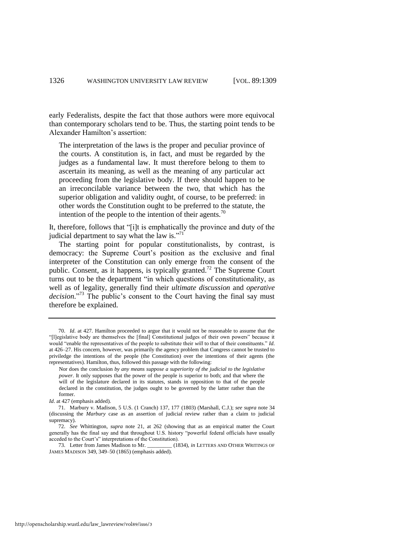early Federalists, despite the fact that those authors were more equivocal than contemporary scholars tend to be. Thus, the starting point tends to be Alexander Hamilton's assertion:

The interpretation of the laws is the proper and peculiar province of the courts. A constitution is, in fact, and must be regarded by the judges as a fundamental law. It must therefore belong to them to ascertain its meaning, as well as the meaning of any particular act proceeding from the legislative body. If there should happen to be an irreconcilable variance between the two, that which has the superior obligation and validity ought, of course, to be preferred: in other words the Constitution ought to be preferred to the statute, the intention of the people to the intention of their agents.<sup>70</sup>

It, therefore, follows that "[i]t is emphatically the province and duty of the judicial department to say what the law is."<sup>71</sup>

The starting point for popular constitutionalists, by contrast, is democracy: the Supreme Court's position as the exclusive and final interpreter of the Constitution can only emerge from the consent of the public. Consent, as it happens, is typically granted.<sup>72</sup> The Supreme Court turns out to be the department "in which questions of constitutionality, as well as of legality, generally find their *ultimate discussion* and *operative*  decision."<sup>73</sup> The public's consent to the Court having the final say must therefore be explained.

<span id="page-18-0"></span><sup>70.</sup> *Id*. at 427. Hamilton proceeded to argue that it would not be reasonable to assume that the ―[l]egislative body are themselves the [final] Constitutional judges of their own powers‖ because it would "enable the representatives of the people to substitute their *will* to that of their constituents." *Id*. at 426–27. His concern, however, was primarily the agency problem that Congress cannot be trusted to priviledge the intentions of the people (the Constitution) over the intentions of their agents (the representatives). Hamilton, thus, followed this passage with the following:

Nor does the conclusion *by any means suppose a superiority of the judicial to the legislative power*. It only supposes that the power of the people is superior to both; and that where the will of the legislature declared in its statutes, stands in opposition to that of the people declared in the constitution, the judges ought to be governed by the latter rather than the former.

*Id*. at 427 (emphasis added).

<sup>71.</sup> Marbury v. Madison, 5 U.S. (1 Cranch) 137, 177 (1803) (Marshall, C.J.); *see supra* not[e 34](#page-11-1) (discussing the *Marbury* case as an assertion of judicial review rather than a claim to judicial supremacy).

<sup>72.</sup> *See* Whittington, *supra* note [21,](#page-8-0) at 262 (showing that as an empirical matter the Court generally has the final say and that throughout U.S. history "powerful federal officials have usually acceded to the Court's" interpretations of the Constitution).

<sup>73.</sup> Letter from James Madison to Mr. \_\_\_\_\_\_\_\_\_ (1834), *in* LETTERS AND OTHER WRITINGS OF JAMES MADISON 349, 349–50 (1865) (emphasis added).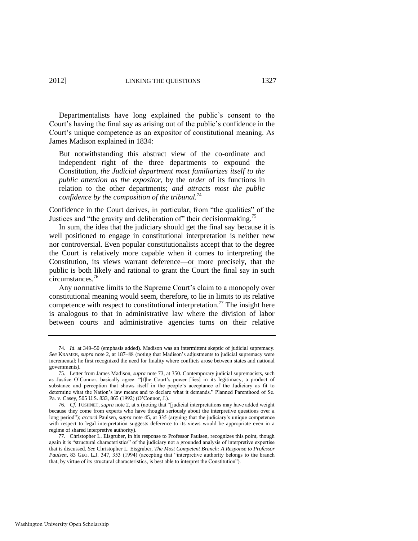Departmentalists have long explained the public's consent to the Court's having the final say as arising out of the public's confidence in the Court's unique competence as an expositor of constitutional meaning. As James Madison explained in 1834:

But notwithstanding this abstract view of the co-ordinate and independent right of the three departments to expound the Constitution, *the Judicial department most familiarizes itself to the public attention as the expositor*, by the *order* of its functions in relation to the other departments; *and attracts most the public confidence by the composition of the tribunal.*<sup>74</sup>

Confidence in the Court derives, in particular, from "the qualities" of the Justices and "the gravity and deliberation of" their decision making.<sup>75</sup>

In sum, the idea that the judiciary should get the final say because it is well positioned to engage in constitutional interpretation is neither new nor controversial. Even popular constitutionalists accept that to the degree the Court is relatively more capable when it comes to interpreting the Constitution, its views warrant deference—or more precisely, that the public is both likely and rational to grant the Court the final say in such circumstances.<sup>76</sup>

<span id="page-19-1"></span><span id="page-19-0"></span>Any normative limits to the Supreme Court's claim to a monopoly over constitutional meaning would seem, therefore, to lie in limits to its relative competence with respect to constitutional interpretation.<sup>77</sup> The insight here is analogous to that in administrative law where the division of labor between courts and administrative agencies turns on their relative

<sup>74.</sup> *Id*. at 349–50 (emphasis added). Madison was an intermittent skeptic of judicial supremacy. *See* KRAMER, *supra* not[e 2,](#page-2-0) at 187–88 (noting that Madison's adjustments to judicial supremacy were incremental; he first recognized the need for finality where conflicts arose between states and national governments).

<sup>75.</sup> Letter from James Madison, *supra* not[e 73,](#page-18-0) at 350. Contemporary judicial supremacists, such as Justice O'Connor, basically agree: "[t]he Court's power [lies] in its legitimacy, a product of substance and perception that shows itself in the people's acceptance of the Judiciary as fit to determine what the Nation's law means and to declare what it demands." Planned Parenthood of Se. Pa. v. Casey, 505 U.S. 833, 865 (1992) (O'Connor, J.).

<sup>76.</sup> *Cf.* TUSHNET, *supra* not[e 2,](#page-2-0) at x (noting that "[judicial interpretations may have added weight because they come from experts who have thought seriously about the interpretive questions over a long period"); *accord* Paulsen, *supra* not[e 45,](#page-13-1) at 335 (arguing that the judiciary's unique competence with respect to legal interpretation suggests deference to its views would be appropriate even in a regime of shared interpretive authority).

<sup>77.</sup> Christopher L. Eisgruber, in his response to Professor Paulsen, recognizes this point, though again it is "structural characteristics" of the judiciary not a grounded analysis of interpretive expertise that is discussed. *See* Christopher L. Eisgruber, *The Most Competent Branch: A Response to Professor*  Paulsen, 83 GEO. L.J. 347, 353 (1994) (accepting that "interpretive authority belongs to the branch that, by virtue of its structural characteristics, is best able to interpret the Constitution").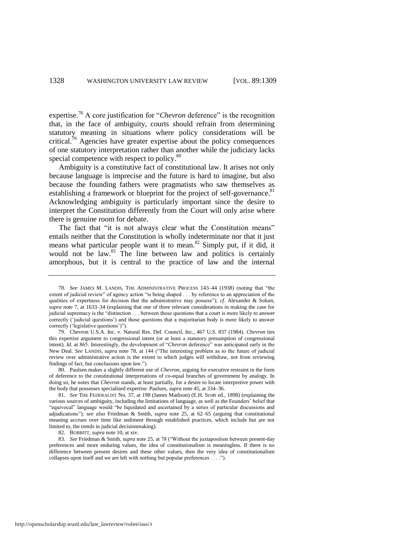<span id="page-20-0"></span>expertise.<sup>78</sup> A core justification for "*Chevron* deference" is the recognition that, in the face of ambiguity, courts should refrain from determining statutory meaning in situations where policy considerations will be critical.<sup>79</sup> Agencies have greater expertise about the policy consequences of one statutory interpretation rather than another while the judiciary lacks special competence with respect to policy.<sup>80</sup>

<span id="page-20-2"></span><span id="page-20-1"></span>Ambiguity is a constitutive fact of constitutional law. It arises not only because language is imprecise and the future is hard to imagine, but also because the founding fathers were pragmatists who saw themselves as establishing a framework or blueprint for the project of self-governance.<sup>81</sup> Acknowledging ambiguity is particularly important since the desire to interpret the Constitution differently from the Court will only arise where there is genuine room for debate.

The fact that "it is not always clear what the Constitution means" entails neither that the Constitution is wholly indeterminate nor that it just means what particular people want it to mean.<sup>82</sup> Simply put, if it did, it would not be law.<sup>83</sup> The line between law and politics is certainly amorphous, but it is central to the practice of law and the internal

79. Chevron U.S.A. Inc. v. Natural Res. Def. Council, Inc., 467 U.S. 837 (1984). *Chevron* ties this expertise argument to congressional intent (or at least a statutory presumption of congressional intent). *Id.* at 865. Interestingly, the development of "Chevron deference" was anticipated early in the New Deal. See LANDIS, *supra* note [78,](#page-20-0) at 144 ("The interesting problem as to the future of judicial review over administrative action is the extent to which judges will withdraw, not from reviewing findings of fact, but conclusions upon law.").

80. Paulsen makes a slightly different use of *Chevron*, arguing for executive restraint in the form of deference to the constitutional interpretations of co-equal branches of government by analogy. In doing so, he notes that *Chevron* stands, at least partially, for a desire to locate interpretive power with the body that possesses specialized expertise. Paulsen, *supra* not[e 45,](#page-13-1) at 334–36.

81. *See* THE FEDERALIST No. 37, at 198 (James Madison) (E.H. Scott ed., 1898) (explaining the various sources of ambiguity, including the limitations of language, as well as the Founders' belief that ―equivocal‖ language would ―be liquidated and ascertained by a series of particular discussions and adjudications‖); *see also* Friedman & Smith, *supra* note [25,](#page-9-0) at 62–65 (arguing that constitutional meaning accrues over time like sediment through established practices, which include but are not limited to, the trends in judicial decisionmaking).

82. BOBBITT, *supra* not[e 10,](#page-4-0) at xiv.

83. *See* Friedman & Smith, *supra* not[e 25,](#page-9-0) at 78 ("Without the juxtaposition between present-day preferences and more enduring values, the idea of constitutionalism is meaningless. If there is no difference between present desires and these other values, then the very idea of constitutionalism collapses upon itself and we are left with nothing but popular preferences . . . .").

<sup>78.</sup> *See JAMES M. LANDIS, THE ADMINISTRATIVE PROCESS* 143-44 (1938) (noting that "the extent of judicial review" of agency action "is being shaped . . . by reference to an appreciation of the qualities of expertness for decision that the administrative may possess‖); *cf*. Alexander & Solum, *supra* note [7,](#page-3-0) at 1633–34 (explaining that one of three relevant considerations in making the case for judicial supremacy is the "distinction . . . between those questions that a court is more likely to answer correctly (‗judicial questions') and those questions that a majoritarian body is more likely to answer correctly ('legislative questions')").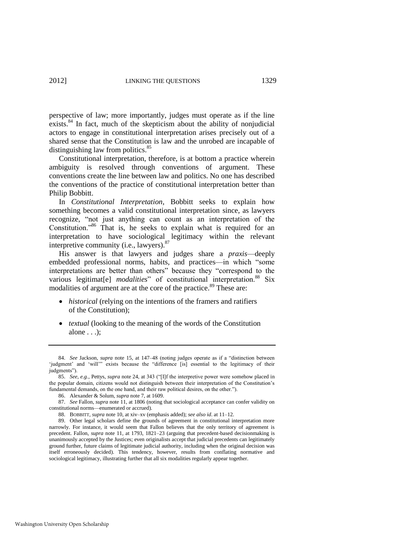perspective of law; more importantly, judges must operate as if the line exists.<sup>84</sup> In fact, much of the skepticism about the ability of nonjudicial actors to engage in constitutional interpretation arises precisely out of a shared sense that the Constitution is law and the unrobed are incapable of distinguishing law from politics.<sup>85</sup>

Constitutional interpretation, therefore, is at bottom a practice wherein ambiguity is resolved through conventions of argument. These conventions create the line between law and politics. No one has described the conventions of the practice of constitutional interpretation better than Philip Bobbitt.

In *Constitutional Interpretation*, Bobbitt seeks to explain how something becomes a valid constitutional interpretation since, as lawyers recognize, "not just anything can count as an interpretation of the Constitution.<sup>86</sup> That is, he seeks to explain what is required for an interpretation to have sociological legitimacy within the relevant interpretive community (i.e., lawyers).<sup>87</sup>

His answer is that lawyers and judges share a *praxis*—deeply embedded professional norms, habits, and practices—in which "some interpretations are better than others" because they "correspond to the various legitimat<sup>[e]</sup> *modalities*" of constitutional interpretation.<sup>88</sup> Six modalities of argument are at the core of the practice.<sup>89</sup> These are:

- *historical* (relying on the intentions of the framers and ratifiers of the Constitution);
- *textual* (looking to the meaning of the words of the Constitution alone . . .);

<sup>84.</sup> *See* Jackson, *supra* note [15,](#page-6-0) at 147–48 (noting judges operate as if a "distinction between 'judgment' and 'will'" exists because the "difference [is] essential to the legitimacy of their judgments").

<sup>85.</sup> *See, e.g.*, Pettys, *supra* not[e 24,](#page-9-2) at 343 ("[I]f the interpretive power were somehow placed in the popular domain, citizens would not distinguish between their interpretation of the Constitution's fundamental demands, on the one hand, and their raw political desires, on the other.").

<sup>86.</sup> Alexander & Solum, *supra* not[e 7,](#page-3-0) at 1609.

<sup>87.</sup> *See* Fallon, *supra* not[e 11,](#page-4-1) at 1806 (noting that sociological acceptance can confer validity on constitutional norms—enumerated or accrued).

<sup>88.</sup> BOBBITT, *supra* not[e 10,](#page-4-0) at xiv–xv (emphasis added); *see also id*. at 11–12.

<sup>89.</sup> Other legal scholars define the grounds of agreement in constitutional interpretation more narrowly. For instance, it would seem that Fallon believes that the only territory of agreement is precedent. Fallon, *supra* note [11,](#page-4-1) at 1793, 1821–23 (arguing that precedent-based decisionmaking is unanimously accepted by the Justices; even originalists accept that judicial precedents can legitimately ground further, future claims of legitimate judicial authority, including when the original decision was itself erroneously decided). This tendency, however, results from conflating normative and sociological legitimacy, illustrating further that all six modalities regularly appear together.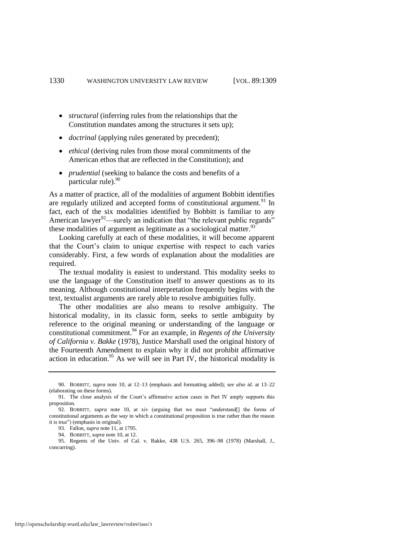- *structural* (inferring rules from the relationships that the Constitution mandates among the structures it sets up);
- *doctrinal* (applying rules generated by precedent);
- *ethical* (deriving rules from those moral commitments of the American ethos that are reflected in the Constitution); and
- *prudential* (seeking to balance the costs and benefits of a  $particular rule$ ).  $90$

As a matter of practice, all of the modalities of argument Bobbitt identifies are regularly utilized and accepted forms of constitutional argument.<sup>91</sup> In fact, each of the six modalities identified by Bobbitt is familiar to any American lawyer<sup>92</sup>—surely an indication that "the relevant public regards" these modalities of argument as legitimate as a sociological matter. $93$ 

Looking carefully at each of these modalities, it will become apparent that the Court's claim to unique expertise with respect to each varies considerably. First, a few words of explanation about the modalities are required.

The textual modality is easiest to understand. This modality seeks to use the language of the Constitution itself to answer questions as to its meaning. Although constitutional interpretation frequently begins with the text, textualist arguments are rarely able to resolve ambiguities fully.

The other modalities are also means to resolve ambiguity. The historical modality, in its classic form, seeks to settle ambiguity by reference to the original meaning or understanding of the language or constitutional commitment.<sup>94</sup> For an example, in *Regents of the University of California v. Bakke* (1978), Justice Marshall used the original history of the Fourteenth Amendment to explain why it did not prohibit affirmative action in education.<sup>95</sup> As we will see in Part IV, the historical modality is

<sup>90.</sup> BOBBITT, *supra* note [10,](#page-4-0) at 12–13 (emphasis and formatting added); *see also id*. at 13–22 (elaborating on these forms).

<sup>91.</sup> The close analysis of the Court's affirmative action cases in Part IV amply supports this proposition.

<sup>92.</sup> BOBBITT, *supra* note [10,](#page-4-0) at xiv (arguing that we must "understand<sup>[]</sup> the forms of constitutional arguments as the *way* in which a constitutional proposition is true rather than the reason it is true") (emphasis in original).

<sup>93.</sup> Fallon, *supra* not[e 11,](#page-4-1) at 1795.

<sup>94.</sup> BOBBITT, *supra* not[e 10,](#page-4-0) at 12.

<sup>95.</sup> Regents of the Univ. of Cal. v. Bakke, 438 U.S. 265, 396–98 (1978) (Marshall, J., concurring).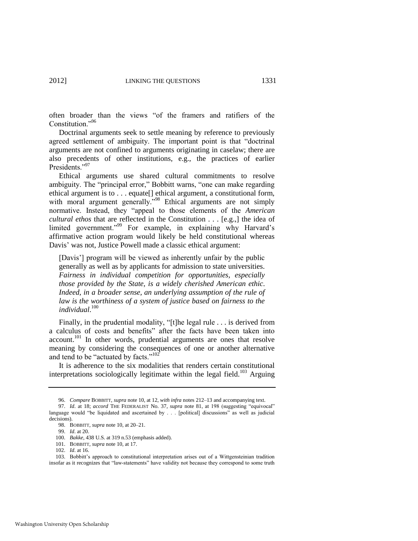often broader than the views "of the framers and ratifiers of the Constitution."96

Doctrinal arguments seek to settle meaning by reference to previously agreed settlement of ambiguity. The important point is that "doctrinal arguments are not confined to arguments originating in caselaw; there are also precedents of other institutions, e.g., the practices of earlier Presidents."97

Ethical arguments use shared cultural commitments to resolve ambiguity. The "principal error," Bobbitt warns, "one can make regarding ethical argument is to . . . equate[] ethical argument, a constitutional form, with moral argument generally."<sup>98</sup> Ethical arguments are not simply normative. Instead, they "appeal to those elements of the *American cultural ethos* that are reflected in the Constitution . . . [e.g.,] the idea of limited government."<sup>99</sup> For example, in explaining why Harvard's affirmative action program would likely be held constitutional whereas Davis' was not, Justice Powell made a classic ethical argument:

[Davis'] program will be viewed as inherently unfair by the public generally as well as by applicants for admission to state universities. *Fairness in individual competition for opportunities, especially those provided by the State, is a widely cherished American ethic*. *Indeed, in a broader sense, an underlying assumption of the rule of law is the worthiness of a system of justice based on fairness to the individual*. 100

Finally, in the prudential modality, "[t]he legal rule  $\dots$  is derived from a calculus of costs and benefits" after the facts have been taken into account.<sup>101</sup> In other words, prudential arguments are ones that resolve meaning by considering the consequences of one or another alternative and tend to be "actuated by facts." $102$ "

It is adherence to the six modalities that renders certain constitutional interpretations sociologically legitimate within the legal field.<sup>103</sup> Arguing

<sup>96.</sup> *Compare* BOBBITT, *supra* note [10,](#page-4-0) at 12, *with infra* notes [212–](#page-49-0)13 and accompanying text.

<sup>97.</sup> *Id.* at 18; *accord* THE FEDERALIST No. 37, *supra* note [81,](#page-20-1) at 198 (suggesting "equivocal" language would "be liquidated and ascertained by . . . [political] discussions" as well as judicial decisions).

<sup>98.</sup> BOBBITT, *supra* not[e 10,](#page-4-0) at 20–21.

<sup>99.</sup> *Id*. at 20.

<sup>100.</sup> *Bakke*, 438 U.S. at 319 n.53 (emphasis added).

<sup>101.</sup> BOBBITT, *supra* not[e 10,](#page-4-0) at 17.

<sup>102.</sup> *Id*. at 16.

<sup>103.</sup> Bobbitt's approach to constitutional interpretation arises out of a Wittgensteinian tradition insofar as it recognizes that "law-statements" have validity not because they correspond to some truth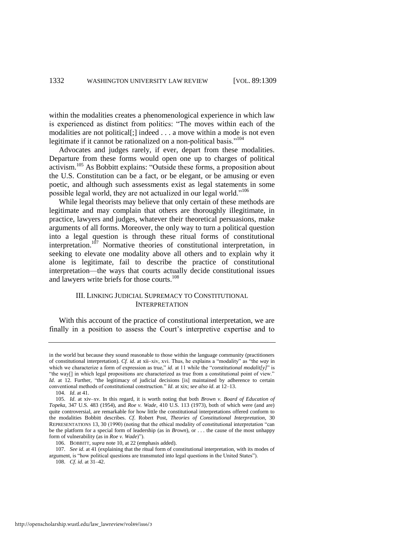within the modalities creates a phenomenological experience in which law is experienced as distinct from politics: "The moves within each of the modalities are not political[;] indeed . . . a move within a mode is not even legitimate if it cannot be rationalized on a non-political basis."<sup>104</sup>

<span id="page-24-0"></span>Advocates and judges rarely, if ever, depart from these modalities. Departure from these forms would open one up to charges of political activism.<sup>105</sup> As Bobbitt explains: "Outside these forms, a proposition about the U.S. Constitution can be a fact, or be elegant, or be amusing or even poetic, and although such assessments exist as legal statements in some possible legal world, they are not actualized in our legal world."<sup>106</sup>

While legal theorists may believe that only certain of these methods are legitimate and may complain that others are thoroughly illegitimate, in practice, lawyers and judges, whatever their theoretical persuasions, make arguments of all forms. Moreover, the only way to turn a political question into a legal question is through these ritual forms of constitutional interpretation.<sup>107</sup> Normative theories of constitutional interpretation, in seeking to elevate one modality above all others and to explain why it alone is legitimate, fail to describe the practice of constitutional interpretation—the ways that courts actually decide constitutional issues and lawyers write briefs for those courts.<sup>108</sup>

#### III. LINKING JUDICIAL SUPREMACY TO CONSTITUTIONAL INTERPRETATION

With this account of the practice of constitutional interpretation, we are finally in a position to assess the Court's interpretive expertise and to

107. *See id*. at 41 (explaining that the ritual form of constitutional interpretation, with its modes of argument, is "how political questions are transmuted into legal questions in the United States").

108. *Cf*. *id*. at 31–42.

in the world but because they sound reasonable to those within the language community (practitioners of constitutional interpretation). *Cf. id.* at xii–xiv, xvi. Thus, he explains a "modality" as "the *way* in which we characterize a form of expression as true," *id.* at 11 while the "*constitutional modalit[y]*" is "the way[] in which legal propositions are characterized as true from a constitutional point of view." *Id.* at 12. Further, "the legitimacy of judicial decisions [is] maintained by adherence to certain conventional methods of constitutional construction." *Id.* at xix; *see also id.* at 12-13.

<sup>104.</sup> *Id*. at 41.

<sup>105.</sup> *Id*. at xiv–xv. In this regard, it is worth noting that both *Brown v. Board of Education of Topeka*, 347 U.S. 483 (1954), and *Roe v. Wade*, 410 U.S. 113 (1973), both of which were (and are) quite controversial, are remarkable for how little the constitutional interpretations offered conform to the modalities Bobbitt describes. *Cf*. Robert Post, *Theories of Constitutional Interpretation*, 30 REPRESENTATIONS 13, 30 (1990) (noting that the ethical modality of constitutional interpretation "can be the platform for a special form of leadership (as in *Brown*), or . . . the cause of the most unhappy form of vulnerability (as in *Roe v. Wade*)").

<sup>106.</sup> BOBBITT, *supra* not[e 10,](#page-4-0) at 22 (emphasis added).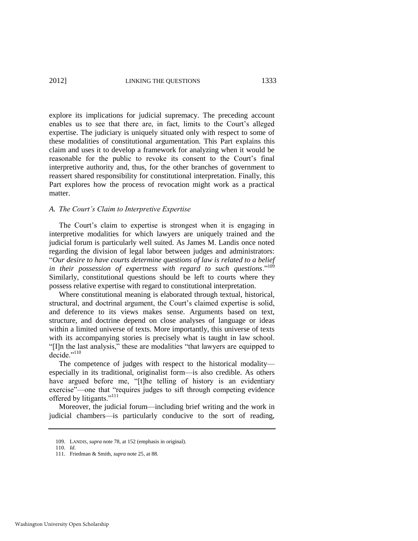explore its implications for judicial supremacy. The preceding account enables us to see that there are, in fact, limits to the Court's alleged expertise. The judiciary is uniquely situated only with respect to some of these modalities of constitutional argumentation. This Part explains this claim and uses it to develop a framework for analyzing when it would be reasonable for the public to revoke its consent to the Court's final interpretive authority and, thus, for the other branches of government to reassert shared responsibility for constitutional interpretation. Finally, this Part explores how the process of revocation might work as a practical matter.

#### *A. The Court"s Claim to Interpretive Expertise*

The Court's claim to expertise is strongest when it is engaging in interpretive modalities for which lawyers are uniquely trained and the judicial forum is particularly well suited. As James M. Landis once noted regarding the division of legal labor between judges and administrators: ―*Our desire to have courts determine questions of law is related to a belief*  in their possession of expertness with regard to such questions."<sup>109</sup> Similarly, constitutional questions should be left to courts where they possess relative expertise with regard to constitutional interpretation.

Where constitutional meaning is elaborated through textual, historical, structural, and doctrinal argument, the Court's claimed expertise is solid, and deference to its views makes sense. Arguments based on text, structure, and doctrine depend on close analyses of language or ideas within a limited universe of texts. More importantly, this universe of texts with its accompanying stories is precisely what is taught in law school. "[I]n the last analysis," these are modalities "that lawyers are equipped to decide."<sup>110</sup>

The competence of judges with respect to the historical modality especially in its traditional, originalist form—is also credible. As others have argued before me, "[t]he telling of history is an evidentiary exercise"—one that "requires judges to sift through competing evidence offered by litigants."<sup>111</sup>

Moreover, the judicial forum—including brief writing and the work in judicial chambers—is particularly conducive to the sort of reading,

<sup>109.</sup> LANDIS, *supra* not[e 78,](#page-20-0) at 152 (emphasis in original).

<sup>110.</sup> *Id*.

<sup>111.</sup> Friedman & Smith, *supra* not[e 25,](#page-9-0) at 88.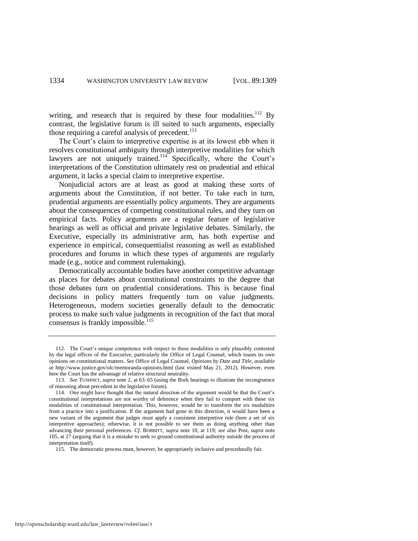writing, and research that is required by these four modalities.<sup>112</sup> By contrast, the legislative forum is ill suited to such arguments, especially those requiring a careful analysis of precedent. $113$ 

The Court's claim to interpretive expertise is at its lowest ebb when it resolves constitutional ambiguity through interpretive modalities for which lawyers are not uniquely trained.<sup>114</sup> Specifically, where the Court's interpretations of the Constitution ultimately rest on prudential and ethical argument, it lacks a special claim to interpretive expertise.

Nonjudicial actors are at least as good at making these sorts of arguments about the Constitution, if not better. To take each in turn, prudential arguments are essentially policy arguments. They are arguments about the consequences of competing constitutional rules, and they turn on empirical facts. Policy arguments are a regular feature of legislative hearings as well as official and private legislative debates. Similarly, the Executive, especially its administrative arm, has both expertise and experience in empirical, consequentialist reasoning as well as established procedures and forums in which these types of arguments are regularly made (e.g., notice and comment rulemaking).

Democratically accountable bodies have another competitive advantage as places for debates about constitutional constraints to the degree that those debates turn on prudential considerations. This is because final decisions in policy matters frequently turn on value judgments. Heterogeneous, modern societies generally default to the democratic process to make such value judgments in recognition of the fact that moral consensus is frankly impossible.<sup>115</sup>

<sup>112.</sup> The Court's unique competence with respect to these modalities is only plausibly contested by the legal offices of the Executive, particularly the Office of Legal Counsel, which issues its own opinions on constitutional matters. *See* Office of Legal Counsel, *Opinions by Date and Title*, *available at* http://www.justice.gov/olc/memoranda-opinions.html (last visited May 21, 2012). However, even here the Court has the advantage of relative structural neutrality.

<sup>113.</sup> *See* TUSHNET, *supra* not[e 2,](#page-2-0) at 63–65 (using the Bork hearings to illustrate the incongruence of reasoning about precedent in the legislative forum).

<sup>114.</sup> One might have thought that the natural direction of the argument would be that the Court's constitutional interpretations are not worthy of deference when they fail to comport with these six modalities of constitutional interpretation. This, however, would be to transform the six modalities from a practice into a justification. If the argument had gone in this direction, it would have been a new variant of the argument that judges must apply a consistent interpretive rule (here a set of six interpretive approaches); otherwise, it is not possible to see them as doing anything other than advancing their personal preferences. *Cf*. BOBBITT, *supra* note [10,](#page-4-0) at 119; *see also* Post, *supra* note [105,](#page-24-0) at 27 (arguing that it is a mistake to seek to ground constitutional authority outside the process of interpretation itself).

<sup>115.</sup> The democratic process must, however, be appropriately inclusive and procedurally fair.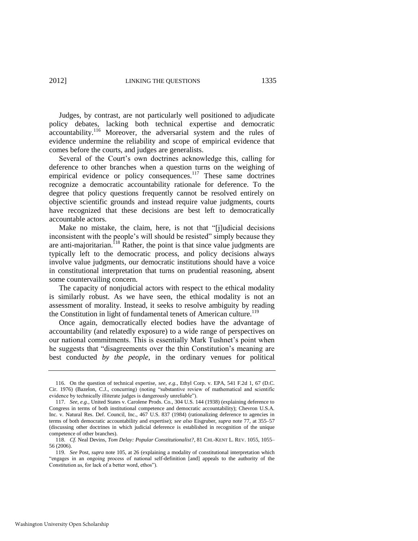Judges, by contrast, are not particularly well positioned to adjudicate policy debates, lacking both technical expertise and democratic accountability.<sup>116</sup> Moreover, the adversarial system and the rules of evidence undermine the reliability and scope of empirical evidence that comes before the courts, and judges are generalists.

Several of the Court's own doctrines acknowledge this, calling for deference to other branches when a question turns on the weighing of empirical evidence or policy consequences.<sup>117</sup> These same doctrines recognize a democratic accountability rationale for deference. To the degree that policy questions frequently cannot be resolved entirely on objective scientific grounds and instead require value judgments, courts have recognized that these decisions are best left to democratically accountable actors.

Make no mistake, the claim, here, is not that "[j]udicial decisions inconsistent with the people's will should be resisted" simply because they are anti-majoritarian.<sup>118</sup> Rather, the point is that since value judgments are typically left to the democratic process, and policy decisions always involve value judgments, our democratic institutions should have a voice in constitutional interpretation that turns on prudential reasoning, absent some countervailing concern.

The capacity of nonjudicial actors with respect to the ethical modality is similarly robust. As we have seen, the ethical modality is not an assessment of morality. Instead, it seeks to resolve ambiguity by reading the Constitution in light of fundamental tenets of American culture.<sup>119</sup>

Once again, democratically elected bodies have the advantage of accountability (and relatedly exposure) to a wide range of perspectives on our national commitments. This is essentially Mark Tushnet's point when he suggests that "disagreements over the thin Constitution's meaning are best conducted *by the people*, in the ordinary venues for political

<sup>116.</sup> On the question of technical expertise, *see, e.g.*, Ethyl Corp. v. EPA, 541 F.2d 1, 67 (D.C. Cir. 1976) (Bazelon, C.J., concurring) (noting "substantive review of mathematical and scientific evidence by technically illiterate judges is dangerously unreliable").

<sup>117.</sup> *See, e.g.*, United States v. Carolene Prods. Co., 304 U.S. 144 (1938) (explaining deference to Congress in terms of both institutional competence and democratic accountability); Chevron U.S.A. Inc. v. Natural Res. Def. Council, Inc., 467 U.S. 837 (1984) (rationalizing deference to agencies in terms of both democratic accountability and expertise); *see also* Eisgruber, *supra* note [77,](#page-19-1) at 355–57 (discussing other doctrines in which judicial deference is established in recognition of the unique competence of other branches).

<sup>118.</sup> *Cf.* Neal Devins, *Tom Delay: Popular Constitutionalist?*, 81 CHI.-KENT L. REV. 1055, 1055– 56 (2006).

<sup>119.</sup> *See* Post, *supra* note [105,](#page-24-0) at 26 (explaining a modality of constitutional interpretation which ―engages in an ongoing process of national self-definition [and] appeals to the authority of the Constitution as, for lack of a better word, ethos").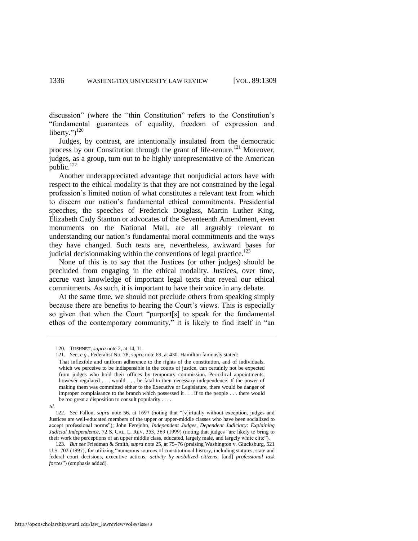discussion" (where the "thin Constitution" refers to the Constitution's ―fundamental guarantees of equality, freedom of expression and liberty.") $120$ 

Judges, by contrast, are intentionally insulated from the democratic process by our Constitution through the grant of life-tenure.<sup>121</sup> Moreover, judges, as a group, turn out to be highly unrepresentative of the American  $public.<sup>122</sup>$ 

Another underappreciated advantage that nonjudicial actors have with respect to the ethical modality is that they are not constrained by the legal profession's limited notion of what constitutes a relevant text from which to discern our nation's fundamental ethical commitments. Presidential speeches, the speeches of Frederick Douglass, Martin Luther King, Elizabeth Cady Stanton or advocates of the Seventeenth Amendment, even monuments on the National Mall, are all arguably relevant to understanding our nation's fundamental moral commitments and the ways they have changed. Such texts are, nevertheless, awkward bases for judicial decision making within the conventions of legal practice.<sup>123</sup>

None of this is to say that the Justices (or other judges) should be precluded from engaging in the ethical modality. Justices, over time, accrue vast knowledge of important legal texts that reveal our ethical commitments. As such, it is important to have their voice in any debate.

At the same time, we should not preclude others from speaking simply because there are benefits to hearing the Court's views. This is especially so given that when the Court "purport[s] to speak for the fundamental ethos of the contemporary community," it is likely to find itself in "an

<sup>120.</sup> TUSHNET, *supra* note [2,](#page-2-0) at 14, 11.

<sup>121.</sup> *See, e.g.*, Federalist No. 78, *supra* not[e 69,](#page-17-0) at 430. Hamilton famously stated:

That inflexible and uniform adherence to the rights of the constitution, and of individuals, which we perceive to be indispensible in the courts of justice, can certainly not be expected from judges who hold their offices by temporary commission. Periodical appointments, however regulated . . . would . . . be fatal to their necessary independence. If the power of making them was committed either to the Executive or Legislature, there would be danger of improper complaisance to the branch which possessed it . . . if to the people . . . there would be too great a disposition to consult popularity . . . .

*Id*.

<sup>122.</sup> *See* Fallon, *supra* note [56,](#page-15-0) at 1697 (noting that "[v]irtually without exception, judges and Justices are well-educated members of the upper or upper-middle classes who have been socialized to accept professional norms"); John Ferejohn, *Independent Judges, Dependent Judiciary: Explaining* Judicial Independence, 72 S. CAL. L. REV. 353, 369 (1999) (noting that judges "are likely to bring to their work the perceptions of an upper middle class, educated, largely male, and largely white elite").

<sup>123.</sup> *But see* Friedman & Smith, *supra* note [25,](#page-9-0) at 75–76 (praising Washington v. Glucksburg, 521 U.S. 702 (1997), for utilizing "numerous sources of constitutional history, including statutes, state and federal court decisions, executive actions, *activity by mobilized citizens,* [and] *professional task forces*") (emphasis added).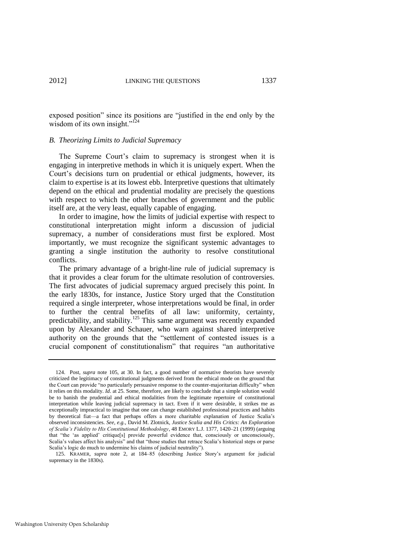exposed position" since its positions are "justified in the end only by the wisdom of its own insight." $^{124}$ 

#### *B. Theorizing Limits to Judicial Supremacy*

The Supreme Court's claim to supremacy is strongest when it is engaging in interpretive methods in which it is uniquely expert. When the Court's decisions turn on prudential or ethical judgments, however, its claim to expertise is at its lowest ebb. Interpretive questions that ultimately depend on the ethical and prudential modality are precisely the questions with respect to which the other branches of government and the public itself are, at the very least, equally capable of engaging.

In order to imagine, how the limits of judicial expertise with respect to constitutional interpretation might inform a discussion of judicial supremacy, a number of considerations must first be explored. Most importantly, we must recognize the significant systemic advantages to granting a single institution the authority to resolve constitutional conflicts.

The primary advantage of a bright-line rule of judicial supremacy is that it provides a clear forum for the ultimate resolution of controversies. The first advocates of judicial supremacy argued precisely this point. In the early 1830s, for instance, Justice Story urged that the Constitution required a single interpreter, whose interpretations would be final, in order to further the central benefits of all law: uniformity, certainty, predictability, and stability.<sup>125</sup> This same argument was recently expanded upon by Alexander and Schauer, who warn against shared interpretive authority on the grounds that the "settlement of contested issues is a crucial component of constitutionalism" that requires "an authoritative

125. KRAMER, *supra* note [2,](#page-2-0) at 184–85 (describing Justice Story's argument for judicial supremacy in the 1830s).

<sup>124.</sup> Post, *supra* note [105,](#page-24-0) at 30. In fact, a good number of normative theorists have severely criticized the legitimacy of constitutional judgments derived from the ethical mode on the ground that the Court can provide "no particularly persuasive response to the counter-majoritarian difficulty" when it relies on this modality. *Id*. at 25. Some, therefore, are likely to conclude that a simple solution would be to banish the prudential and ethical modalities from the legitimate repertoire of constitutional interpretation while leaving judicial supremacy in tact. Even if it were desirable, it strikes me as exceptionally impractical to imagine that one can change established professional practices and habits by theoretical fiat—a fact that perhaps offers a more charitable explanation of Justice Scalia's observed inconsistencies. *See, e.g.*, David M. Zlotnick, *Justice Scalia and His Critics: An Exploration of Scalia"s Fidelity to His Constitutional Methodology*, 48 EMORY L.J. 1377, 1420–21 (1999) (arguing that "the 'as applied' critique[s] provide powerful evidence that, consciously or unconsciously, Scalia's values affect his analysis" and that "those studies that retrace Scalia's historical steps or parse Scalia's logic do much to undermine his claims of judicial neutrality").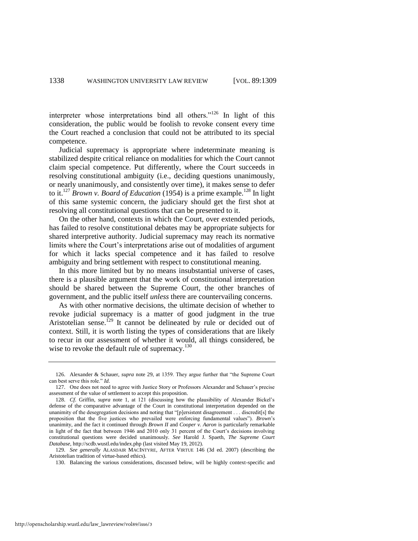interpreter whose interpretations bind all others."<sup>126</sup> In light of this consideration, the public would be foolish to revoke consent every time the Court reached a conclusion that could not be attributed to its special competence.

Judicial supremacy is appropriate where indeterminate meaning is stabilized despite critical reliance on modalities for which the Court cannot claim special competence. Put differently, where the Court succeeds in resolving constitutional ambiguity (i.e., deciding questions unanimously, or nearly unanimously, and consistently over time), it makes sense to defer to it.<sup>127</sup> *Brown v. Board of Education* (1954) is a prime example.<sup>128</sup> In light of this same systemic concern, the judiciary should get the first shot at resolving all constitutional questions that can be presented to it.

<span id="page-30-0"></span>On the other hand, contexts in which the Court, over extended periods, has failed to resolve constitutional debates may be appropriate subjects for shared interpretive authority. Judicial supremacy may reach its normative limits where the Court's interpretation*s* arise out of modalities of argument for which it lacks special competence and it has failed to resolve ambiguity and bring settlement with respect to constitutional meaning.

In this more limited but by no means insubstantial universe of cases, there is a plausible argument that the work of constitutional interpretation should be shared between the Supreme Court, the other branches of government, and the public itself *unless* there are countervailing concerns.

As with other normative decisions, the ultimate decision of whether to revoke judicial supremacy is a matter of good judgment in the true Aristotelian sense.<sup>129</sup> It cannot be delineated by rule or decided out of context. Still, it is worth listing the types of considerations that are likely to recur in our assessment of whether it would, all things considered, be wise to revoke the default rule of supremacy.<sup>130</sup>

<sup>126.</sup> Alexander & Schauer, *supra* note [29,](#page-10-1) at 1359. They argue further that "the Supreme Court can best serve this role." *Id*.

<sup>127.</sup> One does not need to agree with Justice Story or Professors Alexander and Schauer's precise assessment of the value of settlement to accept this proposition.

<sup>128.</sup> *Cf*. Griffin, *supra* note [1,](#page-2-1) at 121 (discussing how the plausibility of Alexander Bickel's defense of the comparative advantage of the Court in constitutional interpretation depended on the unanimity of the desegregation decisions and noting that "[p]ersistent disagreement . . . discredit[s] the proposition that the five justices who prevailed were enforcing fundamental values"). *Brown's* unanimity, and the fact it continued through *Brown II* and *Cooper v. Aaron* is particularly remarkable in light of the fact that between 1946 and 2010 only 31 percent of the Court's decisions involving constitutional questions were decided unanimously. *See* Harold J. Spaeth, *The Supreme Court Database*, http://scdb.wustl.edu/index.php (last visited May 19, 2012).

<sup>129.</sup> *See generally* ALASDAIR MACINTYRE, AFTER VIRTUE 146 (3d ed. 2007) (describing the Aristotelian tradition of virtue-based ethics).

<sup>130.</sup> Balancing the various considerations, discussed below, will be highly context-specific and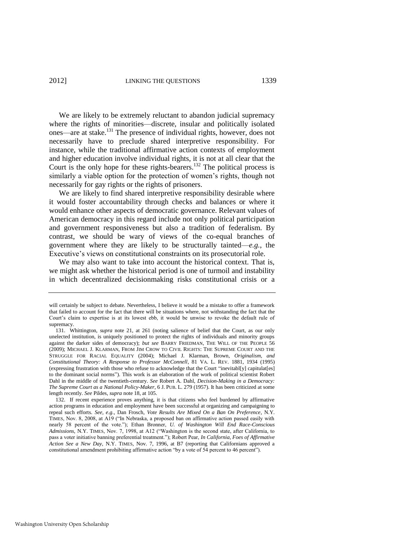<span id="page-31-0"></span>We are likely to be extremely reluctant to abandon judicial supremacy where the rights of minorities—discrete, insular and politically isolated ones—are at stake.<sup>131</sup> The presence of individual rights, however, does not necessarily have to preclude shared interpretive responsibility. For instance, while the traditional affirmative action contexts of employment and higher education involve individual rights, it is not at all clear that the Court is the only hope for these rights-bearers.<sup>132</sup> The political process is similarly a viable option for the protection of women's rights, though not necessarily for gay rights or the rights of prisoners.

We are likely to find shared interpretive responsibility desirable where it would foster accountability through checks and balances or where it would enhance other aspects of democratic governance. Relevant values of American democracy in this regard include not only political participation and government responsiveness but also a tradition of federalism. By contrast, we should be wary of views of the co-equal branches of government where they are likely to be structurally tainted—*e.g.*, the Executive's views on constitutional constraints on its prosecutorial role.

We may also want to take into account the historical context. That is, we might ask whether the historical period is one of turmoil and instability in which decentralized decisionmaking risks constitutional crisis or a

will certainly be subject to debate. Nevertheless, I believe it would be a mistake to offer a framework that failed to account for the fact that there will be situations where, not withstanding the fact that the Court's claim to expertise is at its lowest ebb, it would be unwise to revoke the default rule of supremacy.

<sup>131.</sup> Whittington, *supra* note [21,](#page-8-0) at 261 (noting salience of belief that the Court, as our only unelected institution, is uniquely positioned to protect the rights of individuals and minority groups against the darker sides of democracy); *but see* BARRY FRIEDMAN, THE WILL OF THE PEOPLE 56 (2009); MICHAEL J. KLARMAN, FROM JIM CROW TO CIVIL RIGHTS: THE SUPREME COURT AND THE STRUGGLE FOR RACIAL EQUALITY (2004); Michael J. Klarman, Brown*, Originalism, and Constitutional Theory: A Response to Professor McConnell*, 81 VA. L. REV. 1881, 1934 (1995) (expressing frustration with those who refuse to acknowledge that the Court "inevitabl[y] capitulat[es] to the dominant social norms"). This work is an elaboration of the work of political scientist Robert Dahl in the middle of the twentieth-century. *See* Robert A. Dahl, *Decision-Making in a Democracy: The Supreme Court as a National Policy-Maker*, 6 J. PUB. L. 279 (1957). It has been criticized at some length recently. *See* Pildes, *supra* not[e 18,](#page-7-1) at 105.

<sup>132.</sup> If recent experience proves anything, it is that citizens who feel burdened by affirmative action programs in education and employment have been successful at organizing and campaigning to repeal such efforts. *See, e.g.*, Dan Frosch, *Vote Results Are Mixed On a Ban On Preference*, N.Y. TIMES, Nov. 8, 2008, at A19 ("In Nebraska, a proposed ban on affirmative action passed easily with nearly 58 percent of the vote."); Ethan Bronner, *U. of Washington Will End Race-Conscious* Admissions, N.Y. TIMES, Nov. 7, 1998, at A12 ("Washington is the second state, after California, to pass a voter initiative banning preferential treatment.‖); Robert Pear, *In California, Foes of Affirmative Action See a New Day*, N.Y. TIMES, Nov. 7, 1996, at B7 (reporting that Californians approved a constitutional amendment prohibiting affirmative action "by a vote of 54 percent to 46 percent").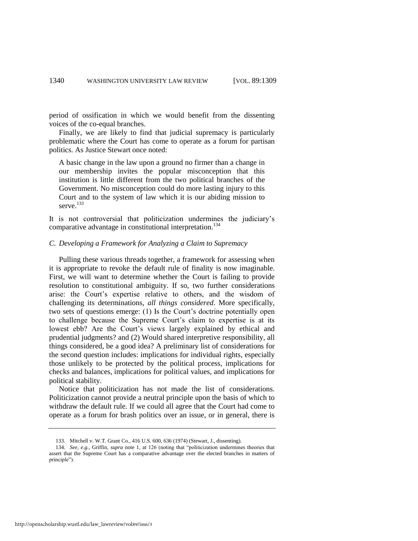period of ossification in which we would benefit from the dissenting voices of the co-equal branches.

Finally, we are likely to find that judicial supremacy is particularly problematic where the Court has come to operate as a forum for partisan politics. As Justice Stewart once noted:

A basic change in the law upon a ground no firmer than a change in our membership invites the popular misconception that this institution is little different from the two political branches of the Government. No misconception could do more lasting injury to this Court and to the system of law which it is our abiding mission to serve.<sup>133</sup>

It is not controversial that politicization undermines the judiciary's comparative advantage in constitutional interpretation.<sup>134</sup>

#### *C. Developing a Framework for Analyzing a Claim to Supremacy*

Pulling these various threads together, a framework for assessing when it is appropriate to revoke the default rule of finality is now imaginable. First, we will want to determine whether the Court is failing to provide resolution to constitutional ambiguity. If so, two further considerations arise: the Court's expertise relative to others, and the wisdom of challenging its determinations, *all things considered*. More specifically, two sets of questions emerge: (1) Is the Court's doctrine potentially open to challenge because the Supreme Court's claim to expertise is at its lowest ebb? Are the Court's view*s* largely explained by ethical and prudential judgments? and (2) Would shared interpretive responsibility, all things considered, be a good idea? A preliminary list of considerations for the second question includes: implications for individual rights, especially those unlikely to be protected by the political process, implications for checks and balances, implications for political values, and implications for political stability.

Notice that politicization has not made the list of considerations. Politicization cannot provide a neutral principle upon the basis of which to withdraw the default rule. If we could all agree that the Court had come to operate as a forum for brash politics over an issue, or in general, there is

<sup>133.</sup> Mitchell v. W.T. Grant Co., 416 U.S. 600, 636 (1974) (Stewart, J., dissenting).

<sup>134.</sup> *See, e.g.*, Griffin, *supra* note [1,](#page-2-1) at 126 (noting that "politicization undermines theories that assert that the Supreme Court has a comparative advantage over the elected branches in matters of principle").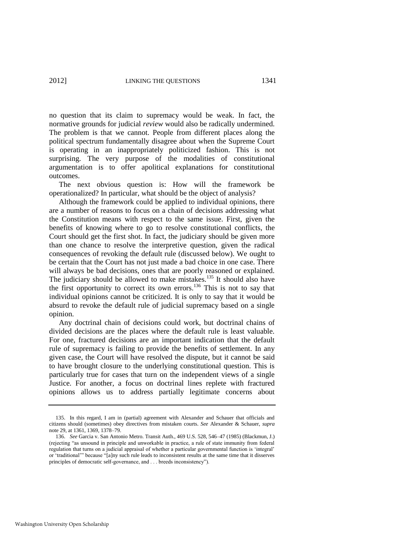no question that its claim to supremacy would be weak. In fact, the normative grounds for judicial *review* would also be radically undermined. The problem is that we cannot. People from different places along the political spectrum fundamentally disagree about when the Supreme Court is operating in an inappropriately politicized fashion. This is not surprising. The very purpose of the modalities of constitutional argumentation is to offer apolitical explanations for constitutional outcomes.

The next obvious question is: How will the framework be operationalized? In particular, what should be the object of analysis?

Although the framework could be applied to individual opinions, there are a number of reasons to focus on a chain of decisions addressing what the Constitution means with respect to the same issue. First, given the benefits of knowing where to go to resolve constitutional conflicts, the Court should get the first shot. In fact, the judiciary should be given more than one chance to resolve the interpretive question, given the radical consequences of revoking the default rule (discussed below). We ought to be certain that the Court has not just made a bad choice in one case. There will always be bad decisions, ones that are poorly reasoned or explained. The judiciary should be allowed to make mistakes.<sup>135</sup> It should also have the first opportunity to correct its own errors.<sup>136</sup> This is not to say that individual opinions cannot be criticized. It is only to say that it would be absurd to revoke the default rule of judicial supremacy based on a single opinion.

Any doctrinal chain of decisions could work, but doctrinal chains of divided decisions are the places where the default rule is least valuable. For one, fractured decisions are an important indication that the default rule of supremacy is failing to provide the benefits of settlement. In any given case, the Court will have resolved the dispute, but it cannot be said to have brought closure to the underlying constitutional question. This is particularly true for cases that turn on the independent views of a single Justice. For another, a focus on doctrinal lines replete with fractured opinions allows us to address partially legitimate concerns about

<sup>135.</sup> In this regard, I am in (partial) agreement with Alexander and Schauer that officials and citizens should (sometimes) obey directives from mistaken courts. *See* Alexander & Schauer, *supra* note [29,](#page-10-1) at 1361, 1369, 1378–79.

<sup>136.</sup> *See* Garcia v. San Antonio Metro. Transit Auth., 469 U.S. 528, 546–47 (1985) (Blackmun, J.) (rejecting ―as unsound in principle and unworkable in practice, a rule of state immunity from federal regulation that turns on a judicial appraisal of whether a particular governmental function is 'integral' or 'traditional''' because "[a]ny such rule leads to inconsistent results at the same time that it disserves principles of democratic self-governance, and . . . breeds inconsistency").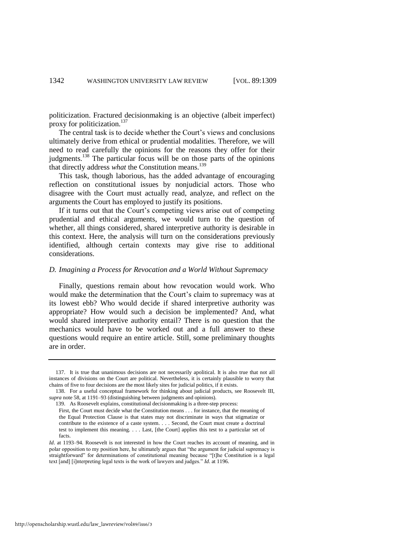politicization. Fractured decisionmaking is an objective (albeit imperfect) proxy for politicization.<sup>137</sup>

The central task is to decide whether the Court's view*s* and conclusions ultimately derive from ethical or prudential modalities. Therefore, we will need to read carefully the opinions for the reasons they offer for their judgments.<sup>138</sup> The particular focus will be on those parts of the opinions that directly address *what* the Constitution means.<sup>139</sup>

This task, though laborious, has the added advantage of encouraging reflection on constitutional issues by nonjudicial actors. Those who disagree with the Court must actually read, analyze, and reflect on the arguments the Court has employed to justify its positions.

If it turns out that the Court's competing views arise out of competing prudential and ethical arguments, we would turn to the question of whether, all things considered, shared interpretive authority is desirable in this context. Here, the analysis will turn on the considerations previously identified, although certain contexts may give rise to additional considerations.

#### *D. Imagining a Process for Revocation and a World Without Supremacy*

Finally, questions remain about how revocation would work. Who would make the determination that the Court's claim to supremacy was at its lowest ebb? Who would decide if shared interpretive authority was appropriate? How would such a decision be implemented? And, what would shared interpretive authority entail? There is no question that the mechanics would have to be worked out and a full answer to these questions would require an entire article. Still, some preliminary thoughts are in order.

<sup>137.</sup> It is true that unanimous decisions are not necessarily apolitical. It is also true that not all instances of divisions on the Court are political. Nevertheless, it is certainly plausible to worry that chains of five to four decisions are the most likely sites for judicial politics, if it exists.

<sup>138.</sup> For a useful conceptual framework for thinking about judicial products, see Roosevelt III, *supra* not[e 58,](#page-15-1) at 1191–93 (distinguishing between judgments and opinions).

<sup>139.</sup> As Roosevelt explains, constitutional decisionmaking is a three-step process: First, the Court must decide what the Constitution means . . . for instance, that the meaning of the Equal Protection Clause is that states may not discriminate in ways that stigmatize or contribute to the existence of a caste system. . . . Second, the Court must create a doctrinal test to implement this meaning. . . . Last, [the Court] applies this test to a particular set of facts.

*Id.* at 1193–94. Roosevelt is not interested in how the Court reaches its account of meaning, and in polar opposition to my position here, he ultimately argues that "the argument for judicial supremacy is straightforward" for determinations of constitutional meaning because "[t]he Constitution is a legal text [and] [i]nterpreting legal texts is the work of lawyers and judges." *Id.* at 1196.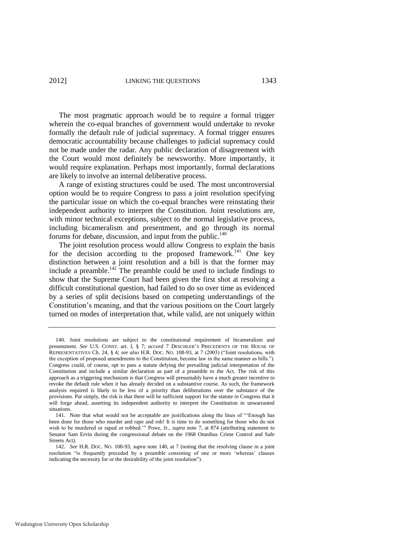The most pragmatic approach would be to require a formal trigger wherein the co-equal branches of government would undertake to revoke formally the default rule of judicial supremacy. A formal trigger ensures democratic accountability because challenges to judicial supremacy could not be made under the radar. Any public declaration of disagreement with the Court would most definitely be newsworthy. More importantly, it would require explanation. Perhaps most importantly, formal declarations are likely to involve an internal deliberative process.

A range of existing structures could be used. The most uncontroversial option would be to require Congress to pass a joint resolution specifying the particular issue on which the co-equal branches were reinstating their independent authority to interpret the Constitution. Joint resolutions are, with minor technical exceptions, subject to the normal legislative process, including bicameralism and presentment, and go through its normal forums for debate, discussion, and input from the public. $140$ 

<span id="page-35-0"></span>The joint resolution process would allow Congress to explain the basis for the decision according to the proposed framework.<sup>141</sup> One key distinction between a joint resolution and a bill is that the former may include a preamble.<sup>142</sup> The preamble could be used to include findings to show that the Supreme Court had been given the first shot at resolving a difficult constitutional question, had failed to do so over time as evidenced by a series of split decisions based on competing understandings of the Constitution's meaning, and that the various positions on the Court largely turned on modes of interpretation that, while valid, are not uniquely within

<sup>140.</sup> Joint resolutions are subject to the constitutional requirement of bicameralism and presentment. *See* U.S. CONST. art. I, § 7; *accord* 7 DESCHLER'S PRECEDENTS OF THE HOUSE OF REPRESENTATIVES Ch. 24, § 4; see also H.R. Doc. No. 108-93, at 7 (2003) ("Joint resolutions, with the exception of proposed amendments to the Constitution, become law in the same manner as bills."). Congress could, of course, opt to pass a statute defying the prevailing judicial interpretation of the Constitution and include a similar declaration as part of a preamble to the Act. The risk of this approach as a triggering mechanism is that Congress will presumably have a much greater incentive to revoke the default rule when it has already decided on a substantive course. As such, the framework analysis required is likely to be less of a priority than deliberations over the substance of the provisions. Put simply, the risk is that there will be sufficient support for the statute in Congress that it will forge ahead, asserting its independent authority to interpret the Constitution in unwarranted situations.

<sup>141.</sup> Note that what would not be acceptable are justifications along the lines of "Enough has been done for those who murder and rape and rob! It is time to do something for those who do not wish to be murdered or raped or robbed.'" Powe, Jr., *supra* note [7,](#page-3-0) at 874 (attributing statement to Senator Sam Ervin during the congressional debate on the 1968 Omnibus Crime Control and Safe Streets Act).

<sup>142.</sup> *See* H.R. DOC. NO. 108-93, *supra* not[e 140,](#page-35-0) at 7 (noting that the resolving clause in a joint resolution "is frequently preceded by a preamble consisting of one or more 'whereas' clauses indicating the necessity for or the desirability of the joint resolution").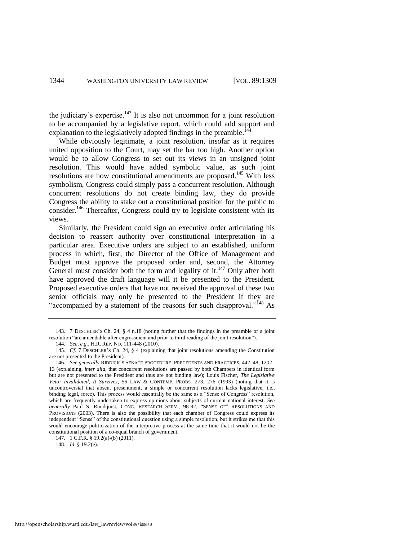the judiciary's expertise. $143$  It is also not uncommon for a joint resolution to be accompanied by a legislative report, which could add support and explanation to the legislatively adopted findings in the preamble.<sup>144</sup>

While obviously legitimate, a joint resolution, insofar as it requires united opposition to the Court, may set the bar too high. Another option would be to allow Congress to set out its views in an unsigned joint resolution. This would have added symbolic value, as such joint resolutions are how constitutional amendments are proposed.<sup>145</sup> With less symbolism, Congress could simply pass a concurrent resolution. Although concurrent resolutions do not create binding law, they do provide Congress the ability to stake out a constitutional position for the public to consider.<sup>146</sup> Thereafter, Congress could try to legislate consistent with its views.

Similarly, the President could sign an executive order articulating his decision to reassert authority over constitutional interpretation in a particular area. Executive orders are subject to an established, uniform process in which, first, the Director of the Office of Management and Budget must approve the proposed order and, second, the Attorney General must consider both the form and legality of it.<sup>147</sup> Only after both have approved the draft language will it be presented to the President. Proposed executive orders that have not received the approval of these two senior officials may only be presented to the President if they are "accompanied by a statement of the reasons for such disapproval."<sup>148</sup> As

147. 1 C.F.R. § 19.2(a)-(b) (2011).

148. *Id*. § 19.2(e).

<sup>143. 7</sup> DESCHLER'S Ch. 24, § 4 n.18 (noting further that the findings in the preamble of a joint resolution "are amendable after engrossment and prior to third reading of the joint resolution").

<sup>144.</sup> *See, e.g.*, H.R. REP. NO. 111-448 (2010).

<sup>145.</sup> *Cf*. 7 DESCHLER'S Ch. 24, § 4 (explaining that joint resolutions amending the Constitution are not presented to the President).

<sup>146.</sup> *See generally* RIDDICK'S SENATE PROCEDURE: PRECEDENTS AND PRACTICES, 442–48, 1202– 13 (explaining, *inter alia*, that concurrent resolutions are passed by both Chambers in identical form but are not presented to the President and thus are not binding law); Louis Fischer, *The Legislative Veto: Invalidated, It Survives*, 56 LAW & CONTEMP. PROBS. 273, 276 (1993) (noting that it is uncontroversial that absent presentment, a simple or concurrent resolution lacks legislative, i.e., binding legal, force). This process would essentially be the same as a "Sense of Congress" resolution, which are frequently undertaken to express opinions about subjects of current national interest. *See*  generally Paul S. Rundquist, CONG. RESEARCH SERV., 98-82, "SENSE OF" RESOLUTIONS AND PROVISIONS (2003). There is also the possibility that each chamber of Congress could express its independent "Sense" of the constitutional question using a simple resolution, but it strikes me that this would encourage politicization of the interpretive process at the same time that it would not be the constitutional position of a co-equal branch of government.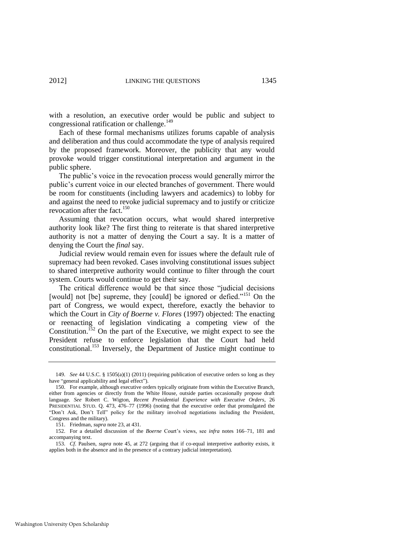with a resolution, an executive order would be public and subject to congressional ratification or challenge. $149$ 

Each of these formal mechanisms utilizes forums capable of analysis and deliberation and thus could accommodate the type of analysis required by the proposed framework. Moreover, the publicity that any would provoke would trigger constitutional interpretation and argument in the public sphere.

The public's voice in the revocation process would generally mirror the public's current voice in our elected branches of government. There would be room for constituents (including lawyers and academics) to lobby for and against the need to revoke judicial supremacy and to justify or criticize revocation after the fact.<sup>150</sup>

Assuming that revocation occurs, what would shared interpretive authority look like? The first thing to reiterate is that shared interpretive authority is not a matter of denying the Court a say. It is a matter of denying the Court the *final* say.

Judicial review would remain even for issues where the default rule of supremacy had been revoked. Cases involving constitutional issues subject to shared interpretive authority would continue to filter through the court system. Courts would continue to get their say.

The critical difference would be that since those "judicial decisions [would] not [be] supreme, they [could] be ignored or defied.<sup> $151$ </sup> On the part of Congress, we would expect, therefore, exactly the behavior to which the Court in *City of Boerne v. Flores* (1997) objected: The enacting or reenacting of legislation vindicating a competing view of the Constitution.<sup> $52$ </sup> On the part of the Executive, we might expect to see the President refuse to enforce legislation that the Court had held constitutional.<sup>153</sup> Inversely, the Department of Justice might continue to

<sup>149.</sup> *See* 44 U.S.C. § 1505(a)(1) (2011) (requiring publication of executive orders so long as they have "general applicability and legal effect").

<sup>150.</sup> For example, although executive orders typically originate from within the Executive Branch, either from agencies or directly from the White House, outside parties occasionally propose draft language. *See* Robert C. Wigton, *Recent Presidential Experience with Executive Orders*, 26 PRESIDENTIAL STUD. Q. 473, 476–77 (1996) (noting that the executive order that promulgated the "Don't Ask, Don't Tell" policy for the military involved negotiations including the President, Congress and the military).

<sup>151.</sup> Friedman, *supra* not[e 23,](#page-9-1) at 431.

<sup>152.</sup> For a detailed discussion of the *Boerne* Court's views, see *infra* notes [166–](#page-41-0)71, [181](#page-43-0) and accompanying text.

<sup>153.</sup> *Cf*. Paulsen, *supra* note [45,](#page-13-1) at 272 (arguing that if co-equal interpretive authority exists, it applies both in the absence and in the presence of a contrary judicial interpretation).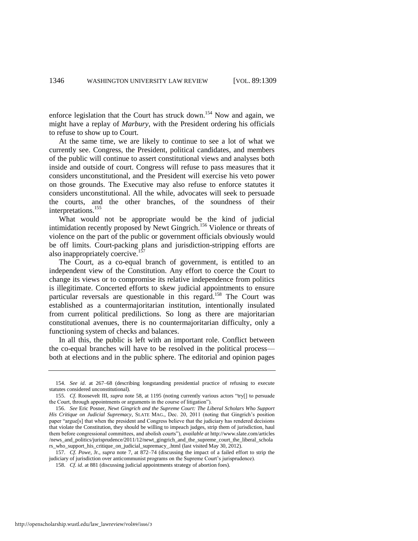enforce legislation that the Court has struck down.<sup>154</sup> Now and again, we might have a replay of *Marbury*, with the President ordering his officials to refuse to show up to Court.

At the same time, we are likely to continue to see a lot of what we currently see. Congress, the President, political candidates, and members of the public will continue to assert constitutional views and analyses both inside and outside of court. Congress will refuse to pass measures that it considers unconstitutional, and the President will exercise his veto power on those grounds. The Executive may also refuse to enforce statutes it considers unconstitutional. All the while, advocates will seek to persuade the courts, and the other branches, of the soundness of their interpretations.<sup>155</sup>

What would not be appropriate would be the kind of judicial intimidation recently proposed by Newt Gingrich.<sup>156</sup> Violence or threats of violence on the part of the public or government officials obviously would be off limits. Court-packing plans and jurisdiction-stripping efforts are also inappropriately coercive.<sup>1</sup>

The Court, as a co-equal branch of government, is entitled to an independent view of the Constitution. Any effort to coerce the Court to change its views or to compromise its relative independence from politics is illegitimate. Concerted efforts to skew judicial appointments to ensure particular reversals are questionable in this regard.<sup>158</sup> The Court was established as a countermajoritarian institution, intentionally insulated from current political predilictions. So long as there are majoritarian constitutional avenues, there is no countermajoritarian difficulty, only a functioning system of checks and balances.

In all this, the public is left with an important role. Conflict between the co-equal branches will have to be resolved in the political process both at elections and in the public sphere. The editorial and opinion pages

<sup>154.</sup> *See id*. at 267–68 (describing longstanding presidential practice of refusing to execute statutes considered unconstitutional).

<sup>155.</sup> *Cf.* Roosevelt III, *supra* note [58,](#page-15-1) at 1195 (noting currently various actors "try[] to persuade the Court, through appointments or arguments in the course of litigation").

<sup>156.</sup> *See* Eric Posner, *Newt Gingrich and the Supreme Court: The Liberal Scholars Who Support His Critique on Judicial Supremacy*, SLATE MAG., Dec. 20, 2011 (noting that Gingrich's position paper "argue[s] that when the president and Congress believe that the judiciary has rendered decisions that violate the Constitution, they should be willing to impeach judges, strip them of jurisdiction, haul them before congressional committees, and abolish courts"), *available at* http://www.slate.com/articles /news\_and\_politics/jurisprudence/2011/12/newt\_gingrich\_and\_the\_supreme\_court\_the\_liberal\_schola rs\_who\_support\_his\_critique\_on\_judicial\_supremacy\_.html (last visited May 30, 2012).

<sup>157.</sup> *Cf*. *Powe*, Jr., *supra* note [7,](#page-3-0) at 872–74 (discussing the impact of a failed effort to strip the judiciary of jurisdiction over anticommunist programs on the Supreme Court's jurisprudence).

<sup>158.</sup> *Cf*. *id*. at 881 (discussing judicial appointments strategy of abortion foes).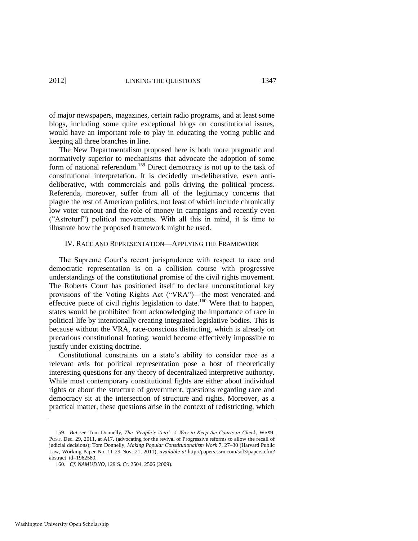of major newspapers, magazines, certain radio programs, and at least some blogs, including some quite exceptional blogs on constitutional issues, would have an important role to play in educating the voting public and keeping all three branches in line.

The New Departmentalism proposed here is both more pragmatic and normatively superior to mechanisms that advocate the adoption of some form of national referendum.<sup>159</sup> Direct democracy is not up to the task of constitutional interpretation. It is decidedly un-deliberative, even antideliberative, with commercials and polls driving the political process. Referenda, moreover, suffer from all of the legitimacy concerns that plague the rest of American politics, not least of which include chronically low voter turnout and the role of money in campaigns and recently even (―Astroturf‖) political movements. With all this in mind, it is time to illustrate how the proposed framework might be used.

#### IV. RACE AND REPRESENTATION—APPLYING THE FRAMEWORK

The Supreme Court's recent jurisprudence with respect to race and democratic representation is on a collision course with progressive understandings of the constitutional promise of the civil rights movement. The Roberts Court has positioned itself to declare unconstitutional key provisions of the Voting Rights Act ("VRA")—the most venerated and effective piece of civil rights legislation to date.<sup>160</sup> Were that to happen, states would be prohibited from acknowledging the importance of race in political life by intentionally creating integrated legislative bodies. This is because without the VRA, race-conscious districting, which is already on precarious constitutional footing, would become effectively impossible to justify under existing doctrine.

Constitutional constraints on a state's ability to consider race as a relevant axis for political representation pose a host of theoretically interesting questions for any theory of decentralized interpretive authority. While most contemporary constitutional fights are either about individual rights or about the structure of government, questions regarding race and democracy sit at the intersection of structure and rights. Moreover, as a practical matter, these questions arise in the context of redistricting, which

<sup>159.</sup> *But see* Tom Donnelly, *The "People"s Veto": A Way to Keep the Courts in Check*, WASH. POST, Dec. 29, 2011, at A17. (advocating for the revival of Progressive reforms to allow the recall of judicial decisions); Tom Donnelly, *Making Popular Constitutionalism Work* 7, 27–30 (Harvard Public Law, Working Paper No. 11-29 Nov. 21, 2011), *available at* http://papers.ssrn.com/sol3/papers.cfm? abstract\_id=1962580.

<sup>160.</sup> *Cf*. *NAMUDNO*, 129 S. Ct. 2504, 2506 (2009).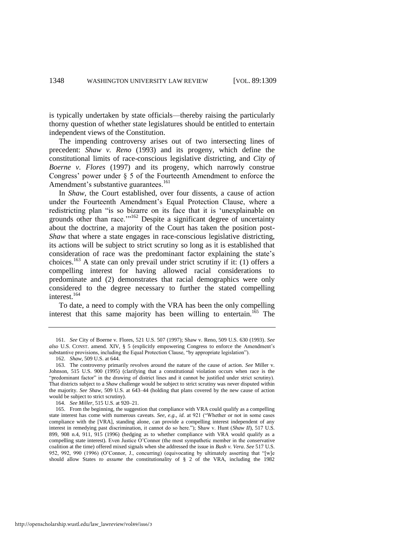is typically undertaken by state officials—thereby raising the particularly thorny question of whether state legislatures should be entitled to entertain independent views of the Constitution.

The impending controversy arises out of two intersecting lines of precedent: *Shaw v. Reno* (1993) and its progeny, which define the constitutional limits of race-conscious legislative districting, and *City of Boerne v. Flores* (1997) and its progeny, which narrowly construe Congress' power under § 5 of the Fourteenth Amendment to enforce the Amendment's substantive guarantees.<sup>161</sup>

<span id="page-40-0"></span>In *Shaw*, the Court established, over four dissents, a cause of action under the Fourteenth Amendment's Equal Protection Clause, where a redistricting plan "is so bizarre on its face that it is 'unexplainable on grounds other than race."<sup>162</sup> Despite a significant degree of uncertainty about the doctrine, a majority of the Court has taken the position post-*Shaw* that where a state engages in race-conscious legislative districting, its actions will be subject to strict scrutiny so long as it is established that consideration of race was the predominant factor explaining the state's choices.<sup>163</sup> A state can only prevail under strict scrutiny if it: (1) offers a compelling interest for having allowed racial considerations to predominate and (2) demonstrates that racial demographics were only considered to the degree necessary to further the stated compelling interest.<sup>164</sup>

To date, a need to comply with the VRA has been the only compelling interest that this same majority has been willing to entertain.<sup>165</sup> The

<sup>161.</sup> *See* City of Boerne v. Flores, 521 U.S. 507 (1997); Shaw v. Reno, 509 U.S. 630 (1993). *See also* U.S. CONST. amend. XIV, § 5 (explicitly empowering Congress to enforce the Amendment's substantive provisions, including the Equal Protection Clause, "by appropriate legislation").

<sup>162.</sup> *Shaw*, 509 U.S. at 644.

<sup>163.</sup> The controversy primarily revolves around the nature of the cause of action. *See* Miller v. Johnson, 515 U.S. 900 (1995) (clarifying that a constitutional violation occurs when race is the "predominant factor" in the drawing of district lines and it cannot be justified under strict scrutiny). That districts subject to a *Shaw* challenge would be subject to strict scrutiny was never disputed within the majority. *See Shaw*, 509 U.S. at 643–44 (holding that plans covered by the new cause of action would be subject to strict scrutiny).

<sup>164.</sup> *See Miller*, 515 U.S. at 920–21.

<sup>165.</sup> From the beginning, the suggestion that compliance with VRA could qualify as a compelling state interest has come with numerous caveats. *See, e.g., id.* at 921 ("Whether or not in some cases compliance with the [VRA], standing alone, can provide a compelling interest independent of any interest in remedying past discrimination, it cannot do so here."); Shaw v. Hunt (*Shaw II*), 517 U.S. 899, 908 n.4, 911, 915 (1996) (hedging as to whether compliance with VRA would qualify as a compelling state interest). Even Justice O'Connor (the most sympathetic member in the conservative coalition at the time) offered mixed signals when she addressed the issue in *Bush v. Vera*. *See* 517 U.S. 952, 992, 990 (1996) (O'Connor, J., concurring) (equivocating by ultimately asserting that "[w]e should allow States *to assume* the constitutionality of § 2 of the VRA, including the 1982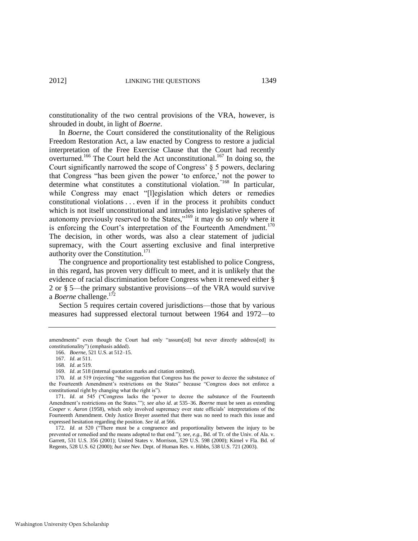constitutionality of the two central provisions of the VRA, however, is shrouded in doubt, in light of *Boerne*.

<span id="page-41-0"></span>In *Boerne*, the Court considered the constitutionality of the Religious Freedom Restoration Act, a law enacted by Congress to restore a judicial interpretation of the Free Exercise Clause that the Court had recently overturned.<sup>166</sup> The Court held the Act unconstitutional.<sup>167</sup> In doing so, the Court significantly narrowed the scope of Congress' § 5 powers, declaring that Congress "has been given the power 'to enforce,' not the power to determine what constitutes a constitutional violation.<sup>"168</sup> In particular, while Congress may enact "[l]egislation which deters or remedies constitutional violations . . . even if in the process it prohibits conduct which is not itself unconstitutional and intrudes into legislative spheres of autonomy previously reserved to the States,"<sup>169</sup> it may do so *only* where it is enforcing the Court's interpretation of the Fourteenth Amendment.<sup>170</sup> The decision, in other words, was also a clear statement of judicial supremacy, with the Court asserting exclusive and final interpretive authority over the Constitution.<sup>171</sup>

The congruence and proportionality test established to police Congress, in this regard, has proven very difficult to meet, and it is unlikely that the evidence of racial discrimination before Congress when it renewed either § 2 or § 5—the primary substantive provisions—of the VRA would survive a *Boerne* challenge.<sup>172</sup>

Section 5 requires certain covered jurisdictions—those that by various measures had suppressed electoral turnout between 1964 and 1972—to

amendments" even though the Court had only "assum[ed] but never directly address[ed] its constitutionality") (emphasis added).

<sup>166.</sup> *Boerne*, 521 U.S. at 512–15.

<sup>167.</sup> *Id*. at 511.

<sup>168</sup>*. Id*. at 519.

<sup>169.</sup> *Id*. at 518 (internal quotation marks and citation omitted).

<sup>170</sup>*. Id.* at 519 (rejecting "the suggestion that Congress has the power to decree the substance of the Fourteenth Amendment's restrictions on the States" because "Congress does not enforce a constitutional right by changing what the right is").

<sup>171.</sup> *Id.* at 545 ("Congress lacks the 'power to decree the *substance* of the Fourteenth Amendment's restrictions on the States.""); *see also id.* at 535-36. *Boerne* must be seen as extending *Cooper v. Aaron* (1958), which only involved supremacy over state officials' interpretations of the Fourteenth Amendment. Only Justice Breyer asserted that there was no need to reach this issue and expressed hesitation regarding the position. *See id*. at 566.

<sup>172.</sup> *Id.* at 520 ("There must be a congruence and proportionality between the injury to be prevented or remedied and the means adopted to that end."); *see, e.g.*, Bd. of Tr. of the Univ. of Ala. v. Garrett, 531 U.S. 356 (2001); United States v. Morrison, 529 U.S. 598 (2000); Kimel v Fla. Bd. of Regents, 528 U.S. 62 (2000); *but see* Nev. Dept. of Human Res. v. Hibbs, 538 U.S. 721 (2003).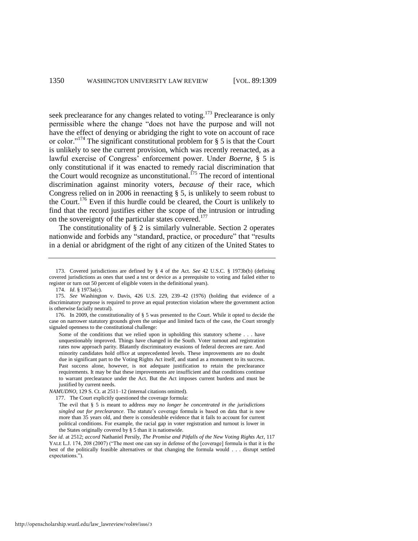seek preclearance for any changes related to voting.<sup>173</sup> Preclearance is only permissible where the change "does not have the purpose and will not have the effect of denying or abridging the right to vote on account of race or color."<sup>174</sup> The significant constitutional problem for  $\S$  5 is that the Court is unlikely to see the current provision, which was recently reenacted, as a lawful exercise of Congress' enforcement power. Under *Boerne*, § 5 is only constitutional if it was enacted to remedy racial discrimination that the Court would recognize as unconstitutional.<sup> $175$ </sup> The record of intentional discrimination against minority voters, *because of* their race, which Congress relied on in 2006 in reenacting § 5, is unlikely to seem robust to the Court.<sup>176</sup> Even if this hurdle could be cleared, the Court is unlikely to find that the record justifies either the scope of the intrusion or intruding on the sovereignty of the particular states covered.<sup>177</sup>

The constitutionality of  $\S 2$  is similarly vulnerable. Section 2 operates nationwide and forbids any "standard, practice, or procedure" that "results in a denial or abridgment of the right of any citizen of the United States to

<sup>173.</sup> Covered jurisdictions are defined by § 4 of the Act. *See* 42 U.S.C. § 1973b(b) (defining covered jurisdictions as ones that used a test or device as a prerequisite to voting and failed either to register or turn out 50 percent of eligible voters in the definitional years).

<sup>174.</sup> *Id*. § 1973a(c).

<sup>175.</sup> *See* Washington v. Davis, 426 U.S. 229, 239–42 (1976) (holding that evidence of a discriminatory purpose is required to prove an equal protection violation where the government action is otherwise facially neutral).

<sup>176.</sup> In 2009, the constitutionality of § 5 was presented to the Court. While it opted to decide the case on narrower statutory grounds given the unique and limited facts of the case, the Court strongly signaled openness to the constitutional challenge:

Some of the conditions that we relied upon in upholding this statutory scheme . . . have unquestionably improved. Things have changed in the South. Voter turnout and registration rates now approach parity. Blatantly discriminatory evasions of federal decrees are rare. And minority candidates hold office at unprecedented levels. These improvements are no doubt due in significant part to the Voting Rights Act itself, and stand as a monument to its success. Past success alone, however, is not adequate justification to retain the preclearance requirements. It may be that these improvements are insufficient and that conditions continue to warrant preclearance under the Act. But the Act imposes current burdens and must be justified by current needs.

*NAMUDNO*, 129 S. Ct. at 2511–12 (internal citations omitted)*.*

<sup>177.</sup> The Court explicitly questioned the coverage formula:

The evil that § 5 is meant to address *may no longer be concentrated in the jurisdictions singled out for preclearance*. The statute's coverage formula is based on data that is now more than 35 years old, and there is considerable evidence that it fails to account for current political conditions. For example, the racial gap in voter registration and turnout is lower in the States originally covered by § 5 than it is nationwide.

*See id*. at 2512; *accord* Nathaniel Persily, *The Promise and Pitfalls of the New Voting Rights Act*, 117 YALE L.J. 174, 208 (2007) ("The most one can say in defense of the [coverage] formula is that it is the best of the politically feasible alternatives or that changing the formula would . . . disrupt settled expectations.").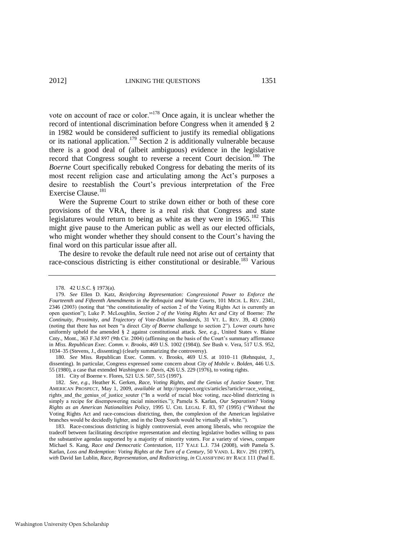vote on account of race or color."<sup>178</sup> Once again, it is unclear whether the record of intentional discrimination before Congress when it amended § 2 in 1982 would be considered sufficient to justify its remedial obligations or its national application.<sup>179</sup> Section 2 is additionally vulnerable because there is a good deal of (albeit ambiguous) evidence in the legislative record that Congress sought to reverse a recent Court decision.<sup>180</sup> The *Boerne* Court specifically rebuked Congress for debating the merits of its most recent religion case and articulating among the Act's purposes a desire to reestablish the Court's previous interpretation of the Free Exercise Clause.<sup>181</sup>

<span id="page-43-0"></span>Were the Supreme Court to strike down either or both of these core provisions of the VRA, there is a real risk that Congress and state legislatures would return to being as white as they were in  $1965$ <sup>182</sup>. This might give pause to the American public as well as our elected officials, who might wonder whether they should consent to the Court's having the final word on this particular issue after all.

The desire to revoke the default rule need not arise out of certainty that race-conscious districting is either constitutional or desirable.<sup>183</sup> Various

180. *See* Miss. Republican Exec. Comm. v. Brooks, 469 U.S. at 1010–11 (Rehnquist, J., dissenting). In particular, Congress expressed some concern about *City of Mobile v. Bolden*, 446 U.S. 55 (1980), a case that extended *Washington v. Davis*, 426 U.S. 229 (1976), to voting rights.

181. City of Boerne v. Flores, 521 U.S. 507, 515 (1997).

182. *See, e.g.*, Heather K. Gerken, *Race, Voting Rights, and the Genius of Justice Souter*, THE AMERICAN PROSPECT, May 1, 2009, *available at* http://prospect.org/cs/articles?article=race\_voting\_ rights\_and\_the\_genius\_of\_justice\_souter ("In a world of racial bloc voting, race-blind districting is simply a recipe for disempowering racial minorities.‖); Pamela S. Karlan, *Our Separatism? Voting Rights as an American Nationalities Policy*, 1995 U. CHI. LEGAL F. 83, 97 (1995) ("Without the Voting Rights Act and race-conscious districting, then, the complexion of the American legislative branches would be decidedly lighter, and in the Deep South would be virtually all white.").

183. Race-conscious districting is highly controversial, even among liberals, who recognize the tradeoff between facilitating descriptive representation and electing legislative bodies willing to pass the substantive agendas supported by a majority of minority voters. For a variety of views, compare Michael S. Kang, *Race and Democratic Contestation*, 117 YALE L.J. 734 (2008), *with* Pamela S. Karlan, *Loss and Redemption: Voting Rights at the Turn of a Century*, 50 VAND. L. REV. 291 (1997), *with* David Ian Lublin, *Race, Representation, and Redistricting*, *in* CLASSIFYING BY RACE 111 (Paul E.

<sup>178. 42</sup> U.S.C. § 1973(a).

<sup>179.</sup> *See* Ellen D. Katz, *Reinforcing Representation: Congressional Power to Enforce the Fourteenth and Fifteenth Amendments in the Rehnquist and Waite Courts*, 101 MICH. L. REV. 2341, 2346 (2003) (noting that "the constitutionality of section 2 of the Voting Rights Act is currently an open question‖); Luke P. McLoughlin, *Section 2 of the Voting Rights Act and* City of Boerne*: The Continuity, Proximity, and Trajectory of Vote-Dilution Standards*, 31 VT. L. REV. 39, 43 (2006) (noting that there has not been "a direct *City of Boerne* challenge to section 2"). Lower courts have uniformly upheld the amended § 2 against constitutional attack. *See, e.g.*, United States v. Blaine Cnty., Mont., 363 F.3d 897 (9th Cir. 2004) (affirming on the basis of the Court's summary affirmance in *Miss. Republican Exec. Comm. v. Brooks*, 469 U.S. 1002 (1984)). *See* Bush v. Vera, 517 U.S. 952, 1034–35 (Stevens, J., dissenting) (clearly summarizing the controversy).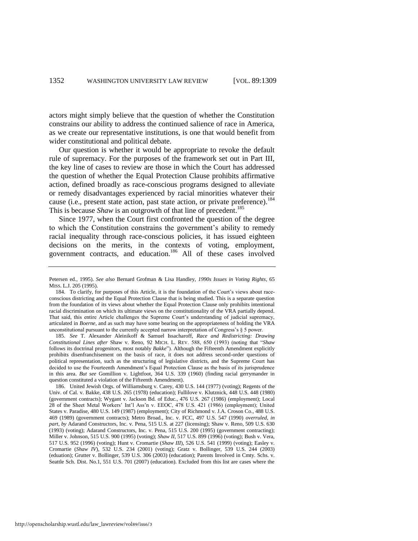actors might simply believe that the question of whether the Constitution constrains our ability to address the continued salience of race in America, as we create our representative institutions, is one that would benefit from wider constitutional and political debate.

Our question is whether it would be appropriate to revoke the default rule of supremacy. For the purposes of the framework set out in Part III, the key line of cases to review are those in which the Court has addressed the question of whether the Equal Protection Clause prohibits affirmative action, defined broadly as race-conscious programs designed to alleviate or remedy disadvantages experienced by racial minorities whatever their cause (i.e., present state action, past state action, or private preference).<sup>184</sup> This is because *Shaw* is an outgrowth of that line of precedent.<sup>185</sup>

Since 1977, when the Court first confronted the question of the degree to which the Constitution constrains the government's ability to remedy racial inequality through race-conscious policies, it has issued eighteen decisions on the merits, in the contexts of voting, employment, government contracts, and education.<sup>186</sup> All of these cases involved

185. *See* T. Alexander Aleinikoff & Samuel Issacharoff, *Race and Redistricting: Drawing Constitutional Lines after* Shaw v. Reno, 92 MICH. L. REV. 588, 650 (1993) (noting that ―*Shaw* follows its doctrinal progenitors, most notably *Bakke*"). Although the Fifteenth Amendment explicitly prohibits disenfranchisement on the basis of race, it does not address second-order questions of political representation, such as the structuring of legislative districts, and the Supreme Court has decided to use the Fourteenth Amendment's Equal Protection Clause as the basis of its jurisprudence in this area. *But see* Gomillion v. Lightfoot, 364 U.S. 339 (1960) (finding racial gerrymander in question constituted a violation of the Fifteenth Amendment).

186. United Jewish Orgs. of Williamsburg v. Carey, 430 U.S. 144 (1977) (voting); Regents of the Univ. of Cal. v. Bakke, 438 U.S. 265 (1978) (education); Fullilove v. Klutznick, 448 U.S. 448 (1980) (government contracts); Wygant v. Jackson Bd. of Educ., 476 U.S. 267 (1986) (employment); Local 28 of the Sheet Metal Workers' Int'l Ass'n v. EEOC, 478 U.S. 421 (1986) (employment); United States v. Paradise, 480 U.S. 149 (1987) (employment); City of Richmond v. J.A. Croson Co., 488 U.S. 469 (1989) (government contracts); Metro Broad., Inc. v. FCC, 497 U.S. 547 (1990) *overruled*, *in part*, *by* Adarand Constructors, Inc. v. Pena, 515 U.S. at 227 (licensing); Shaw v. Reno, 509 U.S. 630 (1993) (voting); Adarand Constructors, Inc. v. Pena, 515 U.S. 200 (1995) (government contracting); Miller v. Johnson, 515 U.S. 900 (1995) (voting); *Shaw II*, 517 U.S. 899 (1996) (voting); Bush v. Vera, 517 U.S. 952 (1996) (voting); Hunt v. Cromartie (*Shaw III*), 526 U.S. 541 (1999) (voting); Easley v. Cromartie (*Shaw IV*), 532 U.S. 234 (2001) (voting); Gratz v. Bollinger, 539 U.S. 244 (2003) (eduation); Grutter v. Bollinger, 539 U.S. 306 (2003) (education); Parents Involved in Cmty. Schs. v. Seattle Sch. Dist. No.1, 551 U.S. 701 (2007) (education). Excluded from this list are cases where the

Petersen ed., 1995). *See also* Bernard Grofman & Lisa Handley, *1990s Issues in Voting Rights*, 65 MISS. L.J. 205 (1995).

<sup>184.</sup> To clarify, for purposes of this Article, it is the foundation of the Court's views about raceconscious districting and the Equal Protection Clause that is being studied. This is a separate question from the foundation of its views about whether the Equal Protection Clause only prohibits intentional racial discrimination on which its ultimate views on the constitutionality of the VRA partially depend. That said, this entire Article challenges the Supreme Court's understanding of judicial supremacy, articulated in *Boerne*, and as such may have some bearing on the appropriateness of holding the VRA unconstitutional pursuant to the currently accepted narrow interpretation of Congress's § 5 power.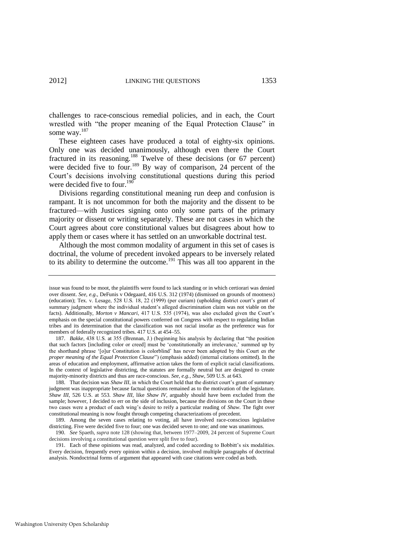challenges to race-conscious remedial policies, and in each, the Court wrestled with "the proper meaning of the Equal Protection Clause" in some way.<sup>187</sup>

These eighteen cases have produced a total of eighty-six opinions. Only one was decided unanimously, although even there the Court fractured in its reasoning.<sup>188</sup> Twelve of these decisions (or 67 percent) were decided five to four.<sup>189</sup> By way of comparison, 24 percent of the Court's decisions involving constitutional questions during this period were decided five to four.<sup>190</sup>

Divisions regarding constitutional meaning run deep and confusion is rampant. It is not uncommon for both the majority and the dissent to be fractured—with Justices signing onto only some parts of the primary majority or dissent or writing separately. These are not cases in which the Court agrees about core constitutional values but disagrees about how to apply them or cases where it has settled on an unworkable doctrinal test.

<span id="page-45-0"></span>Although the most common modality of argument in this set of cases is doctrinal, the volume of precedent invoked appears to be inversely related to its ability to determine the outcome.<sup>191</sup> This was all too apparent in the

191. Each of these opinions was read, analyzed, and coded according to Bobbitt's six modalities. Every decision, frequently every opinion within a decision, involved multiple paragraphs of doctrinal analysis. Nondoctrinal forms of argument that appeared with case citations were coded as both.

issue was found to be moot, the plaintiffs were found to lack standing or in which certiorari was denied over dissent. *See, e.g.*, DeFunis v Odegaard, 416 U.S. 312 (1974) (dismissed on grounds of mootness) (education); Tex. v. Lesage, 528 U.S. 18, 22 (1999) (per curiam) (upholding district court's grant of summary judgment where the individual student's alleged discrimination claim was not viable on the facts). Additionally, *Morton v Mancari*, 417 U.S. 535 (1974), was also excluded given the Court's emphasis on the special constitutional powers conferred on Congress with respect to regulating Indian tribes and its determination that the classification was not racial insofar as the preference was for members of federally recognized tribes. 417 U.S. at 454–55.

<sup>187.</sup> *Bakke*, 438 U.S. at 355 (Brennan, J.) (beginning his analysis by declaring that "the position that such factors [including color or creed] must be ‗constitutionally an irrelevance,' summed up by the shorthand phrase ‗[o]ur Constitution is colorblind' has never been adopted by this Court *as the proper meaning of the Equal Protection Clause*‖) (emphasis added) (internal citations omitted). In the areas of education and employment, affirmative action takes the form of explicit racial classifications. In the context of legislative districting, the statutes are formally neutral but are designed to create majority-minority districts and thus are race-conscious. *See, e.g.*, *Shaw*, 509 U.S. at 643.

<sup>188.</sup> That decision was *Shaw III*, in which the Court held that the district court's grant of summary judgment was inappropriate because factual questions remained as to the motivation of the legislature. *Shaw III*, 526 U.S. at 553. *Shaw III*, like *Shaw IV*, arguably should have been excluded from the sample; however, I decided to err on the side of inclusion, because the divisions on the Court in these two cases were a product of each wing's desire to reify a particular reading of *Shaw*. The fight over constitutional meaning is now fought through competing characterizations of precedent.

<sup>189.</sup> Among the seven cases relating to voting, all have involved race-conscious legislative districting. Five were decided five to four; one was decided seven to one; and one was unanimous.

<sup>190.</sup> *See* Spaeth, *supra* note [128](#page-30-0) (showing that, between 1977–2009, 24 percent of Supreme Court decisions involving a constitutional question were split five to four).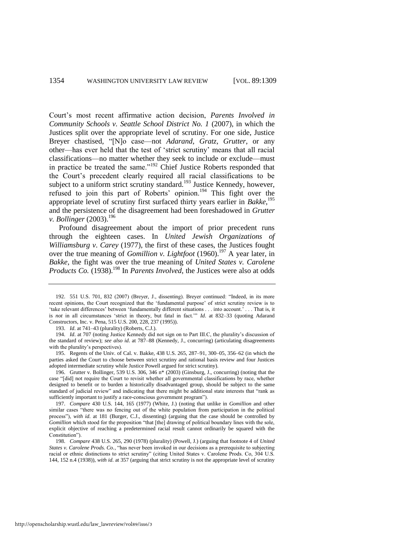Court's most recent affirmative action decision, *Parents Involved in Community Schools v. Seattle School District No. 1* (2007), in which the Justices split over the appropriate level of scrutiny. For one side, Justice Breyer chastised, "[N]o case—not *Adarand, Gratz, Grutter*, or any other—has ever held that the test of 'strict scrutiny' means that all racial classifications—no matter whether they seek to include or exclude—must in practice be treated the same."<sup>192</sup> Chief Justice Roberts responded that the Court's precedent clearly required all racial classifications to be subject to a uniform strict scrutiny standard.<sup>193</sup> Justice Kennedy, however, refused to join this part of Roberts' opinion.<sup>194</sup> This fight over the appropriate level of scrutiny first surfaced thirty years earlier in *Bakke*, 195 and the persistence of the disagreement had been foreshadowed in *Grutter v. Bollinger* (2003).<sup>196</sup>

Profound disagreement about the import of prior precedent runs through the eighteen cases. In *United Jewish Organizations of Williamsburg v*. *Carey* (1977), the first of these cases, the Justices fought over the true meaning of *Gomillion v. Lightfoot* (1960).<sup>197</sup> A year later, in *Bakke*, the fight was over the true meaning of *United States v. Carolene Products Co.* (1938).<sup>198</sup> In *Parents Involved*, the Justices were also at odds

193. *Id*. at 741–43 (plurality) (Roberts, C.J.).

194. *Id*. at 707 (noting Justice Kennedy did not sign on to Part III.C, the plurality's discussion of the standard of review); *see also id*. at 787–88 (Kennedy, J., concurring) (articulating disagreements with the plurality's perspectives).

195. Regents of the Univ. of Cal. v. Bakke, 438 U.S. 265, 287–91, 300–05, 356–62 (in which the parties asked the Court to choose between strict scrutiny and rational basis review and four Justices adopted intermediate scrutiny while Justice Powell argued for strict scrutiny).

196. Grutter v. Bollinger, 539 U.S. 306, 346 n\* (2003) (Ginsburg, J., concurring) (noting that the case "[did] not require the Court to revisit whether all governmental classifications by race, whether designed to benefit or to burden a historically disadvantaged group, should be subject to the same standard of judicial review" and indicating that there might be additional state interests that "rank as sufficiently important to justify a race-conscious government program").

197. *Compare* 430 U.S. 144, 165 (1977) (White, J.) (noting that unlike in *Gomillion* and other similar cases "there was no fencing out of the white population from participation in the political process"), with id. at 181 (Burger, C.J., dissenting) (arguing that the case should be controlled by *Gomillion* which stood for the proposition "that [the] drawing of political boundary lines with the sole, explicit objective of reaching a predetermined racial result cannot ordinarily be squared with the Constitution").

198. *Compare* 438 U.S. 265, 290 (1978) (plurality) (Powell, J.) (arguing that footnote 4 of *United States v. Carolene Prods. Co.*, "has never been invoked in our decisions as a prerequisite to subjecting racial or ethnic distinctions to strict scrutiny" (citing United States v. Carolene Prods. Co, 304 U.S. 144, 152 n.4 (1938)), *with id*. at 357 (arguing that strict scrutiny is not the appropriate level of scrutiny

<sup>192. 551</sup> U.S. 701, 832 (2007) (Breyer, J., dissenting). Breyer continued: "Indeed, in its more recent opinions, the Court recognized that the 'fundamental purpose' of strict scrutiny review is to ‗take relevant differences' between ‗fundamentally different situations . . . into account.' . . . That is, it is *not* in all circumstances 'strict in theory, but fatal in fact.'" Id. at 832-33 (quoting Adarand Constructors, Inc. v. Pena, 515 U.S. 200, 228, 237 (1995)).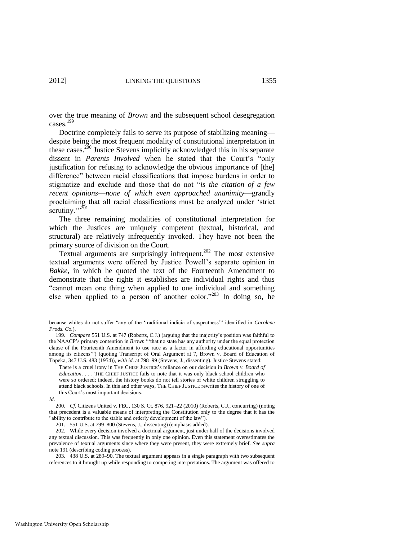over the true meaning of *Brown* and the subsequent school desegregation cases.<sup>199</sup>

Doctrine completely fails to serve its purpose of stabilizing meaning despite being the most frequent modality of constitutional interpretation in these cases.<sup>200</sup> Justice Stevens implicitly acknowledged this in his separate dissent in *Parents Involved* when he stated that the Court's "only justification for refusing to acknowledge the obvious importance of [the] difference" between racial classifications that impose burdens in order to stigmatize and exclude and those that do not "*is the citation of a few recent opinions*—*none of which even approached unanimity*—grandly proclaiming that all racial classifications must be analyzed under 'strict scrutiny."<sup>201</sup>

The three remaining modalities of constitutional interpretation for which the Justices are uniquely competent (textual, historical, and structural) are relatively infrequently invoked. They have not been the primary source of division on the Court.

Textual arguments are surprisingly infrequent.<sup>202</sup> The most extensive textual arguments were offered by Justice Powell's separate opinion in *Bakke*, in which he quoted the text of the Fourteenth Amendment to demonstrate that the rights it establishes are individual rights and thus ―cannot mean one thing when applied to one individual and something else when applied to a person of another color."<sup>203</sup> In doing so, he

*Id*.

200. *Cf*. Citizens United v. FEC, 130 S. Ct. 876, 921–22 (2010) (Roberts, C.J., concurring) (noting that precedent is a valuable means of interpreting the Constitution only to the degree that it has the "ability to contribute to the stable and orderly development of the law").

because whites do not suffer "any of the 'traditional indicia of suspectness'" identified in *Carolene Prods. Co.*).

<sup>199.</sup> *Compare* 551 U.S. at 747 (Roberts, C.J.) (arguing that the majority's position was faithful to the NAACP's primary contention in *Brown* ""that no state has any authority under the equal protection clause of the Fourteenth Amendment to use race as a factor in affording educational opportunities among its citizens") (quoting Transcript of Oral Argument at 7, Brown v. Board of Education of Topeka, 347 U.S. 483 (1954)), *with id*. at 798–99 (Stevens, J., dissenting). Justice Stevens stated:

There is a cruel irony in THE CHIEF JUSTICE's reliance on our decision in *Brown v. Board of Education*. . . . THE CHIEF JUSTICE fails to note that it was only black school children who were so ordered; indeed, the history books do not tell stories of white children struggling to attend black schools. In this and other ways, THE CHIEF JUSTICE rewrites the history of one of this Court's most important decisions.

<sup>201. 551</sup> U.S. at 799–800 (Stevens, J., dissenting) (emphasis added).

<sup>202.</sup> While every decision involved a doctrinal argument, just under half of the decisions involved any textual discussion. This was frequently in only one opinion. Even this statement overestimates the prevalence of textual arguments since where they were present, they were extremely brief. *See supra* note [191 \(](#page-45-0)describing coding process).

<sup>203. 438</sup> U.S. at 289–90. The textual argument appears in a single paragraph with two subsequent references to it brought up while responding to competing interpretations. The argument was offered to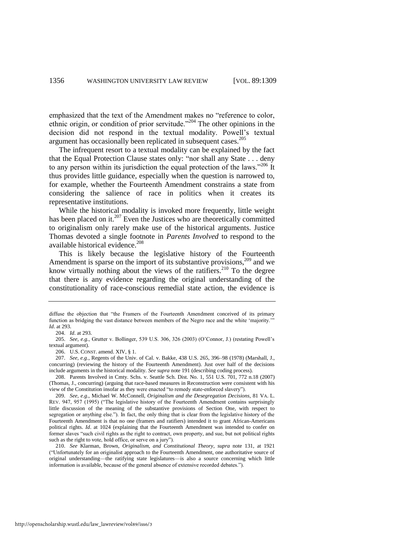emphasized that the text of the Amendment makes no "reference to color, ethnic origin, or condition of prior servitude.<sup>2204</sup> The other opinions in the decision did not respond in the textual modality. Powell's textual argument has occasionally been replicated in subsequent cases.<sup>205</sup>

The infrequent resort to a textual modality can be explained by the fact that the Equal Protection Clause states only: "nor shall any State . . . deny to any person within its jurisdiction the equal protection of the laws.<sup> $206$ </sup> It thus provides little guidance, especially when the question is narrowed to, for example, whether the Fourteenth Amendment constrains a state from considering the salience of race in politics when it creates its representative institutions.

While the historical modality is invoked more frequently, little weight has been placed on it.<sup>207</sup> Even the Justices who are theoretically committed to originalism only rarely make use of the historical arguments. Justice Thomas devoted a single footnote in *Parents Involved* to respond to the available historical evidence.<sup>208</sup>

This is likely because the legislative history of the Fourteenth Amendment is sparse on the import of its substantive provisions,<sup>209</sup> and we know virtually nothing about the views of the ratifiers.<sup>210</sup> To the degree that there is any evidence regarding the original understanding of the constitutionality of race-conscious remedial state action, the evidence is

diffuse the objection that "the Framers of the Fourteenth Amendment conceived of its primary function as bridging the vast distance between members of the Negro race and the white 'majority.' *Id*. at 293.

<sup>204.</sup> *Id*. at 293.

<sup>205.</sup> *See, e.g.*, Grutter v. Bollinger, 539 U.S. 306, 326 (2003) (O'Connor, J.) (restating Powell's textual argument).

<sup>206.</sup> U.S. CONST. amend. XIV, § 1.

<sup>207.</sup> *See, e.g.*, Regents of the Univ. of Cal. v. Bakke, 438 U.S. 265, 396–98 (1978) (Marshall, J., concurring) (reviewing the history of the Fourteenth Amendment). Just over half of the decisions include arguments in the historical modality. *See supra* not[e 191](#page-45-0) (describing coding process).

<sup>208.</sup> Parents Involved in Cmty. Schs. v. Seattle Sch. Dist. No. 1, 551 U.S. 701, 772 n.18 (2007) (Thomas, J., concurring) (arguing that race-based measures in Reconstruction were consistent with his view of the Constitution insofar as they were enacted "to remedy state-enforced slavery").

<sup>209.</sup> *See, e.g.*, Michael W. McConnell, *Originalism and the Desegregation Decisions*, 81 VA. L. REV. 947, 957 (1995) ("The legislative history of the Fourteenth Amendment contains surprisingly little discussion of the meaning of the substantive provisions of Section One, with respect to segregation or anything else."). In fact, the only thing that is clear from the legislative history of the Fourteenth Amendment is that no one (framers and ratifiers) intended it to grant African-Americans political rights. *Id*. at 1024 (explaining that the Fourteenth Amendment was intended to confer on former slaves "such civil rights as the right to contract, own property, and sue, but not political rights such as the right to vote, hold office, or serve on a jury").

<sup>210.</sup> *See* Klarman, Brown*, Originalism, and Constitutional Theory*, *supra* note [131,](#page-31-0) at 1921 (―Unfortunately for an originalist approach to the Fourteenth Amendment, one authoritative source of original understanding—the ratifying state legislatures—is also a source concerning which little information is available, because of the general absence of extensive recorded debates.").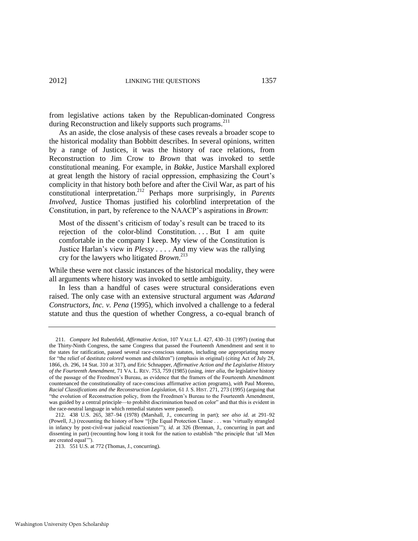from legislative actions taken by the Republican-dominated Congress during Reconstruction and likely supports such programs.<sup>211</sup>

As an aside, the close analysis of these cases reveals a broader scope to the historical modality than Bobbitt describes. In several opinions, written by a range of Justices, it was the history of race relations, from Reconstruction to Jim Crow to *Brown* that was invoked to settle constitutional meaning. For example, in *Bakke*, Justice Marshall explored at great length the history of racial oppression, emphasizing the Court's complicity in that history both before and after the Civil War, as part of his constitutional interpretation.<sup>212</sup> Perhaps more surprisingly, in *Parents Involved*, Justice Thomas justified his colorblind interpretation of the Constitution, in part, by reference to the NAACP's aspirations in *Brown*:

<span id="page-49-0"></span>Most of the dissent's criticism of today's result can be traced to its rejection of the color-blind Constitution. . . . But I am quite comfortable in the company I keep. My view of the Constitution is Justice Harlan's view in *Plessy .* . . . And my view was the rallying cry for the lawyers who litigated *Brown*. 213

While these were not classic instances of the historical modality, they were all arguments where history was invoked to settle ambiguity.

In less than a handful of cases were structural considerations even raised. The only case with an extensive structural argument was *Adarand Constructors, Inc. v. Pena* (1995), which involved a challenge to a federal statute and thus the question of whether Congress, a co-equal branch of

<sup>211.</sup> *Compare* Jed Rubenfeld, *Affirmative Action*, 107 YALE L.J. 427, 430–31 (1997) (noting that the Thirty-Ninth Congress, the same Congress that passed the Fourteenth Amendment and sent it to the states for ratification, passed several race-conscious statutes, including one appropriating money for "the relief of destitute *colored* women and children") (emphasis in original) (citing Act of July 28, 1866, ch. 296, 14 Stat. 310 at 317), *and* Eric Schnapper, *Affirmative Action and the Legislative History of the Fourteenth Amendment*, 71 VA. L. REV. 753, 759 (1985) (using, *inter alia*, the legislative history of the passage of the Freedmen's Bureau, as evidence that the framers of the Fourteenth Amendment countenanced the constitutionality of race-conscious affirmative action programs), *with* Paul Moreno, *Racial Classifications and the Reconstruction Legislation*, 61 J. S. HIST. 271, 273 (1995) (arguing that ―the evolution of Reconstruction policy, from the Freedmen's Bureau to the Fourteenth Amendment, was guided by a central principle—to prohibit discrimination based on color" and that this is evident in the race-neutral language in which remedial statutes were passed).

<sup>212. 438</sup> U.S. 265, 387–94 (1978) (Marshall, J., concurring in part); *see also id*. at 291–92 (Powell, J.,) (recounting the history of how "[t]he Equal Protection Clause . . . was 'virtually strangled in infancy by post-civil-war judicial reactionism"); *id.* at 326 (Brennan, J., concurring in part and dissenting in part) (recounting how long it took for the nation to establish "the principle that 'all Men are created equal"").

<sup>213. 551</sup> U.S. at 772 (Thomas, J., concurring).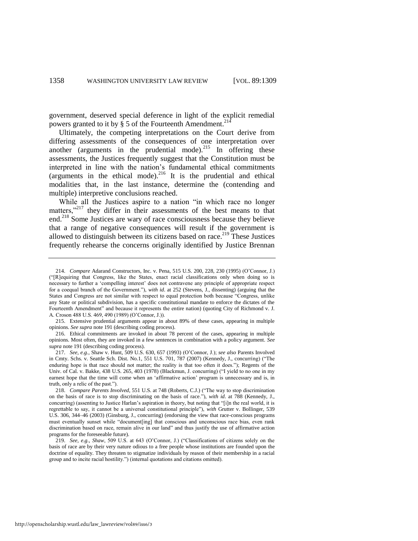government, deserved special deference in light of the explicit remedial powers granted to it by  $\S$  5 of the Fourteenth Amendment.<sup>21</sup>

Ultimately, the competing interpretations on the Court derive from differing assessments of the consequences of one interpretation over another (arguments in the prudential mode).<sup>215</sup> In offering these assessments, the Justices frequently suggest that the Constitution must be interpreted in line with the nation's fundamental ethical commitments (arguments in the ethical mode).<sup>216</sup> It is the prudential and ethical modalities that, in the last instance, determine the (contending and multiple) interpretive conclusions reached.

While all the Justices aspire to a nation "in which race no longer matters," $217$  they differ in their assessments of the best means to that end.<sup>218</sup> Some Justices are wary of race consciousness because they believe that a range of negative consequences will result if the government is allowed to distinguish between its citizens based on race.<sup>219</sup> These Justices frequently rehearse the concerns originally identified by Justice Brennan

<sup>214.</sup> *Compare* Adarand Constructors, Inc. v. Pena, 515 U.S. 200, 228, 230 (1995) (O'Connor, J.) (―[R]equiring that Congress, like the States, enact racial classifications only when doing so is necessary to further a 'compelling interest' does not contravene any principle of appropriate respect for a coequal branch of the Government."), *with id.* at 252 (Stevens, J., dissenting) (arguing that the States and Congress are not similar with respect to equal protection both because "Congress, unlike any State or political subdivision, has a specific constitutional mandate to enforce the dictates of the Fourteenth Amendment" and because it represents the entire nation) (quoting City of Richmond v. J. A. Croson 488 U.S. 469, 490 (1989) (O'Connor, J.)).

<sup>215.</sup> Extensive prudential arguments appear in about 89% of these cases, appearing in multiple opinions. *See supra* not[e 191 \(](#page-45-0)describing coding process).

<sup>216.</sup> Ethical commitments are invoked in about 78 percent of the cases, appearing in multiple opinions. Most often, they are invoked in a few sentences in combination with a policy argument. *See supra* not[e 191](#page-45-0) (describing coding process).

<sup>217.</sup> *See, e.g.*, Shaw v. Hunt, 509 U.S. 630, 657 (1993) (O'Connor, J.); *see also* Parents Involved in Cmty. Schs. v. Seattle Sch. Dist. No.1, 551 U.S. 701, 787 (2007) (Kennedy, J., concurring) ("The enduring hope is that race should not matter; the reality is that too often it does."); Regents of the Univ. of Cal. v. Bakke, 438 U.S. 265, 403 (1978) (Blackmun, J. concurring) ("I yield to no one in my earnest hope that the time will come when an 'affirmative action' program is unnecessary and is, in truth, only a relic of the past.").

<sup>218.</sup> *Compare Parents Involved*, 551 U.S. at 748 (Roberts, C.J.) ("The way to stop discrimination on the basis of race is to stop discriminating on the basis of race.‖), *with id*. at 788 (Kennedy, J., concurring) (assenting to Justice Harlan's aspiration in theory, but noting that "[i]n the real world, it is regrettable to say, it cannot be a universal constitutional principle"), *with* Grutter v. Bollinger, 539 U.S. 306, 344–46 (2003) (Ginsburg, J., concurring) (endorsing the view that race-conscious programs must eventually sunset while "document [ing] that conscious and unconscious race bias, even rank discrimination based on race, remain alive in our land" and thus justify the use of affirmative action programs for the foreseeable future).

<sup>219.</sup> *See, e.g., Shaw, 509 U.S. at 643 (O'Connor, J.)* ("Classifications of citizens solely on the basis of race are by their very nature odious to a free people whose institutions are founded upon the doctrine of equality. They threaten to stigmatize individuals by reason of their membership in a racial group and to incite racial hostility.") (internal quotations and citations omitted).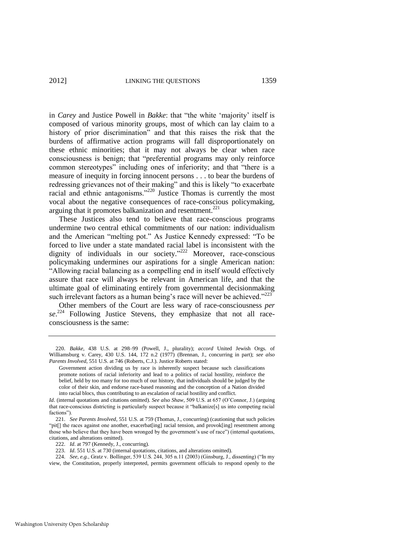in *Carey* and Justice Powell in *Bakke*: that "the white 'majority' itself is composed of various minority groups, most of which can lay claim to a history of prior discrimination" and that this raises the risk that the burdens of affirmative action programs will fall disproportionately on these ethnic minorities; that it may not always be clear when race consciousness is benign; that "preferential programs may only reinforce common stereotypes" including ones of inferiority; and that "there is a measure of inequity in forcing innocent persons . . . to bear the burdens of redressing grievances not of their making" and this is likely "to exacerbate racial and ethnic antagonisms." $220$  Justice Thomas is currently the most vocal about the negative consequences of race-conscious policymaking, arguing that it promotes balkanization and resentment. $^{221}$ 

These Justices also tend to believe that race-conscious programs undermine two central ethical commitments of our nation: individualism and the American "melting pot." As Justice Kennedy expressed: "To be forced to live under a state mandated racial label is inconsistent with the dignity of individuals in our society." $222$  Moreover, race-conscious policymaking undermines our aspirations for a single American nation: ―Allowing racial balancing as a compelling end in itself would effectively assure that race will always be relevant in American life, and that the ultimate goal of eliminating entirely from governmental decisionmaking such irrelevant factors as a human being's race will never be achieved. $223$ 

Other members of the Court are less wary of race-consciousness *per*  se.<sup>224</sup> Following Justice Stevens, they emphasize that not all raceconsciousness is the same:

<sup>220.</sup> *Bakke*, 438 U.S. at 298–99 (Powell, J., plurality); *accord* United Jewish Orgs. of Williamsburg v. Carey, 430 U.S. 144, 172 n.2 (1977) (Brennan, J., concurring in part); *see also Parents Involved*, 551 U.S. at 746 (Roberts, C.J.). Justice Roberts stated:

Government action dividing us by race is inherently suspect because such classifications promote notions of racial inferiority and lead to a politics of racial hostility, reinforce the belief, held by too many for too much of our history, that individuals should be judged by the color of their skin, and endorse race-based reasoning and the conception of a Nation divided into racial blocs, thus contributing to an escalation of racial hostility and conflict.

*Id*. (internal quotations and citations omitted). *See also Shaw*, 509 U.S. at 657 (O'Connor, J.) (arguing that race-conscious districting is particularly suspect because it "balkanize[s] us into competing racial factions").

<sup>221.</sup> *See Parents Involved*, 551 U.S. at 759 (Thomas, J., concurring) (cautioning that such policies "pit[] the races against one another, exacerbat[ing] racial tension, and provok[ing] resentment among those who believe that they have been wronged by the government's use of race") (internal quotations, citations, and alterations omitted).

<sup>222.</sup> *Id*. at 797 (Kennedy, J., concurring).

<sup>223.</sup> *Id*. 551 U.S. at 730 (internal quotations, citations, and alterations omitted).

<sup>224.</sup> *See, e.g.*, Gratz v. Bollinger, 539 U.S. 244, 305 n.11 (2003) (Ginsburg, J., dissenting) ("In my view, the Constitution, properly interpreted, permits government officials to respond openly to the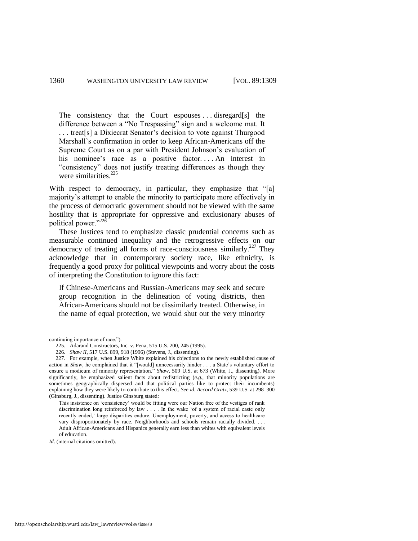The consistency that the Court espouses ... disregard[s] the difference between a "No Trespassing" sign and a welcome mat. It . . . treat[s] a Dixiecrat Senator's decision to vote against Thurgood Marshall's confirmation in order to keep African-Americans off the Supreme Court as on a par with President Johnson's evaluation of his nominee's race as a positive factor.... An interest in "consistency" does not justify treating differences as though they were similarities.<sup>225</sup>

With respect to democracy, in particular, they emphasize that "[a] majority's attempt to enable the minority to participate more effectively in the process of democratic government should not be viewed with the same hostility that is appropriate for oppressive and exclusionary abuses of political power."<sup>226</sup>

These Justices tend to emphasize classic prudential concerns such as measurable continued inequality and the retrogressive effects on our democracy of treating all forms of race-consciousness similarly.<sup>227</sup> They acknowledge that in contemporary society race, like ethnicity, is frequently a good proxy for political viewpoints and worry about the costs of interpreting the Constitution to ignore this fact:

If Chinese-Americans and Russian-Americans may seek and secure group recognition in the delineation of voting districts, then African-Americans should not be dissimilarly treated. Otherwise, in the name of equal protection, we would shut out the very minority

*Id*. (internal citations omitted).

continuing importance of race.").

<sup>225.</sup> Adarand Constructors, Inc. v. Pena, 515 U.S. 200, 245 (1995).

<sup>226.</sup> *Shaw II*, 517 U.S. 899, 918 (1996) (Stevens, J., dissenting).

<sup>227.</sup> For example, when Justice White explained his objections to the newly established cause of action in *Shaw*, he complained that it "[would] unnecessarily hinder . . . a State's voluntary effort to ensure a modicum of minority representation.<sup>"</sup> Shaw, 509 U.S. at 673 (White, J., dissenting). More significantly, he emphasized salient facts about redistricting (*e.g.*, that minority populations are sometimes geographically dispersed and that political parties like to protect their incumbents) explaining how they were likely to contribute to this effect. *See id*. *Accord Gratz*, 539 U.S. at 298–300 (Ginsburg, J., dissenting). Justice Ginsburg stated:

This insistence on 'consistency' would be fitting were our Nation free of the vestiges of rank discrimination long reinforced by law . . . . In the wake 'of a system of racial caste only recently ended,' large disparities endure. Unemployment, poverty, and access to healthcare vary disproportionately by race. Neighborhoods and schools remain racially divided. . . . Adult African-Americans and Hispanics generally earn less than whites with equivalent levels of education.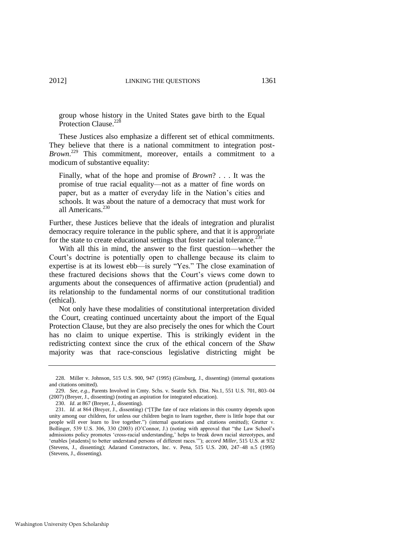group whose history in the United States gave birth to the Equal Protection Clause.<sup>228</sup>

These Justices also emphasize a different set of ethical commitments. They believe that there is a national commitment to integration post-*Brown*. <sup>229</sup> This commitment, moreover, entails a commitment to a modicum of substantive equality:

Finally, what of the hope and promise of *Brown*? . . . It was the promise of true racial equality—not as a matter of fine words on paper, but as a matter of everyday life in the Nation's cities and schools. It was about the nature of a democracy that must work for all Americans.<sup>230</sup>

Further, these Justices believe that the ideals of integration and pluralist democracy require tolerance in the public sphere, and that it is appropriate for the state to create educational settings that foster racial tolerance.<sup>231</sup>

With all this in mind, the answer to the first question—whether the Court's doctrine is potentially open to challenge because its claim to expertise is at its lowest ebb—is surely "Yes." The close examination of these fractured decisions shows that the Court's views come down to arguments about the consequences of affirmative action (prudential) and its relationship to the fundamental norms of our constitutional tradition (ethical).

Not only have these modalities of constitutional interpretation divided the Court, creating continued uncertainty about the import of the Equal Protection Clause, but they are also precisely the ones for which the Court has no claim to unique expertise. This is strikingly evident in the redistricting context since the crux of the ethical concern of the *Shaw*  majority was that race-conscious legislative districting might be

<sup>228.</sup> Miller v. Johnson, 515 U.S. 900, 947 (1995) (Ginsburg, J., dissenting) (internal quotations and citations omitted).

<sup>229.</sup> *See, e.g.*, Parents Involved in Cmty. Schs. v. Seattle Sch. Dist. No.1, 551 U.S. 701, 803–04 (2007) (Breyer, J., dissenting) (noting an aspiration for integrated education).

<sup>230.</sup> *Id*. at 867 (Breyer, J., dissenting).

<sup>231.</sup> *Id.* at 864 (Breyer, J., dissenting) ("[T]he fate of race relations in this country depends upon unity among our children, for unless our children begin to learn together, there is little hope that our people will ever learn to live together.‖) (internal quotations and citations omitted); Grutter v. Bollinger, 539 U.S. 306, 330 (2003) (O'Connor, J.) (noting with approval that "the Law School's admissions policy promotes 'cross-racial understanding,' helps to break down racial stereotypes, and ‗enables [students] to better understand persons of different races.'‖); *accord Miller*, 515 U.S. at 932 (Stevens, J., dissenting); Adarand Constructors, Inc. v. Pena, 515 U.S. 200, 247–48 n.5 (1995) (Stevens, J., dissenting).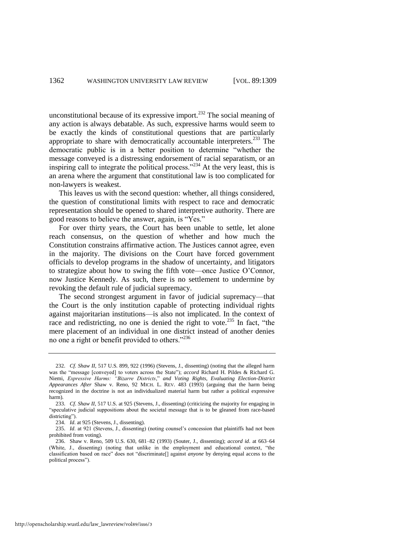unconstitutional because of its expressive import.<sup>232</sup> The social meaning of any action is always debatable. As such, expressive harms would seem to be exactly the kinds of constitutional questions that are particularly appropriate to share with democratically accountable interpreters.<sup>233</sup> The democratic public is in a better position to determine "whether the message conveyed is a distressing endorsement of racial separatism, or an inspiring call to integrate the political process.<sup> $234$ </sup> At the very least, this is an arena where the argument that constitutional law is too complicated for non-lawyers is weakest.

This leaves us with the second question: whether, all things considered, the question of constitutional limits with respect to race and democratic representation should be opened to shared interpretive authority. There are good reasons to believe the answer, again, is "Yes."

For over thirty years, the Court has been unable to settle, let alone reach consensus, on the question of whether and how much the Constitution constrains affirmative action. The Justices cannot agree, even in the majority. The divisions on the Court have forced government officials to develop programs in the shadow of uncertainty, and litigators to strategize about how to swing the fifth vote—once Justice O'Connor, now Justice Kennedy. As such, there is no settlement to undermine by revoking the default rule of judicial supremacy.

The second strongest argument in favor of judicial supremacy—that the Court is the only institution capable of protecting individual rights against majoritarian institutions—is also not implicated. In the context of race and redistricting, no one is denied the right to vote.<sup>235</sup> In fact, "the mere placement of an individual in one district instead of another denies no one a right or benefit provided to others."<sup>236</sup>

<sup>232.</sup> *Cf. Shaw II*, 517 U.S. 899, 922 (1996) (Stevens, J., dissenting) (noting that the alleged harm was the "message [conveyed] to voters across the State"); *accord* Richard H. Pildes & Richard G. Niemi, *Expressive Harms: "Bizarre Districts*," and Voting Rights, Evaluating Election-District *Appearances After* Shaw v. Reno, 92 MICH. L. REV. 483 (1993) (arguing that the harm being recognized in the doctrine is not an individualized material harm but rather a political expressive harm).

<sup>233.</sup> *Cf*. *Shaw II*, 517 U.S. at 925 (Stevens, J., dissenting) (criticizing the majority for engaging in ―speculative judicial suppositions about the societal message that is to be gleaned from race-based districting").

<sup>234.</sup> *Id*. at 925 (Stevens, J., dissenting).

<sup>235.</sup> *Id*. at 921 (Stevens, J., dissenting) (noting counsel's concession that plaintiffs had not been prohibited from voting).

<sup>236.</sup> Shaw v. Reno, 509 U.S. 630, 681–82 (1993) (Souter, J., dissenting); *accord id*. at 663–64 (White, J., dissenting) (noting that unlike in the employment and educational context, "the classification based on race" does not "discriminate[] against *anyone* by denying equal access to the political process").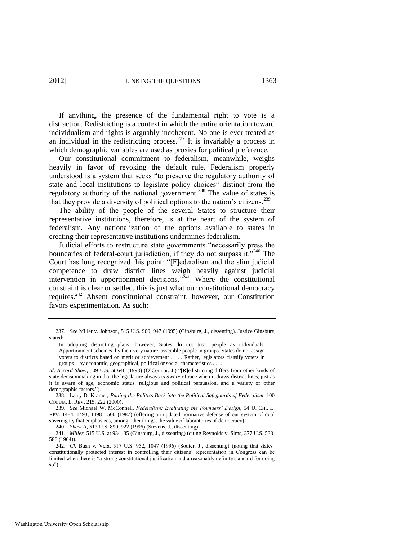If anything, the presence of the fundamental right to vote is a distraction. Redistricting is a context in which the entire orientation toward individualism and rights is arguably incoherent. No one is ever treated as an individual in the redistricting process.<sup>237</sup> It is invariably a process in which demographic variables are used as proxies for political preference.

Our constitutional commitment to federalism, meanwhile, weighs heavily in favor of revoking the default rule. Federalism properly understood is a system that seeks "to preserve the regulatory authority of state and local institutions to legislate policy choices" distinct from the regulatory authority of the national government.<sup>238</sup> The value of states is that they provide a diversity of political options to the nation's citizens.<sup>239</sup>

<span id="page-55-0"></span>The ability of the people of the several States to structure their representative institutions, therefore, is at the heart of the system of federalism. Any nationalization of the options available to states in creating their representative institutions undermines federalism.

Judicial efforts to restructure state governments "necessarily press the boundaries of federal-court jurisdiction, if they do not surpass it."<sup>240</sup> The Court has long recognized this point: "[F]ederalism and the slim judicial competence to draw district lines weigh heavily against judicial intervention in apportionment decisions.<sup> $241$ </sup> Where the constitutional constraint is clear or settled, this is just what our constitutional democracy requires.<sup>242</sup> Absent constitutional constraint, however, our Constitution favors experimentation. As such:

<sup>237.</sup> *See* Miller v. Johnson, 515 U.S. 900, 947 (1995) (Ginsburg, J., dissenting). Justice Ginsburg stated:

In adopting districting plans, however, States do not treat people as individuals. Apportionment schemes, by their very nature, assemble people in groups. States do not assign voters to districts based on merit or achievement . . . . Rather, legislators classify voters in groups—by economic, geographical, political or social characteristics . . . .

Id. Accord Shaw, 509 U.S. at 646 (1993) (O'Connor, J.) "[R]edistricting differs from other kinds of state decisionmaking in that the legislature always is *aware* of race when it draws district lines, just as it is aware of age, economic status, religious and political persuasion, and a variety of other demographic factors.").

<sup>238.</sup> Larry D. Kramer, *Putting the Politics Back into the Political Safeguards of Federalism*, 100 COLUM. L. REV. 215, 222 (2000).

<sup>239.</sup> *See* Michael W. McConnell, *Federalism: Evaluating the Founders" Design*, 54 U. CHI. L. REV. 1484, 1493, 1498–1500 (1987) (offering an updated normative defense of our system of dual sovereignty that emphasizes, among other things, the value of laboratories of democracy).

<sup>240.</sup> *Shaw II*, 517 U.S. 899, 922 (1996) (Stevens, J., dissenting).

<sup>241.</sup> *Miller*, 515 U.S. at 934–35 (Ginsburg, J., dissenting) (citing Reynolds v. Sims, 377 U.S. 533, 586 (1964)).

<sup>242.</sup> *Cf.* Bush v. Vera, 517 U.S. 952, 1047 (1996) (Souter, J., dissenting) (noting that states' constitutionally protected interest in controlling their citizens' representation in Congress can be limited when there is "a strong constitutional justification and a reasonably definite standard for doing so").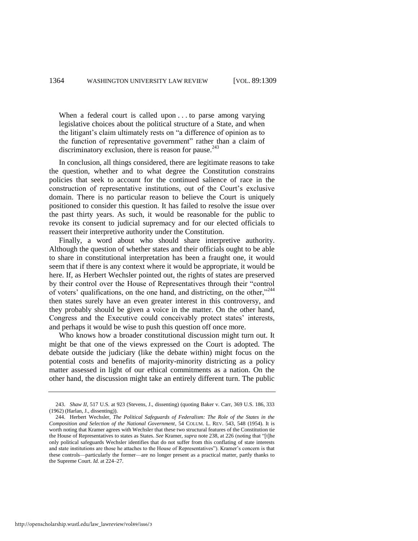When a federal court is called upon . . . to parse among varying legislative choices about the political structure of a State, and when the litigant's claim ultimately rests on "a difference of opinion as to the function of representative government" rather than a claim of discriminatory exclusion, there is reason for pause.<sup>243</sup>

In conclusion, all things considered, there are legitimate reasons to take the question, whether and to what degree the Constitution constrains policies that seek to account for the continued salience of race in the construction of representative institutions, out of the Court's exclusive domain. There is no particular reason to believe the Court is uniquely positioned to consider this question. It has failed to resolve the issue over the past thirty years. As such, it would be reasonable for the public to revoke its consent to judicial supremacy and for our elected officials to reassert their interpretive authority under the Constitution.

Finally, a word about who should share interpretive authority. Although the question of whether states and their officials ought to be able to share in constitutional interpretation has been a fraught one, it would seem that if there is any context where it would be appropriate, it would be here. If, as Herbert Wechsler pointed out, the rights of states are preserved by their control over the House of Representatives through their "control of voters' qualifications, on the one hand, and districting, on the other,<sup>3244</sup> then states surely have an even greater interest in this controversy, and they probably should be given a voice in the matter. On the other hand, Congress and the Executive could conceivably protect states' interests, and perhaps it would be wise to push this question off once more.

Who knows how a broader constitutional discussion might turn out. It might be that one of the views expressed on the Court is adopted. The debate outside the judiciary (like the debate within) might focus on the potential costs and benefits of majority-minority districting as a policy matter assessed in light of our ethical commitments as a nation. On the other hand, the discussion might take an entirely different turn. The public

<sup>243.</sup> *Shaw II*, 517 U.S. at 923 (Stevens, J., dissenting) (quoting Baker v. Carr, 369 U.S. 186, 333 (1962) (Harlan, J., dissenting)).

<sup>244.</sup> Herbert Wechsler, *The Political Safeguards of Federalism: The Role of the States in the Composition and Selection of the National Government*, 54 COLUM. L. REV. 543, 548 (1954). It is worth noting that Kramer agrees with Wechsler that these two structural features of the Constitution tie the House of Representatives to states as States. *See Kramer, supra* not[e 238,](#page-55-0) at 226 (noting that "[t]he only political safeguards Wechsler identifies that do not suffer from this conflating of state interests and state institutions are those he attaches to the House of Representatives"). Kramer's concern is that these controls—particularly the former—are no longer present as a practical matter, partly thanks to the Supreme Court. *Id*. at 224–27.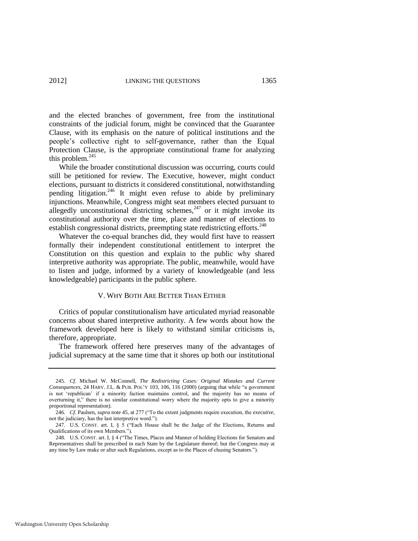and the elected branches of government, free from the institutional constraints of the judicial forum, might be convinced that the Guarantee Clause, with its emphasis on the nature of political institutions and the people's collective right to self-governance, rather than the Equal Protection Clause, is the appropriate constitutional frame for analyzing this problem. $245$ 

While the broader constitutional discussion was occurring, courts could still be petitioned for review. The Executive, however, might conduct elections, pursuant to districts it considered constitutional, notwithstanding pending litigation.<sup>246</sup> It might even refuse to abide by preliminary injunctions. Meanwhile, Congress might seat members elected pursuant to allegedly unconstitutional districting schemes,  $247$  or it might invoke its constitutional authority over the time, place and manner of elections to establish congressional districts, preempting state redistricting efforts.<sup>248</sup>

Whatever the co-equal branches did, they would first have to reassert formally their independent constitutional entitlement to interpret the Constitution on this question and explain to the public why shared interpretive authority was appropriate. The public, meanwhile, would have to listen and judge, informed by a variety of knowledgeable (and less knowledgeable) participants in the public sphere.

#### V. WHY BOTH ARE BETTER THAN EITHER

Critics of popular constitutionalism have articulated myriad reasonable concerns about shared interpretive authority. A few words about how the framework developed here is likely to withstand similar criticisms is, therefore, appropriate.

The framework offered here preserves many of the advantages of judicial supremacy at the same time that it shores up both our institutional

<sup>245.</sup> *Cf.* Michael W. McConnell, *The Redistricting Cases: Original Mistakes and Current Consequences*, 24 HARV. J.L. & PUB. POL'Y 103, 106, 116 (2000) (arguing that while "a government is not ‗republican' if a minority faction maintains control, and the majority has no means of overturning it," there is no similar constitutional worry where the majority opts to give a minority proportional representation).

<sup>246.</sup> *Cf.* Paulsen, *supra* not[e 45,](#page-13-1) at 277 ("To the extent judgments require execution, the *executive*, not the judiciary, has the last interpretive word.").

<sup>247.</sup> U.S. CONST. art. I,  $\S$  5 ("Each House shall be the Judge of the Elections, Returns and Qualifications of its own Members.").

<sup>248.</sup> U.S. CONST. art. I, § 4 ("The Times, Places and Manner of holding Elections for Senators and Representatives shall be prescribed in each State by the Legislature thereof; but the Congress may at any time by Law make or alter such Regulations, except as to the Places of chusing Senators.").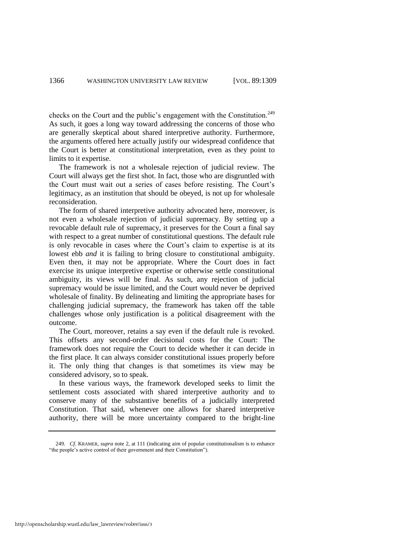checks on the Court and the public's engagement with the Constitution.<sup>249</sup> As such, it goes a long way toward addressing the concerns of those who are generally skeptical about shared interpretive authority. Furthermore, the arguments offered here actually justify our widespread confidence that the Court is better at constitutional interpretation, even as they point to limits to it expertise.

The framework is not a wholesale rejection of judicial review. The Court will always get the first shot. In fact, those who are disgruntled with the Court must wait out a series of cases before resisting. The Court's legitimacy, as an institution that should be obeyed, is not up for wholesale reconsideration.

The form of shared interpretive authority advocated here, moreover, is not even a wholesale rejection of judicial supremacy. By setting up a revocable default rule of supremacy, it preserves for the Court a final say with respect to a great number of constitutional questions. The default rule is only revocable in cases where the Court's claim to expertise is at its lowest ebb *and* it is failing to bring closure to constitutional ambiguity. Even then, it may not be appropriate. Where the Court does in fact exercise its unique interpretive expertise or otherwise settle constitutional ambiguity, its views will be final. As such, any rejection of judicial supremacy would be issue limited, and the Court would never be deprived wholesale of finality. By delineating and limiting the appropriate bases for challenging judicial supremacy, the framework has taken off the table challenges whose only justification is a political disagreement with the outcome.

The Court, moreover, retains a say even if the default rule is revoked. This offsets any second-order decisional costs for the Court: The framework does not require the Court to decide whether it can decide in the first place. It can always consider constitutional issues properly before it. The only thing that changes is that sometimes its view may be considered advisory, so to speak.

In these various ways, the framework developed seeks to limit the settlement costs associated with shared interpretive authority and to conserve many of the substantive benefits of a judicially interpreted Constitution. That said, whenever one allows for shared interpretive authority, there will be more uncertainty compared to the bright-line

<sup>249.</sup> *Cf*. KRAMER, *supra* not[e 2,](#page-2-0) at 111 (indicating aim of popular constitutionalism is to enhance "the people's active control of their government and their Constitution").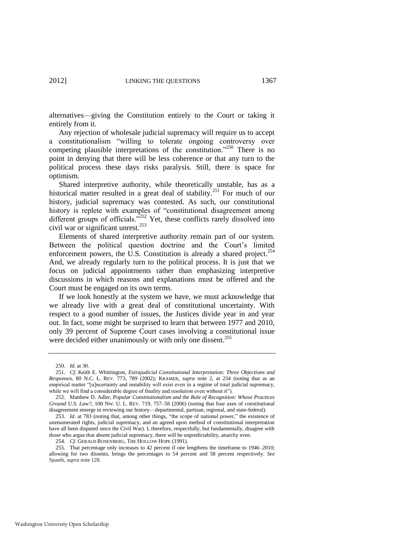alternatives—giving the Constitution entirely to the Court or taking it entirely from it.

Any rejection of wholesale judicial supremacy will require us to accept a constitutionalism "willing to tolerate ongoing controversy over competing plausible interpretations of the constitution.<sup>2250</sup> There is no point in denying that there will be less coherence or that any turn to the political process these days risks paralysis. Still, there is space for optimism.

Shared interpretive authority, while theoretically unstable, has as a historical matter resulted in a great deal of stability.<sup>251</sup> For much of our history, judicial supremacy was contested. As such, our constitutional history is replete with examples of "constitutional disagreement among different groups of officials.<sup>3252</sup> Yet, these conflicts rarely dissolved into civil war or significant unrest.<sup>253</sup>

Elements of shared interpretive authority remain part of our system. Between the political question doctrine and the Court's limited enforcement powers, the U.S. Constitution is already a shared project. $^{254}$ And, we already regularly turn to the political process. It is just that we focus on judicial appointments rather than emphasizing interpretive discussions in which reasons and explanations must be offered and the Court must be engaged on its own terms.

If we look honestly at the system we have, we must acknowledge that we already live with a great deal of constitutional uncertainty. With respect to a good number of issues, the Justices divide year in and year out. In fact, some might be surprised to learn that between 1977 and 2010, only 39 percent of Supreme Court cases involving a constitutional issue were decided either unanimously or with only one dissent.<sup>255</sup>

254. *Cf*. GERALD ROSENBERG, THE HOLLOW HOPE (1991).

<sup>250.</sup> *Id*. at 30.

<sup>251.</sup> *Cf*. Keith E. Whittington, *Extrajudicial Constitutional Interpretation: Three Objections and Responses*, 80 N.C. L. REV. 773, 789 (2002); KRAMER, *supra* note [2,](#page-2-0) at 234 (noting that as an empirical matter "[u]ncertainty and instability will exist even in a regime of total judicial supremacy, while we will find a considerable degree of finality and resolution even without it").

<sup>252.</sup> Matthew D. Adler, *Popular Constitutionalism and the Rule of Recognition: Whose Practices Ground U.S. Law?*, 100 NW. U. L. REV. 719, 757–58 (2006) (noting that four axes of constitutional disagreement emerge in reviewing our history—departmental, partisan, regional, and state-federal).

<sup>253.</sup> *Id.* at 783 (noting that, among other things, "the scope of national power," the existence of unenumerated rights, judicial supremacy, and an agreed upon method of constitutional interpretation have all been disputed since the Civil War). I, therefore, respectfully, but fundamentally, disagree with those who argue that absent judicial supremacy, there will be unpredictability, anarchy even.

<sup>255.</sup> That percentage only increases to 42 percent if one lengthens the timeframe to 1946–2010; allowing for two dissents, brings the percentages to 54 percent and 58 percent respectively. *See*  Spaeth, *supra* note [128.](#page-30-0)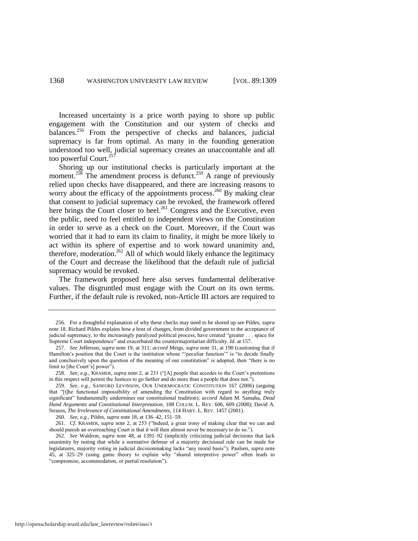Increased uncertainty is a price worth paying to shore up public engagement with the Constitution and our system of checks and balances.<sup>256</sup> From the perspective of checks and balances, judicial supremacy is far from optimal. As many in the founding generation understood too well, judicial supremacy creates an unaccountable and all too powerful Court.<sup>257</sup>

Shoring up our institutional checks is particularly important at the moment.<sup>258</sup> The amendment process is defunct.<sup>259</sup> A range of previously relied upon checks have disappeared, and there are increasing reasons to worry about the efficacy of the appointments process.<sup>260</sup> By making clear that consent to judicial supremacy can be revoked, the framework offered here brings the Court closer to heel.<sup>261</sup> Congress and the Executive, even the public, need to feel entitled to independent views on the Constitution in order to serve as a check on the Court. Moreover, if the Court was worried that it had to earn its claim to finality, it might be more likely to act within its sphere of expertise and to work toward unanimity and, therefore, moderation.<sup>262</sup> All of which would likely enhance the legitimacy of the Court and decrease the likelihood that the default rule of judicial supremacy would be revoked.

The framework proposed here also serves fundamental deliberative values. The disgruntled must engage with the Court on its own terms. Further, if the default rule is revoked, non-Article III actors are required to

http://openscholarship.wustl.edu/law\_lawreview/vol89/iss6/3

<sup>256.</sup> For a thoughtful explanation of why these checks may need to be shored up see Pildes, *supra* note [18.](#page-7-1) Richard Pildes explains how a host of changes, from divided government to the acceptance of judicial supremacy, to the increasingly paralyzed political process, have created "greater . . . space for Supreme Court independence" and exacerbated the countermajoritarian difficulty. *Id.* at 157.

<sup>257.</sup> *See* Jefferson, *supra* not[e 19,](#page-7-0) at 311; *accord* Meigs, *supra* not[e 31,](#page-11-0) at 190 (cautioning that if Hamilton's position that the Court is the institution whose "peculiar function" is "to decide finally and conclusively upon the question of the meaning of our constitution" is adopted, then "there is no limit to [the Court's] power").

<sup>258.</sup> *See, e.g.*, KRAMER, *supra* note [2,](#page-2-0) at 231 ("[A] people that accedes to the Court's pretentions in this respect will permit the Justices to go farther and do more than a people that does not.").

<sup>259.</sup> *See, e.g.*, SANFORD LEVINSON, OUR UNDEMOCRATIC CONSTITUTION 167 (2006) (arguing that "[t]he functional impossibility of amending the Constitution with regard to anything truly significant‖ fundamentally undermines our constitutional tradition); *accord* Adam M. Samaha, *Dead Hand Arguments and Constitutional Interpretation*, 108 COLUM. L. REV. 606, 609 (2008); David A. Strauss, *The Irrelevance of Constitutional Amendments*, 114 HARV. L. REV. 1457 (2001).

<sup>260.</sup> *See, e.g.*, Pildes, *supra* not[e 18,](#page-7-1) at 136–42, 151–59.

<sup>261.</sup> *Cf.* KRAMER, *supra* note [2,](#page-2-0) at 253 ("Indeed, a great irony of making clear that we can and should punish an overreaching Court is that it will then almost never be necessary to do so.").

<sup>262.</sup> *See* Waldron, *supra* note [48,](#page-13-0) at 1391–92 (implicitly criticizing judicial decisions that lack unanimity by noting that while a normative defense of a majority decisional rule can be made for legislatures, majority voting in judicial decisionmaking lacks "any moral basis"); Paulsen, *supra* note [45,](#page-13-1) at 325–29 (using game theory to explain why "shared interpretive power" often leads to "compromise, accommodation, or partial resolution").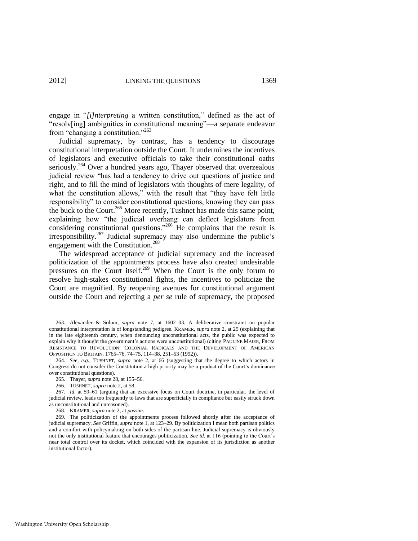engage in "[i]nterpreting a written constitution," defined as the act of "resolv[ing] ambiguities in constitutional meaning"—a separate endeavor from "changing a constitution."<sup>263</sup>

Judicial supremacy, by contrast, has a tendency to discourage constitutional interpretation outside the Court. It undermines the incentives of legislators and executive officials to take their constitutional oaths seriously.<sup>264</sup> Over a hundred years ago, Thayer observed that overzealous judicial review "has had a tendency to drive out questions of justice and right, and to fill the mind of legislators with thoughts of mere legality, of what the constitution allows," with the result that "they have felt little responsibility" to consider constitutional questions, knowing they can pass the buck to the Court.<sup>265</sup> More recently, Tushnet has made this same point, explaining how "the judicial overhang can deflect legislators from considering constitutional questions."<sup>266</sup> He complains that the result is irresponsibility.<sup>267</sup> Judicial supremacy may also undermine the public's engagement with the Constitution.<sup>268</sup>

The widespread acceptance of judicial supremacy and the increased politicization of the appointments process have also created undesirable pressures on the Court itself.<sup>269</sup> When the Court is the only forum to resolve high-stakes constitutional fights, the incentives to politicize the Court are magnified. By reopening avenues for constitutional argument outside the Court and rejecting a *per se* rule of supremacy, the proposed

<sup>263.</sup> Alexander & Solum, *supra* note [7,](#page-3-0) at 1602–03. A deliberative constraint on popular constitutional interpretation is of longstanding pedigree. KRAMER, *supra* note [2,](#page-2-0) at 25 (explaining that in the late eighteenth century, when denouncing unconstitutional acts, the public was expected to explain why it thought the government's actions were unconstitutional) (citing PAULINE MAIER, FROM RESISTANCE TO REVOLUTION: COLONIAL RADICALS AND THE DEVELOPMENT OF AMERICAN OPPOSITION TO BRITAIN, 1765–76, 74–75, 114–38, 251–53 (1992)).

<sup>264.</sup> *See, e.g.*, TUSHNET, *supra* note [2,](#page-2-0) at 66 (suggesting that the degree to which actors in Congress do not consider the Constitution a high priority may be a product of the Court's dominance over constitutional questions).

<sup>265.</sup> Thayer, *supra* not[e 28,](#page-10-0) at 155–56.

<sup>266.</sup> TUSHNET, *supra* note [2,](#page-2-0) at 58.

<sup>267.</sup> *Id*. at 59–61 (arguing that an excessive focus on Court doctrine, in particular, the level of judicial review, leads too frequently to laws that are superficially in compliance but easily struck down as unconstitutional and unreasoned).

<sup>268.</sup> KRAMER, *supra* not[e 2,](#page-2-0) at *passim*.

<sup>269.</sup> The politicization of the appointments process followed shortly after the acceptance of judicial supremacy. *See* Griffin, *supra* not[e 1,](#page-2-1) at 123–29. By politicization I mean both partisan politics and a comfort with policymaking on both sides of the partisan line. Judicial supremacy is obviously not the only institutional feature that encourages politicization. *See id*. at 116 (pointing to the Court's near total control over its docket, which coincided with the expansion of its jurisdiction as another institutional factor).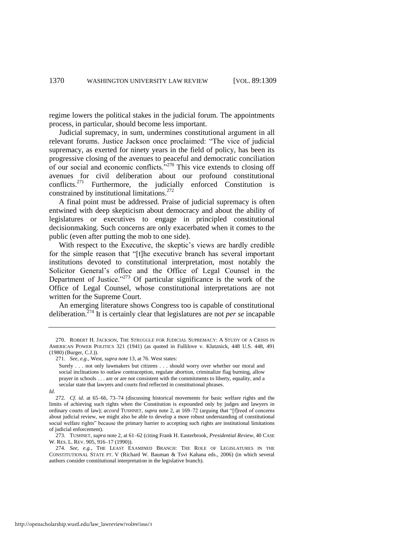regime lowers the political stakes in the judicial forum. The appointments process, in particular, should become less important.

Judicial supremacy, in sum, undermines constitutional argument in all relevant forums. Justice Jackson once proclaimed: "The vice of judicial supremacy, as exerted for ninety years in the field of policy, has been its progressive closing of the avenues to peaceful and democratic conciliation of our social and economic conflicts.<sup>3270</sup> This vice extends to closing off avenues for civil deliberation about our profound constitutional conflicts.<sup>271</sup> Furthermore, the judicially enforced Constitution is constrained by institutional limitations.<sup>272</sup>

A final point must be addressed. Praise of judicial supremacy is often entwined with deep skepticism about democracy and about the ability of legislatures or executives to engage in principled constitutional decisionmaking. Such concerns are only exacerbated when it comes to the public (even after putting the mob to one side).

With respect to the Executive, the skeptic's views are hardly credible for the simple reason that "[t]he executive branch has several important institutions devoted to constitutional interpretation, most notably the Solicitor General's office and the Office of Legal Counsel in the Department of Justice." $273$  Of particular significance is the work of the Office of Legal Counsel, whose constitutional interpretations are not written for the Supreme Court.

An emerging literature shows Congress too is capable of constitutional deliberation.<sup>274</sup> It is certainly clear that legislatures are not *per se* incapable

<sup>270.</sup> ROBERT H. JACKSON, THE STRUGGLE FOR JUDICIAL SUPREMACY: A STUDY OF A CRISIS IN AMERICAN POWER POLITICS 321 (1941) (as quoted in Fullilove v. Klutznick, 448 U.S. 448, 491 (1980) (Burger, C.J.)).

<sup>271.</sup> *See, e.g.*, West, *supra* not[e 13,](#page-6-1) at 76. West states:

Surely . . . not only lawmakers but citizens . . . should worry over whether our moral and social inclinations to outlaw contraception, regulate abortion, criminalize flag burning, allow prayer in schools . . . are or are not consistent with the commitments to liberty, equality, and a secular state that lawyers and courts find reflected in constitutional phrases.

*Id*.

<sup>272.</sup> *Cf*. *id*. at 65–66, 73–74 (discussing historical movements for basic welfare rights and the limits of achieving such rights when the Constitution is expounded only by judges and lawyers in ordinary courts of law); *accord* TUSHNET, *supra* note [2,](#page-2-0) at 169–72 (arguing that "[f]reed of concerns about judicial review, we might also be able to develop a more robust understanding of constitutional social welfare rights" because the primary barrier to accepting such rights are institutional limitations of judicial enforcement).

<sup>273.</sup> TUSHNET, *supra* note [2,](#page-2-0) at 61–62 (citing Frank H. Easterbrook, *Presidential Review*, 40 CASE W. RES. L. REV. 905, 916–17 (1990)).

<sup>274.</sup> *See, e.g.*, THE LEAST EXAMINED BRANCH: THE ROLE OF LEGISLATURES IN THE CONSTITUTIONAL STATE PT. V (Richard W. Bauman & Tsvi Kahana eds., 2006) (in which several authors consider constitutional interpretation in the legislative branch).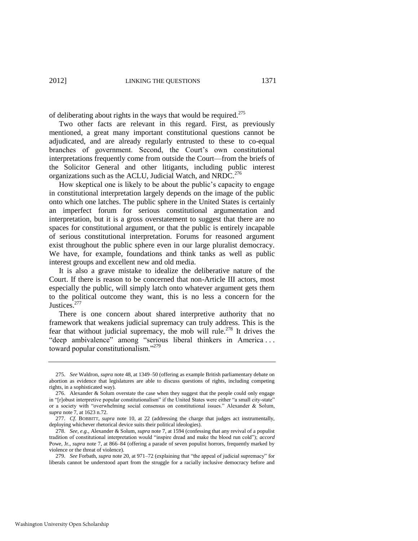of deliberating about rights in the ways that would be required.<sup>275</sup>

Two other facts are relevant in this regard. First, as previously mentioned, a great many important constitutional questions cannot be adjudicated, and are already regularly entrusted to these to co-equal branches of government. Second, the Court's own constitutional interpretations frequently come from outside the Court—from the briefs of the Solicitor General and other litigants, including public interest organizations such as the ACLU, Judicial Watch, and NRDC.<sup>276</sup>

How skeptical one is likely to be about the public's capacity to engage in constitutional interpretation largely depends on the image of the public onto which one latches. The public sphere in the United States is certainly an imperfect forum for serious constitutional argumentation and interpretation, but it is a gross overstatement to suggest that there are no spaces for constitutional argument, or that the public is entirely incapable of serious constitutional interpretation. Forums for reasoned argument exist throughout the public sphere even in our large pluralist democracy. We have, for example, foundations and think tanks as well as public interest groups and excellent new and old media.

It is also a grave mistake to idealize the deliberative nature of the Court. If there is reason to be concerned that non-Article III actors, most especially the public, will simply latch onto whatever argument gets them to the political outcome they want, this is no less a concern for the Justices.<sup>277</sup>

There is one concern about shared interpretive authority that no framework that weakens judicial supremacy can truly address. This is the fear that without judicial supremacy, the mob will rule.<sup>278</sup> It drives the "deep ambivalence" among "serious liberal thinkers in America ... toward popular constitutionalism."<sup>279</sup>

<sup>275.</sup> *See* Waldron, *supra* not[e 48,](#page-13-0) at 1349–50 (offering as example British parliamentary debate on abortion as evidence that legislatures are able to discuss questions of rights, including competing rights, in a sophisticated way).

<sup>276.</sup> Alexander & Solum overstate the case when they suggest that the people could only engage in "[r]obust interpretive popular constitutionalism" if the United States were either "a small city-state" or a society with "overwhelming social consensus on constitutional issues." Alexander & Solum, *supra* not[e 7,](#page-3-0) at 1623 n.72.

<sup>277.</sup> *Cf*. BOBBITT, *supra* note [10,](#page-4-0) at 22 (addressing the charge that judges act instrumentally, deploying whichever rhetorical device suits their political ideologies).

<sup>278.</sup> *See, e.g.*, Alexander & Solum, *supra* not[e 7,](#page-3-0) at 1594 (confessing that any revival of a populist tradition of constitutional interpretation would "inspire dread and make the blood run cold"); *accord* Powe, Jr., *supra* not[e 7,](#page-3-0) at 866–84 (offering a parade of seven populist horrors, frequently marked by violence or the threat of violence).

<sup>279.</sup> *See* Forbath, *supra* not[e 20,](#page-8-1) at 971–72 (explaining that "the appeal of judicial supremacy" for liberals cannot be understood apart from the struggle for a racially inclusive democracy before and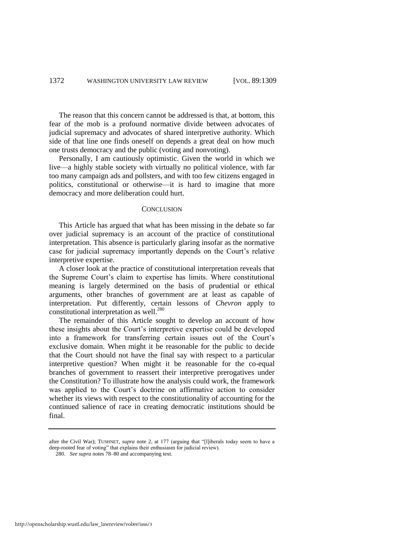The reason that this concern cannot be addressed is that, at bottom, this fear of the mob is a profound normative divide between advocates of judicial supremacy and advocates of shared interpretive authority. Which side of that line one finds oneself on depends a great deal on how much one trusts democracy and the public (voting and nonvoting).

Personally, I am cautiously optimistic. Given the world in which we live—a highly stable society with virtually no political violence, with far too many campaign ads and pollsters, and with too few citizens engaged in politics, constitutional or otherwise—it is hard to imagine that more democracy and more deliberation could hurt.

#### **CONCLUSION**

This Article has argued that what has been missing in the debate so far over judicial supremacy is an account of the practice of constitutional interpretation. This absence is particularly glaring insofar as the normative case for judicial supremacy importantly depends on the Court's relative interpretive expertise.

A closer look at the practice of constitutional interpretation reveals that the Supreme Court's claim to expertise has limits. Where constitutional meaning is largely determined on the basis of prudential or ethical arguments, other branches of government are at least as capable of interpretation. Put differently, certain lessons of *Chevron* apply to constitutional interpretation as well.<sup>280</sup>

The remainder of this Article sought to develop an account of how these insights about the Court's interpretive expertise could be developed into a framework for transferring certain issues out of the Court's exclusive domain. When might it be reasonable for the public to decide that the Court should not have the final say with respect to a particular interpretive question? When might it be reasonable for the co-equal branches of government to reassert their interpretive prerogatives under the Constitution? To illustrate how the analysis could work, the framework was applied to the Court's doctrine on affirmative action to consider whether its views with respect to the constitutionality of accounting for the continued salience of race in creating democratic institutions should be final.

after the Civil War); TUSHNET, *supra* note [2,](#page-2-0) at 177 (arguing that "[l]iberals today seem to have a deep-rooted fear of voting" that explains their enthusiasm for judicial review).

<sup>280.</sup> *See supra* note[s 78](#page-20-0)[–80 a](#page-20-2)nd accompanying text.